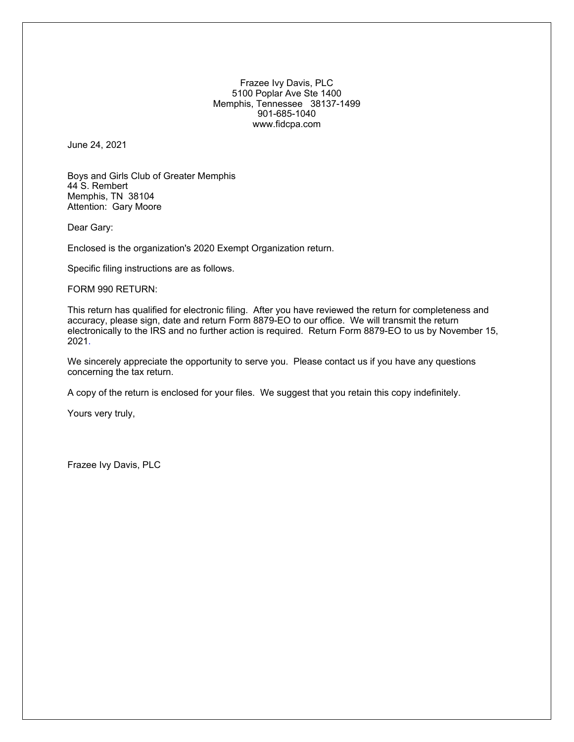Frazee Ivy Davis, PLC 5100 Poplar Ave Ste 1400 Memphis, Tennessee 38137-1499 901-685-1040 www.fidcpa.com

June 24, 2021

Boys and Girls Club of Greater Memphis 44 S. Rembert Memphis, TN 38104 Attention: Gary Moore

Dear Gary:

Enclosed is the organization's 2020 Exempt Organization return.

Specific filing instructions are as follows.

FORM 990 RETURN:

This return has qualified for electronic filing. After you have reviewed the return for completeness and accuracy, please sign, date and return Form 8879-EO to our office. We will transmit the return electronically to the IRS and no further action is required. Return Form 8879-EO to us by November 15, 2021.

We sincerely appreciate the opportunity to serve you. Please contact us if you have any questions concerning the tax return.

A copy of the return is enclosed for your files. We suggest that you retain this copy indefinitely.

Yours very truly,

Frazee Ivy Davis, PLC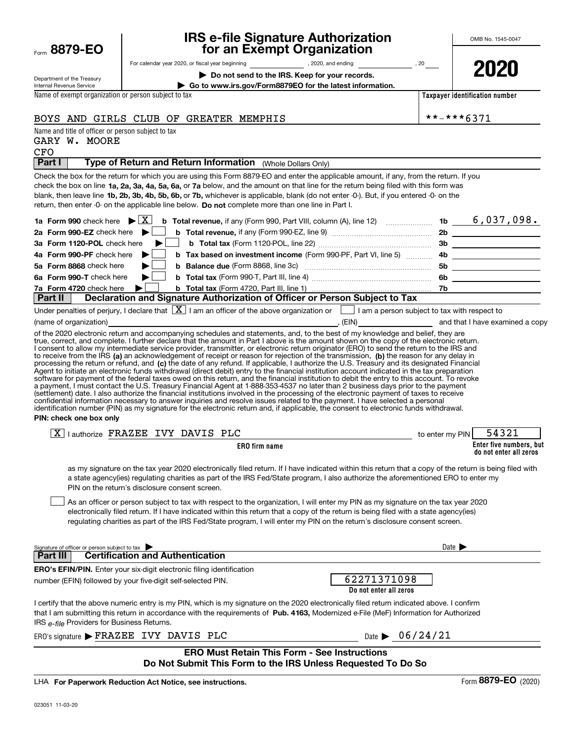|  | <br> | . .<br><b>STATISTICS</b> |
|--|------|--------------------------|
|  |      |                          |
|  |      |                          |
|  |      |                          |
|  |      |                          |
|  |      |                          |
|  |      |                          |
|  |      |                          |

| Form 8879-EO                                                                      | <b>IRS e-file Signature Authorization</b><br>for an Exempt Organization                                                                                                                                                                                                                                                                                                                                                                                                                                                                                                                                                                                                                                                                                                                                                                                                                                                                                                                                                                                                                                                                                                                                                                                                                                                                                                                                                            |                            | OMB No. 1545-0047                                 |
|-----------------------------------------------------------------------------------|------------------------------------------------------------------------------------------------------------------------------------------------------------------------------------------------------------------------------------------------------------------------------------------------------------------------------------------------------------------------------------------------------------------------------------------------------------------------------------------------------------------------------------------------------------------------------------------------------------------------------------------------------------------------------------------------------------------------------------------------------------------------------------------------------------------------------------------------------------------------------------------------------------------------------------------------------------------------------------------------------------------------------------------------------------------------------------------------------------------------------------------------------------------------------------------------------------------------------------------------------------------------------------------------------------------------------------------------------------------------------------------------------------------------------------|----------------------------|---------------------------------------------------|
|                                                                                   |                                                                                                                                                                                                                                                                                                                                                                                                                                                                                                                                                                                                                                                                                                                                                                                                                                                                                                                                                                                                                                                                                                                                                                                                                                                                                                                                                                                                                                    |                            |                                                   |
| Department of the Treasury<br>Internal Revenue Service                            | Do not send to the IRS. Keep for your records.<br>Go to www.irs.gov/Form8879EO for the latest information.                                                                                                                                                                                                                                                                                                                                                                                                                                                                                                                                                                                                                                                                                                                                                                                                                                                                                                                                                                                                                                                                                                                                                                                                                                                                                                                         |                            | 2020                                              |
| Name of exempt organization or person subject to tax                              |                                                                                                                                                                                                                                                                                                                                                                                                                                                                                                                                                                                                                                                                                                                                                                                                                                                                                                                                                                                                                                                                                                                                                                                                                                                                                                                                                                                                                                    |                            | Taxpayer identification number                    |
|                                                                                   |                                                                                                                                                                                                                                                                                                                                                                                                                                                                                                                                                                                                                                                                                                                                                                                                                                                                                                                                                                                                                                                                                                                                                                                                                                                                                                                                                                                                                                    |                            |                                                   |
|                                                                                   | BOYS AND GIRLS CLUB OF GREATER MEMPHIS                                                                                                                                                                                                                                                                                                                                                                                                                                                                                                                                                                                                                                                                                                                                                                                                                                                                                                                                                                                                                                                                                                                                                                                                                                                                                                                                                                                             |                            | **-***6371                                        |
| Name and title of officer or person subject to tax<br>GARY W. MOORE<br><b>CFO</b> |                                                                                                                                                                                                                                                                                                                                                                                                                                                                                                                                                                                                                                                                                                                                                                                                                                                                                                                                                                                                                                                                                                                                                                                                                                                                                                                                                                                                                                    |                            |                                                   |
| Part I                                                                            | Type of Return and Return Information (Whole Dollars Only)                                                                                                                                                                                                                                                                                                                                                                                                                                                                                                                                                                                                                                                                                                                                                                                                                                                                                                                                                                                                                                                                                                                                                                                                                                                                                                                                                                         |                            |                                                   |
|                                                                                   | Check the box for the return for which you are using this Form 8879-EO and enter the applicable amount, if any, from the return. If you<br>check the box on line 1a, 2a, 3a, 4a, 5a, 6a, or 7a below, and the amount on that line for the return being filed with this form was<br>blank, then leave line 1b, 2b, 3b, 4b, 5b, 6b, or 7b, whichever is applicable, blank (do not enter -0-). But, if you entered -0- on the<br>return, then enter -0- on the applicable line below. Do not complete more than one line in Part I.                                                                                                                                                                                                                                                                                                                                                                                                                                                                                                                                                                                                                                                                                                                                                                                                                                                                                                   |                            |                                                   |
|                                                                                   |                                                                                                                                                                                                                                                                                                                                                                                                                                                                                                                                                                                                                                                                                                                                                                                                                                                                                                                                                                                                                                                                                                                                                                                                                                                                                                                                                                                                                                    |                            |                                                   |
| 2a Form 990-EZ check here $\blacktriangleright$                                   |                                                                                                                                                                                                                                                                                                                                                                                                                                                                                                                                                                                                                                                                                                                                                                                                                                                                                                                                                                                                                                                                                                                                                                                                                                                                                                                                                                                                                                    |                            |                                                   |
| 3a Form 1120-POL check here                                                       |                                                                                                                                                                                                                                                                                                                                                                                                                                                                                                                                                                                                                                                                                                                                                                                                                                                                                                                                                                                                                                                                                                                                                                                                                                                                                                                                                                                                                                    |                            |                                                   |
| 4a Form 990-PF check here                                                         |                                                                                                                                                                                                                                                                                                                                                                                                                                                                                                                                                                                                                                                                                                                                                                                                                                                                                                                                                                                                                                                                                                                                                                                                                                                                                                                                                                                                                                    |                            |                                                   |
| 5a Form 8868 check here                                                           |                                                                                                                                                                                                                                                                                                                                                                                                                                                                                                                                                                                                                                                                                                                                                                                                                                                                                                                                                                                                                                                                                                                                                                                                                                                                                                                                                                                                                                    |                            |                                                   |
| 6a Form 990-T check here                                                          |                                                                                                                                                                                                                                                                                                                                                                                                                                                                                                                                                                                                                                                                                                                                                                                                                                                                                                                                                                                                                                                                                                                                                                                                                                                                                                                                                                                                                                    |                            |                                                   |
| 7a Form 4720 check here<br>Part II                                                | ▶∣<br>Declaration and Signature Authorization of Officer or Person Subject to Tax                                                                                                                                                                                                                                                                                                                                                                                                                                                                                                                                                                                                                                                                                                                                                                                                                                                                                                                                                                                                                                                                                                                                                                                                                                                                                                                                                  |                            |                                                   |
|                                                                                   | Under penalties of perjury, I declare that $\boxed{\mathbf{X}}$ I am an officer of the above organization or $\boxed{\phantom{\mathbf{1}}}$ I am a person subject to tax with respect to                                                                                                                                                                                                                                                                                                                                                                                                                                                                                                                                                                                                                                                                                                                                                                                                                                                                                                                                                                                                                                                                                                                                                                                                                                           |                            |                                                   |
|                                                                                   |                                                                                                                                                                                                                                                                                                                                                                                                                                                                                                                                                                                                                                                                                                                                                                                                                                                                                                                                                                                                                                                                                                                                                                                                                                                                                                                                                                                                                                    |                            |                                                   |
| PIN: check one box only                                                           | true, correct, and complete. I further declare that the amount in Part I above is the amount shown on the copy of the electronic return.<br>I consent to allow my intermediate service provider, transmitter, or electronic return originator (ERO) to send the return to the IRS and<br>to receive from the IRS (a) an acknowledgement of receipt or reason for rejection of the transmission, (b) the reason for any delay in<br>processing the return or refund, and (c) the date of any refund. If applicable, I authorize the U.S. Treasury and its designated Financial<br>Agent to initiate an electronic funds withdrawal (direct debit) entry to the financial institution account indicated in the tax preparation<br>software for payment of the federal taxes owed on this return, and the financial institution to debit the entry to this account. To revoke<br>a payment, I must contact the U.S. Treasury Financial Agent at 1-888-353-4537 no later than 2 business days prior to the payment<br>(settlement) date. I also authorize the financial institutions involved in the processing of the electronic payment of taxes to receive<br>confidential information necessary to answer inquiries and resolve issues related to the payment. I have selected a personal<br>identification number (PIN) as my signature for the electronic return and, if applicable, the consent to electronic funds withdrawal. |                            |                                                   |
|                                                                                   | $\overline{X}$ I authorize FRAZEE IVY DAVIS PLC                                                                                                                                                                                                                                                                                                                                                                                                                                                                                                                                                                                                                                                                                                                                                                                                                                                                                                                                                                                                                                                                                                                                                                                                                                                                                                                                                                                    |                            | 54321                                             |
|                                                                                   | and to enter my PIN<br>ERO firm name                                                                                                                                                                                                                                                                                                                                                                                                                                                                                                                                                                                                                                                                                                                                                                                                                                                                                                                                                                                                                                                                                                                                                                                                                                                                                                                                                                                               |                            | Enter five numbers, but<br>do not enter all zeros |
|                                                                                   | as my signature on the tax year 2020 electronically filed return. If I have indicated within this return that a copy of the return is being filed with<br>a state agency(ies) regulating charities as part of the IRS Fed/State program, I also authorize the aforementioned ERO to enter my<br>PIN on the return's disclosure consent screen.                                                                                                                                                                                                                                                                                                                                                                                                                                                                                                                                                                                                                                                                                                                                                                                                                                                                                                                                                                                                                                                                                     |                            |                                                   |
|                                                                                   | As an officer or person subject to tax with respect to the organization, I will enter my PIN as my signature on the tax year 2020<br>electronically filed return. If I have indicated within this return that a copy of the return is being filed with a state agency(ies)<br>regulating charities as part of the IRS Fed/State program, I will enter my PIN on the return's disclosure consent screen.                                                                                                                                                                                                                                                                                                                                                                                                                                                                                                                                                                                                                                                                                                                                                                                                                                                                                                                                                                                                                            |                            |                                                   |
| Signature of officer or person subject to tax<br>Part III                         | <b>Certification and Authentication</b>                                                                                                                                                                                                                                                                                                                                                                                                                                                                                                                                                                                                                                                                                                                                                                                                                                                                                                                                                                                                                                                                                                                                                                                                                                                                                                                                                                                            | Date $\blacktriangleright$ |                                                   |
|                                                                                   | <b>ERO's EFIN/PIN.</b> Enter your six-digit electronic filing identification                                                                                                                                                                                                                                                                                                                                                                                                                                                                                                                                                                                                                                                                                                                                                                                                                                                                                                                                                                                                                                                                                                                                                                                                                                                                                                                                                       |                            |                                                   |
|                                                                                   | 62271371098<br>number (EFIN) followed by your five-digit self-selected PIN.<br>Do not enter all zeros                                                                                                                                                                                                                                                                                                                                                                                                                                                                                                                                                                                                                                                                                                                                                                                                                                                                                                                                                                                                                                                                                                                                                                                                                                                                                                                              |                            |                                                   |
|                                                                                   | I certify that the above numeric entry is my PIN, which is my signature on the 2020 electronically filed return indicated above. I confirm<br>that I am submitting this return in accordance with the requirements of Pub. 4163, Modernized e-File (MeF) Information for Authorized                                                                                                                                                                                                                                                                                                                                                                                                                                                                                                                                                                                                                                                                                                                                                                                                                                                                                                                                                                                                                                                                                                                                                |                            |                                                   |

IRS <sub>e-file</sub> Providers for Business Returns. I certify that the above numeric entry is my PIN, which is my signature on the 2020 electronically filed return indicated above. I confirm that I am submitting this return in accordance with the requirements of Pub. 4163, Modernized e-File (MeF) Information for Authorized

| ERO's signature FRAZEE IVY DAVIS PLC |  |  | Date $\blacksquare$ |
|--------------------------------------|--|--|---------------------|
|                                      |  |  |                     |

Date  $\triangleright$  06/24/21

Form (2020) **8879-EO** 

#### **ERO Must Retain This Form - See Instructions Do Not Submit This Form to the IRS Unless Requested To Do So**

LHA For Paperwork Reduction Act Notice, see instructions.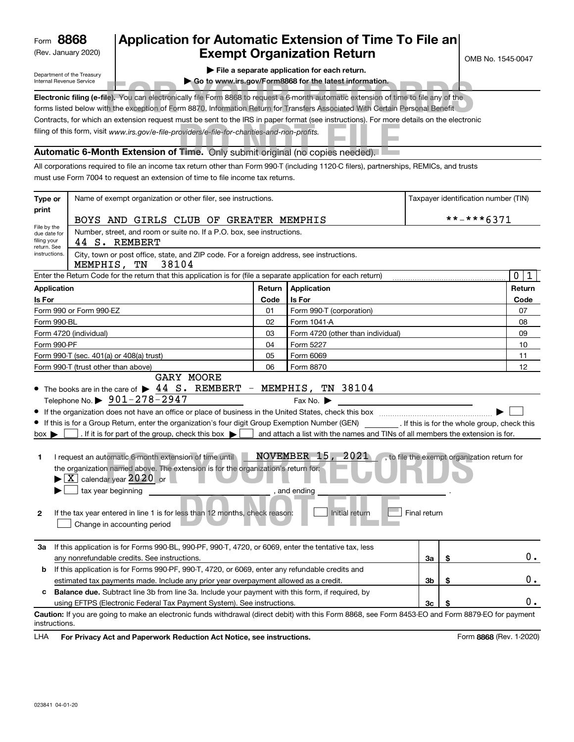(Rev. January 2020)

# **Application for Automatic Extension of Time To File an Exempt Organization Return**

OMB No. 1545-0047

Department of the Treasury Internal Revenue Service

**| File a separate application for each return.**

**| Go to www.irs.gov/Form8868 for the latest information.**

| internal Revenue Service | <b>Exactle www.irs.gov/Formoodo for the latest intermation.</b>                                                                          |
|--------------------------|------------------------------------------------------------------------------------------------------------------------------------------|
|                          | Electronic filing (e-file). You can electronically file Form 8868 to request a 6-month automatic extension of time to file any of the    |
|                          | forms listed below with the exception of Form 8870, Information Return for Transfers Associated With Certain Personal Benefit.           |
|                          | Contracts, for which an extension request must be sent to the IRS in paper format (see instructions). For more details on the electronic |
|                          | filing of this form, visit www.irs.gov/e-file-providers/e-file-for-charities-and-non-profits.                                            |
|                          | Automatic 6-Month Extension of Time. Only submit original (no copies needed).                                                            |

All corporations required to file an income tax return other than Form 990-T (including 1120-C filers), partnerships, REMICs, and trusts must use Form 7004 to request an extension of time to file income tax returns.

| Type or                                                                                                                           | Name of exempt organization or other filer, see instructions.                                                                                                                                                                                                                                                                                                                                                                                                                                                                                                                                                        |        |                                                                                                                                                                                                                     |              | Taxpayer identification number (TIN) |                                        |
|-----------------------------------------------------------------------------------------------------------------------------------|----------------------------------------------------------------------------------------------------------------------------------------------------------------------------------------------------------------------------------------------------------------------------------------------------------------------------------------------------------------------------------------------------------------------------------------------------------------------------------------------------------------------------------------------------------------------------------------------------------------------|--------|---------------------------------------------------------------------------------------------------------------------------------------------------------------------------------------------------------------------|--------------|--------------------------------------|----------------------------------------|
| print                                                                                                                             | **-***6371<br>BOYS AND GIRLS CLUB OF GREATER MEMPHIS                                                                                                                                                                                                                                                                                                                                                                                                                                                                                                                                                                 |        |                                                                                                                                                                                                                     |              |                                      |                                        |
| File by the<br>due date for<br>filing your<br>return. See                                                                         | Number, street, and room or suite no. If a P.O. box, see instructions.<br>44 S. REMBERT                                                                                                                                                                                                                                                                                                                                                                                                                                                                                                                              |        |                                                                                                                                                                                                                     |              |                                      |                                        |
| City, town or post office, state, and ZIP code. For a foreign address, see instructions.<br>instructions.<br>38104<br>MEMPHIS, TN |                                                                                                                                                                                                                                                                                                                                                                                                                                                                                                                                                                                                                      |        |                                                                                                                                                                                                                     |              |                                      |                                        |
|                                                                                                                                   | Enter the Return Code for the return that this application is for (file a separate application for each return)                                                                                                                                                                                                                                                                                                                                                                                                                                                                                                      |        |                                                                                                                                                                                                                     |              |                                      | $\mathbf 0$<br>1                       |
| <b>Application</b>                                                                                                                |                                                                                                                                                                                                                                                                                                                                                                                                                                                                                                                                                                                                                      | Return | Application                                                                                                                                                                                                         |              |                                      | Return                                 |
| Is For                                                                                                                            |                                                                                                                                                                                                                                                                                                                                                                                                                                                                                                                                                                                                                      | Code   | <b>Is For</b>                                                                                                                                                                                                       |              |                                      | Code                                   |
|                                                                                                                                   | Form 990 or Form 990-EZ                                                                                                                                                                                                                                                                                                                                                                                                                                                                                                                                                                                              | 01     | Form 990-T (corporation)                                                                                                                                                                                            |              |                                      | 07                                     |
| Form 990-BL                                                                                                                       |                                                                                                                                                                                                                                                                                                                                                                                                                                                                                                                                                                                                                      | 02     | Form 1041-A                                                                                                                                                                                                         |              |                                      | 08                                     |
|                                                                                                                                   | Form 4720 (individual)                                                                                                                                                                                                                                                                                                                                                                                                                                                                                                                                                                                               | 03     | Form 4720 (other than individual)                                                                                                                                                                                   |              |                                      | 09                                     |
| Form 990-PF                                                                                                                       |                                                                                                                                                                                                                                                                                                                                                                                                                                                                                                                                                                                                                      | 04     | Form 5227                                                                                                                                                                                                           |              |                                      | 10                                     |
|                                                                                                                                   | Form 990-T (sec. 401(a) or 408(a) trust)                                                                                                                                                                                                                                                                                                                                                                                                                                                                                                                                                                             | 05     | Form 6069                                                                                                                                                                                                           |              |                                      | 11                                     |
|                                                                                                                                   | Form 990-T (trust other than above)                                                                                                                                                                                                                                                                                                                                                                                                                                                                                                                                                                                  | 06     | Form 8870                                                                                                                                                                                                           |              |                                      | 12                                     |
| $box \blacktriangleright$<br>1.<br>2                                                                                              | Telephone No. ▶ $901 - 278 - 2947$<br>If this is for a Group Return, enter the organization's four digit Group Exemption Number (GEN) [15] If this is for the whole group, check this<br>. If it is for part of the group, check this box $\blacktriangleright$<br>I request an automatic 6-month extension of time until<br>the organization named above. The extension is for the organization's return for:<br>$\blacktriangleright$ $\boxed{\text{X}}$ calendar year 2020 or<br>tax year beginning<br>If the tax year entered in line 1 is for less than 12 months, check reason:<br>Change in accounting period |        | Fax No. $\blacktriangleright$<br>and attach a list with the names and TINs of all members the extension is for.<br>NOVEMBER 15, 2021 , to file the exempt organization return for<br>, and ending<br>Initial return | Final return |                                      |                                        |
|                                                                                                                                   | 3a If this application is for Forms 990-BL, 990-PF, 990-T, 4720, or 6069, enter the tentative tax, less<br>\$<br>any nonrefundable credits. See instructions.<br>За                                                                                                                                                                                                                                                                                                                                                                                                                                                  |        |                                                                                                                                                                                                                     | 0.           |                                      |                                        |
| b                                                                                                                                 | If this application is for Forms 990-PF, 990-T, 4720, or 6069, enter any refundable credits and                                                                                                                                                                                                                                                                                                                                                                                                                                                                                                                      |        |                                                                                                                                                                                                                     |              |                                      |                                        |
|                                                                                                                                   | estimated tax payments made. Include any prior year overpayment allowed as a credit.                                                                                                                                                                                                                                                                                                                                                                                                                                                                                                                                 |        |                                                                                                                                                                                                                     | 3b           | \$                                   | $0$ .                                  |
| c                                                                                                                                 | Balance due. Subtract line 3b from line 3a. Include your payment with this form, if required, by                                                                                                                                                                                                                                                                                                                                                                                                                                                                                                                     |        |                                                                                                                                                                                                                     |              |                                      |                                        |
|                                                                                                                                   | using EFTPS (Electronic Federal Tax Payment System). See instructions.                                                                                                                                                                                                                                                                                                                                                                                                                                                                                                                                               |        |                                                                                                                                                                                                                     | 3c           |                                      | 0.                                     |
| instructions.                                                                                                                     | Caution: If you are going to make an electronic funds withdrawal (direct debit) with this Form 8868, see Form 8453-EO and Form 8879-EO for payment                                                                                                                                                                                                                                                                                                                                                                                                                                                                   |        |                                                                                                                                                                                                                     |              |                                      |                                        |
| $\mathbf{1}$                                                                                                                      | Pro Bottomar And and Bank<br>iadh Daobhaile a Aoil Noileannacha bantarra                                                                                                                                                                                                                                                                                                                                                                                                                                                                                                                                             |        |                                                                                                                                                                                                                     |              |                                      | $F_{2}$ $\cdots$ 0000 $(D_{2}, 10000)$ |

**HA** For Privacy Act and Paperwork Reduction Act Notice, see instructions. **But a struction of the Constantion Constant** Form 8868 (Rev. 1-2020) LHA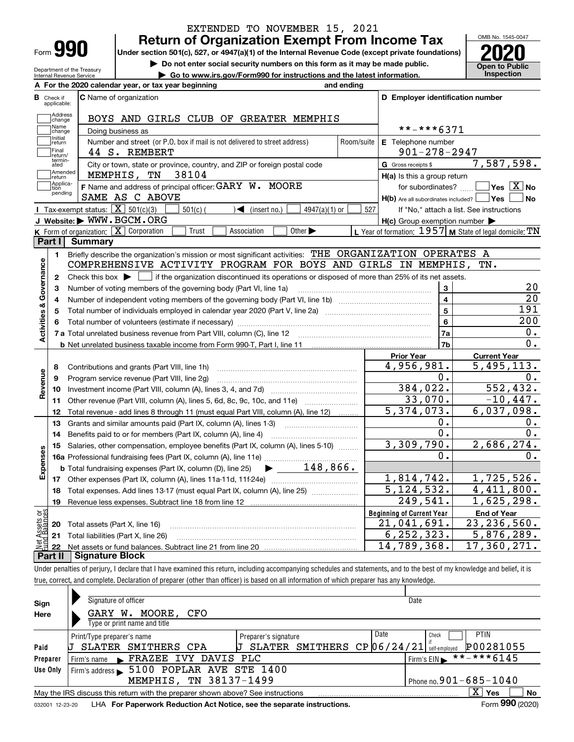| Form |  |
|------|--|

Department of the Treasury Internal Revenue Service

### **Return of Organization Exempt From Income Tax** EXTENDED TO NOVEMBER 15, 2021

**Under section 501(c), 527, or 4947(a)(1) of the Internal Revenue Code (except private foundations) 2020**

**| Do not enter social security numbers on this form as it may be made public.**

**| Go to www.irs.gov/Form990 for instructions and the latest information. Inspection**

OMB No. 1545-0047 **Open to Public** 

|                                                   | A For the 2020 calendar year, or tax year beginning                                                                                                                 | and ending |                                                         |                                                         |
|---------------------------------------------------|---------------------------------------------------------------------------------------------------------------------------------------------------------------------|------------|---------------------------------------------------------|---------------------------------------------------------|
| В<br>Check if<br>applicable:                      | <b>C</b> Name of organization                                                                                                                                       |            | D Employer identification number                        |                                                         |
| Address<br>change                                 | BOYS AND GIRLS CLUB OF GREATER MEMPHIS                                                                                                                              |            |                                                         |                                                         |
| Name<br>change                                    | Doing business as                                                                                                                                                   |            | **-***6371                                              |                                                         |
| Initial<br>return                                 | Number and street (or P.O. box if mail is not delivered to street address)                                                                                          | Room/suite | E Telephone number                                      |                                                         |
| Final<br>return/                                  | 44 S. REMBERT                                                                                                                                                       |            | $901 - 278 - 2947$                                      |                                                         |
| termin-<br>ated                                   | City or town, state or province, country, and ZIP or foreign postal code                                                                                            |            | <b>G</b> Gross receipts \$                              | 7,587,598.                                              |
| Amended<br>return                                 | MEMPHIS, TN 38104                                                                                                                                                   |            | H(a) Is this a group return                             |                                                         |
| Applica-<br>tion                                  | F Name and address of principal officer: GARY W. MOORE                                                                                                              |            | for subordinates?                                       | $\Box$ Yes $[\overline{\mathrm{X}}]$ No                 |
| pending                                           | SAME AS C ABOVE                                                                                                                                                     |            | $H(b)$ Are all subordinates included? $\Box$ Yes $\Box$ | ∣No                                                     |
| Tax-exempt status: $\boxed{\mathbf{X}}$ 501(c)(3) | $\sqrt{\bullet}$ (insert no.)<br>$4947(a)(1)$ or<br>$501(c)$ (                                                                                                      | 527        |                                                         | If "No," attach a list. See instructions                |
|                                                   | J Website: WWW.BGCM.ORG                                                                                                                                             |            | $H(c)$ Group exemption number $\blacktriangleright$     |                                                         |
|                                                   | K Form of organization: $\boxed{\mathbf{X}}$ Corporation<br>Trust<br>Association<br>Other $\blacktriangleright$                                                     |            |                                                         | L Year of formation: 1957 M State of legal domicile: TN |
| Part I<br>Summary                                 |                                                                                                                                                                     |            |                                                         |                                                         |
| 1.                                                | Briefly describe the organization's mission or most significant activities: THE ORGANIZATION OPERATES A                                                             |            |                                                         |                                                         |
|                                                   | COMPREHENSIVE ACTIVITY PROGRAM FOR BOYS AND GIRLS IN MEMPHIS,                                                                                                       |            |                                                         | TN.                                                     |
| 2                                                 | Check this box $\blacktriangleright \Box$ if the organization discontinued its operations or disposed of more than 25% of its net assets.                           |            |                                                         |                                                         |
| 3                                                 | Number of voting members of the governing body (Part VI, line 1a)                                                                                                   |            | 3                                                       | 20                                                      |
| 4                                                 |                                                                                                                                                                     |            | $\overline{\mathbf{4}}$                                 | $\overline{20}$                                         |
| 5                                                 | Total number of individuals employed in calendar year 2020 (Part V, line 2a) [11] [12] Total number of individuals employed in calendar year 2020 (Part V, line 2a) |            | 5                                                       | 191                                                     |
| 6                                                 |                                                                                                                                                                     |            | 6                                                       | 200                                                     |
|                                                   |                                                                                                                                                                     |            | 7a                                                      | 0.                                                      |
|                                                   | <b>b</b> Net unrelated business taxable income from Form 990-T, Part I, line 11                                                                                     |            | 7b                                                      | 0.                                                      |
|                                                   |                                                                                                                                                                     |            | <b>Prior Year</b>                                       | <b>Current Year</b>                                     |
| 8                                                 | Contributions and grants (Part VIII, line 1h)                                                                                                                       |            | 4,956,981.                                              | 5,495,113.                                              |
| 9                                                 | Program service revenue (Part VIII, line 2g)                                                                                                                        |            | 0.                                                      | О.                                                      |
| 10                                                |                                                                                                                                                                     |            | 384,022.                                                | 552, 432.                                               |
| 11                                                | Other revenue (Part VIII, column (A), lines 5, 6d, 8c, 9c, 10c, and 11e)                                                                                            |            | 33,070.                                                 | $-10,447.$                                              |
| 12                                                | Total revenue - add lines 8 through 11 (must equal Part VIII, column (A), line 12)                                                                                  |            | 5,374,073.                                              | 6,037,098.                                              |
| 13                                                | Grants and similar amounts paid (Part IX, column (A), lines 1-3)                                                                                                    |            | 0.                                                      | 0.                                                      |
| 14                                                | Benefits paid to or for members (Part IX, column (A), line 4)                                                                                                       |            | 0.                                                      | 0.                                                      |
| 15                                                | Salaries, other compensation, employee benefits (Part IX, column (A), lines 5-10)                                                                                   |            | 3,309,790.                                              | 2,686,274.                                              |
|                                                   |                                                                                                                                                                     |            | 0.                                                      | $0$ .                                                   |
|                                                   | $\blacktriangleright$ 148,866.<br><b>b</b> Total fundraising expenses (Part IX, column (D), line 25)                                                                |            |                                                         |                                                         |
|                                                   |                                                                                                                                                                     |            | 1,814,742.                                              | 1,725,526.                                              |
| 18                                                | Total expenses. Add lines 13-17 (must equal Part IX, column (A), line 25)                                                                                           |            | 5, 124, 532.                                            | 4,411,800.                                              |
| 19                                                |                                                                                                                                                                     |            | 249,541.                                                | 1,625,298.                                              |
|                                                   |                                                                                                                                                                     |            | <b>Beginning of Current Year</b>                        | <b>End of Year</b>                                      |
| äğ                                                | <b>20</b> Total assets (Part X, line 16)                                                                                                                            |            | 21,041,691.                                             | 23, 236, 560.                                           |
| Assets<br>Ralanc                                  | 21 Total liabilities (Part X, line 26)                                                                                                                              |            | 6, 252, 323.                                            | 5,876,289.                                              |
| 22                                                |                                                                                                                                                                     |            | 14,789,368.                                             | 17, 360, 271.                                           |
|                                                   |                                                                                                                                                                     |            |                                                         |                                                         |

Under penalties of perjury, I declare that I have examined this return, including accompanying schedules and statements, and to the best of my knowledge and belief, it is true, correct, and complete. Declaration of preparer (other than officer) is based on all information of which preparer has any knowledge.

| Sign                                                                                                                | Signature of officer                                                                                         |                           |            | Date                         |  |  |
|---------------------------------------------------------------------------------------------------------------------|--------------------------------------------------------------------------------------------------------------|---------------------------|------------|------------------------------|--|--|
| Here                                                                                                                | MOORE,<br>w.<br>CFO<br>GARY                                                                                  |                           |            |                              |  |  |
|                                                                                                                     | Type or print name and title                                                                                 |                           |            |                              |  |  |
|                                                                                                                     | Print/Type preparer's name                                                                                   | Preparer's signature      | Date       | <b>PTIN</b><br>Check         |  |  |
| Paid                                                                                                                | SMITHERS<br>SLATER<br>CPA                                                                                    | SMITHERS<br><b>SLATER</b> | CP06/24/21 | P00281055<br>self-emploved   |  |  |
| Preparer                                                                                                            | FRAZEE IVY DAVIS PLC<br>Firm's name                                                                          |                           |            | **-***6145<br>Firm's EIN     |  |  |
| Use Only                                                                                                            | Firm's address > 5100 POPLAR AVE STE 1400                                                                    |                           |            |                              |  |  |
|                                                                                                                     | MEMPHIS, TN 38137-1499                                                                                       |                           |            | Phone no. $901 - 685 - 1040$ |  |  |
| $\mathbf{X}$<br><b>No</b><br>Yes<br>May the IRS discuss this return with the preparer shown above? See instructions |                                                                                                              |                           |            |                              |  |  |
|                                                                                                                     | Form 990 (2020)<br>LHA For Paperwork Reduction Act Notice, see the separate instructions.<br>032001 12-23-20 |                           |            |                              |  |  |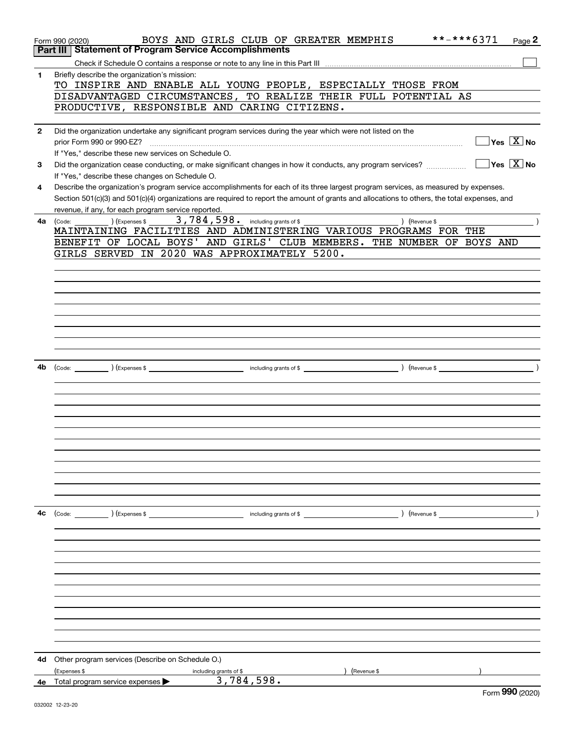|              | BOYS AND GIRLS CLUB OF GREATER MEMPHIS<br>Form 990 (2020)                                                                                    | **-***6371           | Page 2                                 |
|--------------|----------------------------------------------------------------------------------------------------------------------------------------------|----------------------|----------------------------------------|
|              | <b>Part III Statement of Program Service Accomplishments</b>                                                                                 |                      |                                        |
|              |                                                                                                                                              |                      |                                        |
| 1            | Briefly describe the organization's mission:                                                                                                 |                      |                                        |
|              | TO INSPIRE AND ENABLE ALL YOUNG PEOPLE, ESPECIALLY THOSE FROM                                                                                |                      |                                        |
|              | DISADVANTAGED CIRCUMSTANCES, TO REALIZE THEIR FULL POTENTIAL AS                                                                              |                      |                                        |
|              |                                                                                                                                              |                      |                                        |
|              | PRODUCTIVE, RESPONSIBLE AND CARING CITIZENS.                                                                                                 |                      |                                        |
|              |                                                                                                                                              |                      |                                        |
| $\mathbf{2}$ | Did the organization undertake any significant program services during the year which were not listed on the                                 |                      |                                        |
|              |                                                                                                                                              |                      | $\sqrt{}$ Yes $\sqrt{}$ X $\sqrt{}$ No |
|              | If "Yes," describe these new services on Schedule O.                                                                                         |                      |                                        |
| 3            | Did the organization cease conducting, or make significant changes in how it conducts, any program services?                                 | $\Box$ Yes $\Box$ No |                                        |
|              | If "Yes," describe these changes on Schedule O.                                                                                              |                      |                                        |
| 4            | Describe the organization's program service accomplishments for each of its three largest program services, as measured by expenses.         |                      |                                        |
|              | Section 501(c)(3) and 501(c)(4) organizations are required to report the amount of grants and allocations to others, the total expenses, and |                      |                                        |
|              | revenue, if any, for each program service reported.                                                                                          |                      |                                        |
| 4a           | $3,784,598$ and including grants of \$<br>(Code: ) (Expenses \$<br>) (Revenue \$                                                             |                      |                                        |
|              | MAINTAINING FACILITIES AND ADMINISTERING VARIOUS PROGRAMS FOR THE                                                                            |                      |                                        |
|              | BENEFIT OF LOCAL BOYS' AND GIRLS' CLUB MEMBERS. THE NUMBER OF BOYS AND                                                                       |                      |                                        |
|              | GIRLS SERVED IN 2020 WAS APPROXIMATELY 5200.                                                                                                 |                      |                                        |
|              |                                                                                                                                              |                      |                                        |
|              |                                                                                                                                              |                      |                                        |
|              |                                                                                                                                              |                      |                                        |
|              |                                                                                                                                              |                      |                                        |
|              |                                                                                                                                              |                      |                                        |
|              |                                                                                                                                              |                      |                                        |
|              |                                                                                                                                              |                      |                                        |
|              |                                                                                                                                              |                      |                                        |
|              |                                                                                                                                              |                      |                                        |
|              |                                                                                                                                              |                      |                                        |
| 4b           |                                                                                                                                              |                      |                                        |
|              |                                                                                                                                              |                      |                                        |
|              |                                                                                                                                              |                      |                                        |
|              |                                                                                                                                              |                      |                                        |
|              |                                                                                                                                              |                      |                                        |
|              |                                                                                                                                              |                      |                                        |
|              |                                                                                                                                              |                      |                                        |
|              |                                                                                                                                              |                      |                                        |
|              |                                                                                                                                              |                      |                                        |
|              |                                                                                                                                              |                      |                                        |
|              |                                                                                                                                              |                      |                                        |
|              |                                                                                                                                              |                      |                                        |
|              |                                                                                                                                              |                      |                                        |
|              |                                                                                                                                              |                      |                                        |
| 4с           | (Code: ) (Expenses \$<br>) (Revenue \$<br>including grants of \$                                                                             |                      |                                        |
|              |                                                                                                                                              |                      |                                        |
|              |                                                                                                                                              |                      |                                        |
|              |                                                                                                                                              |                      |                                        |
|              |                                                                                                                                              |                      |                                        |
|              |                                                                                                                                              |                      |                                        |
|              |                                                                                                                                              |                      |                                        |
|              |                                                                                                                                              |                      |                                        |
|              |                                                                                                                                              |                      |                                        |
|              |                                                                                                                                              |                      |                                        |
|              |                                                                                                                                              |                      |                                        |
|              |                                                                                                                                              |                      |                                        |
|              |                                                                                                                                              |                      |                                        |
| 4d           | Other program services (Describe on Schedule O.)                                                                                             |                      |                                        |
|              |                                                                                                                                              |                      |                                        |
|              | (Expenses \$<br>including grants of \$<br>(Revenue \$<br>3,784,598.                                                                          |                      |                                        |
| 4е           | Total program service expenses                                                                                                               |                      | $F_{\text{c}}$ QQO (2020)              |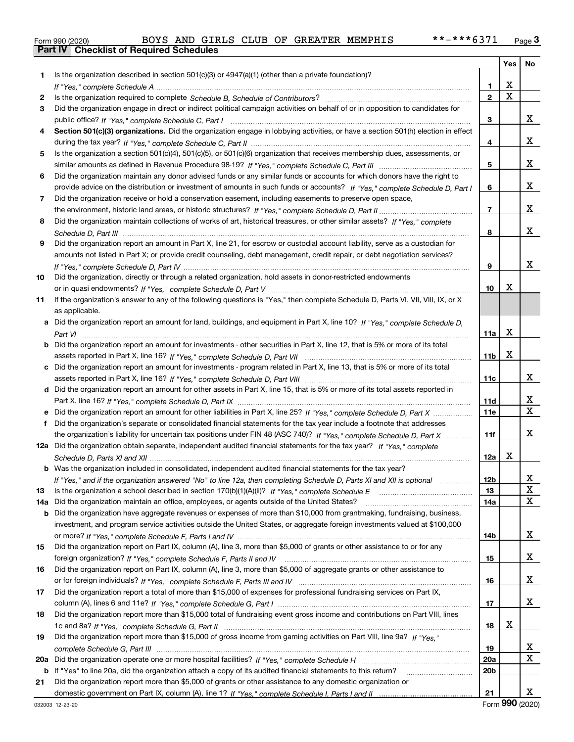|  | Form 990 (2020) |
|--|-----------------|
|  |                 |

|     |                                                                                                                                       |                 | Yes | No                      |
|-----|---------------------------------------------------------------------------------------------------------------------------------------|-----------------|-----|-------------------------|
| 1.  | Is the organization described in section $501(c)(3)$ or $4947(a)(1)$ (other than a private foundation)?                               |                 |     |                         |
|     |                                                                                                                                       | 1.              | х   |                         |
| 2   |                                                                                                                                       | $\mathbf{2}$    | X   |                         |
| 3   | Did the organization engage in direct or indirect political campaign activities on behalf of or in opposition to candidates for       |                 |     |                         |
|     |                                                                                                                                       | 3               |     | x                       |
| 4   | Section 501(c)(3) organizations. Did the organization engage in lobbying activities, or have a section 501(h) election in effect      |                 |     |                         |
|     |                                                                                                                                       | 4               |     | x                       |
| 5   | Is the organization a section 501(c)(4), 501(c)(5), or 501(c)(6) organization that receives membership dues, assessments, or          |                 |     |                         |
|     |                                                                                                                                       | 5               |     | x                       |
| 6   | Did the organization maintain any donor advised funds or any similar funds or accounts for which donors have the right to             |                 |     |                         |
|     | provide advice on the distribution or investment of amounts in such funds or accounts? If "Yes," complete Schedule D, Part I          | 6               |     | x                       |
| 7   | Did the organization receive or hold a conservation easement, including easements to preserve open space,                             |                 |     |                         |
|     |                                                                                                                                       | $\overline{7}$  |     | x                       |
| 8   | Did the organization maintain collections of works of art, historical treasures, or other similar assets? If "Yes," complete          |                 |     |                         |
|     |                                                                                                                                       | 8               |     | x                       |
| 9   | Did the organization report an amount in Part X, line 21, for escrow or custodial account liability, serve as a custodian for         |                 |     |                         |
|     | amounts not listed in Part X; or provide credit counseling, debt management, credit repair, or debt negotiation services?             |                 |     |                         |
|     |                                                                                                                                       | 9               |     | x                       |
| 10  | Did the organization, directly or through a related organization, hold assets in donor-restricted endowments                          |                 |     |                         |
|     |                                                                                                                                       | 10              | x   |                         |
| 11  | If the organization's answer to any of the following questions is "Yes," then complete Schedule D, Parts VI, VII, VIII, IX, or X      |                 |     |                         |
|     | as applicable.                                                                                                                        |                 |     |                         |
|     | a Did the organization report an amount for land, buildings, and equipment in Part X, line 10? If "Yes," complete Schedule D,         |                 |     |                         |
|     |                                                                                                                                       | 11a             | х   |                         |
|     | <b>b</b> Did the organization report an amount for investments - other securities in Part X, line 12, that is 5% or more of its total |                 |     |                         |
|     |                                                                                                                                       | 11 <sub>b</sub> | Х   |                         |
|     | c Did the organization report an amount for investments - program related in Part X, line 13, that is 5% or more of its total         |                 |     |                         |
|     |                                                                                                                                       | 11c             |     | x                       |
|     | d Did the organization report an amount for other assets in Part X, line 15, that is 5% or more of its total assets reported in       |                 |     |                         |
|     |                                                                                                                                       | 11d             |     | X.                      |
|     | e Did the organization report an amount for other liabilities in Part X, line 25? If "Yes," complete Schedule D, Part X               | <b>11e</b>      |     | $\overline{\mathbf{x}}$ |
|     | f Did the organization's separate or consolidated financial statements for the tax year include a footnote that addresses             |                 |     |                         |
|     | the organization's liability for uncertain tax positions under FIN 48 (ASC 740)? If "Yes," complete Schedule D, Part X                | 11f             |     | x                       |
|     | 12a Did the organization obtain separate, independent audited financial statements for the tax year? If "Yes." complete               |                 |     |                         |
|     |                                                                                                                                       | 12a             | х   |                         |
|     | <b>b</b> Was the organization included in consolidated, independent audited financial statements for the tax year?                    |                 |     |                         |
|     | If "Yes," and if the organization answered "No" to line 12a, then completing Schedule D, Parts XI and XII is optional                 | 12 <sub>b</sub> |     | х                       |
| 13  |                                                                                                                                       | 13              |     | X                       |
| 14a | Did the organization maintain an office, employees, or agents outside of the United States?                                           | 14a             |     | X                       |
|     | <b>b</b> Did the organization have aggregate revenues or expenses of more than \$10,000 from grantmaking, fundraising, business,      |                 |     |                         |
|     | investment, and program service activities outside the United States, or aggregate foreign investments valued at \$100,000            |                 |     |                         |
|     |                                                                                                                                       | 14b             |     | X                       |
| 15  | Did the organization report on Part IX, column (A), line 3, more than \$5,000 of grants or other assistance to or for any             |                 |     |                         |
|     |                                                                                                                                       | 15              |     | X                       |
| 16  | Did the organization report on Part IX, column (A), line 3, more than \$5,000 of aggregate grants or other assistance to              |                 |     |                         |
|     |                                                                                                                                       | 16              |     | x                       |
| 17  | Did the organization report a total of more than \$15,000 of expenses for professional fundraising services on Part IX,               |                 |     | x                       |
|     |                                                                                                                                       | 17              |     |                         |
| 18  | Did the organization report more than \$15,000 total of fundraising event gross income and contributions on Part VIII, lines          | 18              | х   |                         |
|     | Did the organization report more than \$15,000 of gross income from gaming activities on Part VIII, line 9a? If "Yes."                |                 |     |                         |
| 19  |                                                                                                                                       |                 |     | X                       |
|     |                                                                                                                                       | 19              |     | X                       |
| 20a | b If "Yes" to line 20a, did the organization attach a copy of its audited financial statements to this return?                        | 20a<br>20b      |     |                         |
|     | Did the organization report more than \$5,000 of grants or other assistance to any domestic organization or                           |                 |     |                         |
| 21  |                                                                                                                                       | 21              |     | X                       |
|     |                                                                                                                                       |                 |     |                         |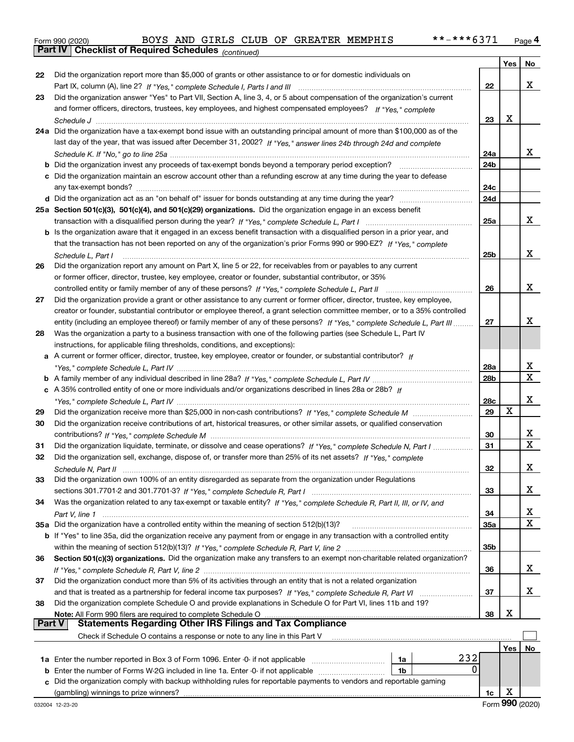|  | Form 990 (2020) |
|--|-----------------|
|  |                 |

*(continued)*

| Did the organization report more than \$5,000 of grants or other assistance to or for domestic individuals on<br>22<br>х<br>22<br>Did the organization answer "Yes" to Part VII, Section A, line 3, 4, or 5 about compensation of the organization's current<br>23<br>and former officers, directors, trustees, key employees, and highest compensated employees? If "Yes," complete<br>X<br>23<br>24a Did the organization have a tax-exempt bond issue with an outstanding principal amount of more than \$100,000 as of the<br>last day of the year, that was issued after December 31, 2002? If "Yes," answer lines 24b through 24d and complete<br>х<br>24a<br>24b<br>b Did the organization invest any proceeds of tax-exempt bonds beyond a temporary period exception?<br>c Did the organization maintain an escrow account other than a refunding escrow at any time during the year to defease<br>24c<br>24d<br>25a Section 501(c)(3), 501(c)(4), and 501(c)(29) organizations. Did the organization engage in an excess benefit<br>х<br>25a<br>b Is the organization aware that it engaged in an excess benefit transaction with a disqualified person in a prior year, and<br>that the transaction has not been reported on any of the organization's prior Forms 990 or 990-EZ? If "Yes," complete<br>х<br>25 <sub>b</sub><br>Schedule L, Part I<br>Did the organization report any amount on Part X, line 5 or 22, for receivables from or payables to any current<br>26<br>or former officer, director, trustee, key employee, creator or founder, substantial contributor, or 35%<br>х<br>26<br>Did the organization provide a grant or other assistance to any current or former officer, director, trustee, key employee,<br>27<br>creator or founder, substantial contributor or employee thereof, a grant selection committee member, or to a 35% controlled<br>x<br>entity (including an employee thereof) or family member of any of these persons? If "Yes," complete Schedule L, Part III<br>27<br>Was the organization a party to a business transaction with one of the following parties (see Schedule L, Part IV<br>28<br>instructions, for applicable filing thresholds, conditions, and exceptions):<br>a A current or former officer, director, trustee, key employee, creator or founder, or substantial contributor? If<br>х<br>28a<br>$\mathbf x$<br>28b<br>c A 35% controlled entity of one or more individuals and/or organizations described in lines 28a or 28b? If<br>х<br>28c<br>X<br>29<br>29<br>Did the organization receive contributions of art, historical treasures, or other similar assets, or qualified conservation<br>30<br>х<br>30<br>$\mathbf X$<br>31<br>31<br>Did the organization liquidate, terminate, or dissolve and cease operations? If "Yes," complete Schedule N, Part I<br>Did the organization sell, exchange, dispose of, or transfer more than 25% of its net assets? If "Yes," complete<br>32<br>х<br>32<br>Did the organization own 100% of an entity disregarded as separate from the organization under Regulations<br>33<br>х<br>33<br>Was the organization related to any tax-exempt or taxable entity? If "Yes," complete Schedule R, Part II, III, or IV, and<br>34<br>х<br>34<br>X<br>35a Did the organization have a controlled entity within the meaning of section 512(b)(13)?<br><b>35a</b><br><b>b</b> If "Yes" to line 35a, did the organization receive any payment from or engage in any transaction with a controlled entity<br>35b<br>Section 501(c)(3) organizations. Did the organization make any transfers to an exempt non-charitable related organization?<br>36<br>x<br>36<br>Did the organization conduct more than 5% of its activities through an entity that is not a related organization<br>37<br>x<br>and that is treated as a partnership for federal income tax purposes? If "Yes," complete Schedule R, Part VI<br>37<br>Did the organization complete Schedule O and provide explanations in Schedule O for Part VI, lines 11b and 19?<br>38<br>х<br>Note: All Form 990 filers are required to complete Schedule O<br>38<br><b>Part V</b><br><b>Statements Regarding Other IRS Filings and Tax Compliance</b><br>Check if Schedule O contains a response or note to any line in this Part V<br>Yes<br>No<br>232<br>1a Enter the number reported in Box 3 of Form 1096. Enter -0- if not applicable<br>1a<br>0<br><b>b</b> Enter the number of Forms W-2G included in line 1a. Enter -0- if not applicable<br>1b<br>Did the organization comply with backup withholding rules for reportable payments to vendors and reportable gaming<br>c<br>х<br>(gambling) winnings to prize winners?<br>1c |  | Yes | No |
|--------------------------------------------------------------------------------------------------------------------------------------------------------------------------------------------------------------------------------------------------------------------------------------------------------------------------------------------------------------------------------------------------------------------------------------------------------------------------------------------------------------------------------------------------------------------------------------------------------------------------------------------------------------------------------------------------------------------------------------------------------------------------------------------------------------------------------------------------------------------------------------------------------------------------------------------------------------------------------------------------------------------------------------------------------------------------------------------------------------------------------------------------------------------------------------------------------------------------------------------------------------------------------------------------------------------------------------------------------------------------------------------------------------------------------------------------------------------------------------------------------------------------------------------------------------------------------------------------------------------------------------------------------------------------------------------------------------------------------------------------------------------------------------------------------------------------------------------------------------------------------------------------------------------------------------------------------------------------------------------------------------------------------------------------------------------------------------------------------------------------------------------------------------------------------------------------------------------------------------------------------------------------------------------------------------------------------------------------------------------------------------------------------------------------------------------------------------------------------------------------------------------------------------------------------------------------------------------------------------------------------------------------------------------------------------------------------------------------------------------------------------------------------------------------------------------------------------------------------------------------------------------------------------------------------------------------------------------------------------------------------------------------------------------------------------------------------------------------------------------------------------------------------------------------------------------------------------------------------------------------------------------------------------------------------------------------------------------------------------------------------------------------------------------------------------------------------------------------------------------------------------------------------------------------------------------------------------------------------------------------------------------------------------------------------------------------------------------------------------------------------------------------------------------------------------------------------------------------------------------------------------------------------------------------------------------------------------------------------------------------------------------------------------------------------------------------------------------------------------------------------------------------------------------------------------------------------------------------------------------------------------------------------------------------------------------------------------------------------------------------------------------------------------------------------------------------------------------------------------------------------------------------------------------------------------------------------------------------------------------------------------------------------------------------------------------------------|--|-----|----|
|                                                                                                                                                                                                                                                                                                                                                                                                                                                                                                                                                                                                                                                                                                                                                                                                                                                                                                                                                                                                                                                                                                                                                                                                                                                                                                                                                                                                                                                                                                                                                                                                                                                                                                                                                                                                                                                                                                                                                                                                                                                                                                                                                                                                                                                                                                                                                                                                                                                                                                                                                                                                                                                                                                                                                                                                                                                                                                                                                                                                                                                                                                                                                                                                                                                                                                                                                                                                                                                                                                                                                                                                                                                                                                                                                                                                                                                                                                                                                                                                                                                                                                                                                                                                                                                                                                                                                                                                                                                                                                                                                                                                                                                                                                        |  |     |    |
|                                                                                                                                                                                                                                                                                                                                                                                                                                                                                                                                                                                                                                                                                                                                                                                                                                                                                                                                                                                                                                                                                                                                                                                                                                                                                                                                                                                                                                                                                                                                                                                                                                                                                                                                                                                                                                                                                                                                                                                                                                                                                                                                                                                                                                                                                                                                                                                                                                                                                                                                                                                                                                                                                                                                                                                                                                                                                                                                                                                                                                                                                                                                                                                                                                                                                                                                                                                                                                                                                                                                                                                                                                                                                                                                                                                                                                                                                                                                                                                                                                                                                                                                                                                                                                                                                                                                                                                                                                                                                                                                                                                                                                                                                                        |  |     |    |
|                                                                                                                                                                                                                                                                                                                                                                                                                                                                                                                                                                                                                                                                                                                                                                                                                                                                                                                                                                                                                                                                                                                                                                                                                                                                                                                                                                                                                                                                                                                                                                                                                                                                                                                                                                                                                                                                                                                                                                                                                                                                                                                                                                                                                                                                                                                                                                                                                                                                                                                                                                                                                                                                                                                                                                                                                                                                                                                                                                                                                                                                                                                                                                                                                                                                                                                                                                                                                                                                                                                                                                                                                                                                                                                                                                                                                                                                                                                                                                                                                                                                                                                                                                                                                                                                                                                                                                                                                                                                                                                                                                                                                                                                                                        |  |     |    |
|                                                                                                                                                                                                                                                                                                                                                                                                                                                                                                                                                                                                                                                                                                                                                                                                                                                                                                                                                                                                                                                                                                                                                                                                                                                                                                                                                                                                                                                                                                                                                                                                                                                                                                                                                                                                                                                                                                                                                                                                                                                                                                                                                                                                                                                                                                                                                                                                                                                                                                                                                                                                                                                                                                                                                                                                                                                                                                                                                                                                                                                                                                                                                                                                                                                                                                                                                                                                                                                                                                                                                                                                                                                                                                                                                                                                                                                                                                                                                                                                                                                                                                                                                                                                                                                                                                                                                                                                                                                                                                                                                                                                                                                                                                        |  |     |    |
|                                                                                                                                                                                                                                                                                                                                                                                                                                                                                                                                                                                                                                                                                                                                                                                                                                                                                                                                                                                                                                                                                                                                                                                                                                                                                                                                                                                                                                                                                                                                                                                                                                                                                                                                                                                                                                                                                                                                                                                                                                                                                                                                                                                                                                                                                                                                                                                                                                                                                                                                                                                                                                                                                                                                                                                                                                                                                                                                                                                                                                                                                                                                                                                                                                                                                                                                                                                                                                                                                                                                                                                                                                                                                                                                                                                                                                                                                                                                                                                                                                                                                                                                                                                                                                                                                                                                                                                                                                                                                                                                                                                                                                                                                                        |  |     |    |
|                                                                                                                                                                                                                                                                                                                                                                                                                                                                                                                                                                                                                                                                                                                                                                                                                                                                                                                                                                                                                                                                                                                                                                                                                                                                                                                                                                                                                                                                                                                                                                                                                                                                                                                                                                                                                                                                                                                                                                                                                                                                                                                                                                                                                                                                                                                                                                                                                                                                                                                                                                                                                                                                                                                                                                                                                                                                                                                                                                                                                                                                                                                                                                                                                                                                                                                                                                                                                                                                                                                                                                                                                                                                                                                                                                                                                                                                                                                                                                                                                                                                                                                                                                                                                                                                                                                                                                                                                                                                                                                                                                                                                                                                                                        |  |     |    |
|                                                                                                                                                                                                                                                                                                                                                                                                                                                                                                                                                                                                                                                                                                                                                                                                                                                                                                                                                                                                                                                                                                                                                                                                                                                                                                                                                                                                                                                                                                                                                                                                                                                                                                                                                                                                                                                                                                                                                                                                                                                                                                                                                                                                                                                                                                                                                                                                                                                                                                                                                                                                                                                                                                                                                                                                                                                                                                                                                                                                                                                                                                                                                                                                                                                                                                                                                                                                                                                                                                                                                                                                                                                                                                                                                                                                                                                                                                                                                                                                                                                                                                                                                                                                                                                                                                                                                                                                                                                                                                                                                                                                                                                                                                        |  |     |    |
|                                                                                                                                                                                                                                                                                                                                                                                                                                                                                                                                                                                                                                                                                                                                                                                                                                                                                                                                                                                                                                                                                                                                                                                                                                                                                                                                                                                                                                                                                                                                                                                                                                                                                                                                                                                                                                                                                                                                                                                                                                                                                                                                                                                                                                                                                                                                                                                                                                                                                                                                                                                                                                                                                                                                                                                                                                                                                                                                                                                                                                                                                                                                                                                                                                                                                                                                                                                                                                                                                                                                                                                                                                                                                                                                                                                                                                                                                                                                                                                                                                                                                                                                                                                                                                                                                                                                                                                                                                                                                                                                                                                                                                                                                                        |  |     |    |
|                                                                                                                                                                                                                                                                                                                                                                                                                                                                                                                                                                                                                                                                                                                                                                                                                                                                                                                                                                                                                                                                                                                                                                                                                                                                                                                                                                                                                                                                                                                                                                                                                                                                                                                                                                                                                                                                                                                                                                                                                                                                                                                                                                                                                                                                                                                                                                                                                                                                                                                                                                                                                                                                                                                                                                                                                                                                                                                                                                                                                                                                                                                                                                                                                                                                                                                                                                                                                                                                                                                                                                                                                                                                                                                                                                                                                                                                                                                                                                                                                                                                                                                                                                                                                                                                                                                                                                                                                                                                                                                                                                                                                                                                                                        |  |     |    |
|                                                                                                                                                                                                                                                                                                                                                                                                                                                                                                                                                                                                                                                                                                                                                                                                                                                                                                                                                                                                                                                                                                                                                                                                                                                                                                                                                                                                                                                                                                                                                                                                                                                                                                                                                                                                                                                                                                                                                                                                                                                                                                                                                                                                                                                                                                                                                                                                                                                                                                                                                                                                                                                                                                                                                                                                                                                                                                                                                                                                                                                                                                                                                                                                                                                                                                                                                                                                                                                                                                                                                                                                                                                                                                                                                                                                                                                                                                                                                                                                                                                                                                                                                                                                                                                                                                                                                                                                                                                                                                                                                                                                                                                                                                        |  |     |    |
|                                                                                                                                                                                                                                                                                                                                                                                                                                                                                                                                                                                                                                                                                                                                                                                                                                                                                                                                                                                                                                                                                                                                                                                                                                                                                                                                                                                                                                                                                                                                                                                                                                                                                                                                                                                                                                                                                                                                                                                                                                                                                                                                                                                                                                                                                                                                                                                                                                                                                                                                                                                                                                                                                                                                                                                                                                                                                                                                                                                                                                                                                                                                                                                                                                                                                                                                                                                                                                                                                                                                                                                                                                                                                                                                                                                                                                                                                                                                                                                                                                                                                                                                                                                                                                                                                                                                                                                                                                                                                                                                                                                                                                                                                                        |  |     |    |
|                                                                                                                                                                                                                                                                                                                                                                                                                                                                                                                                                                                                                                                                                                                                                                                                                                                                                                                                                                                                                                                                                                                                                                                                                                                                                                                                                                                                                                                                                                                                                                                                                                                                                                                                                                                                                                                                                                                                                                                                                                                                                                                                                                                                                                                                                                                                                                                                                                                                                                                                                                                                                                                                                                                                                                                                                                                                                                                                                                                                                                                                                                                                                                                                                                                                                                                                                                                                                                                                                                                                                                                                                                                                                                                                                                                                                                                                                                                                                                                                                                                                                                                                                                                                                                                                                                                                                                                                                                                                                                                                                                                                                                                                                                        |  |     |    |
|                                                                                                                                                                                                                                                                                                                                                                                                                                                                                                                                                                                                                                                                                                                                                                                                                                                                                                                                                                                                                                                                                                                                                                                                                                                                                                                                                                                                                                                                                                                                                                                                                                                                                                                                                                                                                                                                                                                                                                                                                                                                                                                                                                                                                                                                                                                                                                                                                                                                                                                                                                                                                                                                                                                                                                                                                                                                                                                                                                                                                                                                                                                                                                                                                                                                                                                                                                                                                                                                                                                                                                                                                                                                                                                                                                                                                                                                                                                                                                                                                                                                                                                                                                                                                                                                                                                                                                                                                                                                                                                                                                                                                                                                                                        |  |     |    |
|                                                                                                                                                                                                                                                                                                                                                                                                                                                                                                                                                                                                                                                                                                                                                                                                                                                                                                                                                                                                                                                                                                                                                                                                                                                                                                                                                                                                                                                                                                                                                                                                                                                                                                                                                                                                                                                                                                                                                                                                                                                                                                                                                                                                                                                                                                                                                                                                                                                                                                                                                                                                                                                                                                                                                                                                                                                                                                                                                                                                                                                                                                                                                                                                                                                                                                                                                                                                                                                                                                                                                                                                                                                                                                                                                                                                                                                                                                                                                                                                                                                                                                                                                                                                                                                                                                                                                                                                                                                                                                                                                                                                                                                                                                        |  |     |    |
|                                                                                                                                                                                                                                                                                                                                                                                                                                                                                                                                                                                                                                                                                                                                                                                                                                                                                                                                                                                                                                                                                                                                                                                                                                                                                                                                                                                                                                                                                                                                                                                                                                                                                                                                                                                                                                                                                                                                                                                                                                                                                                                                                                                                                                                                                                                                                                                                                                                                                                                                                                                                                                                                                                                                                                                                                                                                                                                                                                                                                                                                                                                                                                                                                                                                                                                                                                                                                                                                                                                                                                                                                                                                                                                                                                                                                                                                                                                                                                                                                                                                                                                                                                                                                                                                                                                                                                                                                                                                                                                                                                                                                                                                                                        |  |     |    |
|                                                                                                                                                                                                                                                                                                                                                                                                                                                                                                                                                                                                                                                                                                                                                                                                                                                                                                                                                                                                                                                                                                                                                                                                                                                                                                                                                                                                                                                                                                                                                                                                                                                                                                                                                                                                                                                                                                                                                                                                                                                                                                                                                                                                                                                                                                                                                                                                                                                                                                                                                                                                                                                                                                                                                                                                                                                                                                                                                                                                                                                                                                                                                                                                                                                                                                                                                                                                                                                                                                                                                                                                                                                                                                                                                                                                                                                                                                                                                                                                                                                                                                                                                                                                                                                                                                                                                                                                                                                                                                                                                                                                                                                                                                        |  |     |    |
|                                                                                                                                                                                                                                                                                                                                                                                                                                                                                                                                                                                                                                                                                                                                                                                                                                                                                                                                                                                                                                                                                                                                                                                                                                                                                                                                                                                                                                                                                                                                                                                                                                                                                                                                                                                                                                                                                                                                                                                                                                                                                                                                                                                                                                                                                                                                                                                                                                                                                                                                                                                                                                                                                                                                                                                                                                                                                                                                                                                                                                                                                                                                                                                                                                                                                                                                                                                                                                                                                                                                                                                                                                                                                                                                                                                                                                                                                                                                                                                                                                                                                                                                                                                                                                                                                                                                                                                                                                                                                                                                                                                                                                                                                                        |  |     |    |
|                                                                                                                                                                                                                                                                                                                                                                                                                                                                                                                                                                                                                                                                                                                                                                                                                                                                                                                                                                                                                                                                                                                                                                                                                                                                                                                                                                                                                                                                                                                                                                                                                                                                                                                                                                                                                                                                                                                                                                                                                                                                                                                                                                                                                                                                                                                                                                                                                                                                                                                                                                                                                                                                                                                                                                                                                                                                                                                                                                                                                                                                                                                                                                                                                                                                                                                                                                                                                                                                                                                                                                                                                                                                                                                                                                                                                                                                                                                                                                                                                                                                                                                                                                                                                                                                                                                                                                                                                                                                                                                                                                                                                                                                                                        |  |     |    |
|                                                                                                                                                                                                                                                                                                                                                                                                                                                                                                                                                                                                                                                                                                                                                                                                                                                                                                                                                                                                                                                                                                                                                                                                                                                                                                                                                                                                                                                                                                                                                                                                                                                                                                                                                                                                                                                                                                                                                                                                                                                                                                                                                                                                                                                                                                                                                                                                                                                                                                                                                                                                                                                                                                                                                                                                                                                                                                                                                                                                                                                                                                                                                                                                                                                                                                                                                                                                                                                                                                                                                                                                                                                                                                                                                                                                                                                                                                                                                                                                                                                                                                                                                                                                                                                                                                                                                                                                                                                                                                                                                                                                                                                                                                        |  |     |    |
|                                                                                                                                                                                                                                                                                                                                                                                                                                                                                                                                                                                                                                                                                                                                                                                                                                                                                                                                                                                                                                                                                                                                                                                                                                                                                                                                                                                                                                                                                                                                                                                                                                                                                                                                                                                                                                                                                                                                                                                                                                                                                                                                                                                                                                                                                                                                                                                                                                                                                                                                                                                                                                                                                                                                                                                                                                                                                                                                                                                                                                                                                                                                                                                                                                                                                                                                                                                                                                                                                                                                                                                                                                                                                                                                                                                                                                                                                                                                                                                                                                                                                                                                                                                                                                                                                                                                                                                                                                                                                                                                                                                                                                                                                                        |  |     |    |
|                                                                                                                                                                                                                                                                                                                                                                                                                                                                                                                                                                                                                                                                                                                                                                                                                                                                                                                                                                                                                                                                                                                                                                                                                                                                                                                                                                                                                                                                                                                                                                                                                                                                                                                                                                                                                                                                                                                                                                                                                                                                                                                                                                                                                                                                                                                                                                                                                                                                                                                                                                                                                                                                                                                                                                                                                                                                                                                                                                                                                                                                                                                                                                                                                                                                                                                                                                                                                                                                                                                                                                                                                                                                                                                                                                                                                                                                                                                                                                                                                                                                                                                                                                                                                                                                                                                                                                                                                                                                                                                                                                                                                                                                                                        |  |     |    |
|                                                                                                                                                                                                                                                                                                                                                                                                                                                                                                                                                                                                                                                                                                                                                                                                                                                                                                                                                                                                                                                                                                                                                                                                                                                                                                                                                                                                                                                                                                                                                                                                                                                                                                                                                                                                                                                                                                                                                                                                                                                                                                                                                                                                                                                                                                                                                                                                                                                                                                                                                                                                                                                                                                                                                                                                                                                                                                                                                                                                                                                                                                                                                                                                                                                                                                                                                                                                                                                                                                                                                                                                                                                                                                                                                                                                                                                                                                                                                                                                                                                                                                                                                                                                                                                                                                                                                                                                                                                                                                                                                                                                                                                                                                        |  |     |    |
|                                                                                                                                                                                                                                                                                                                                                                                                                                                                                                                                                                                                                                                                                                                                                                                                                                                                                                                                                                                                                                                                                                                                                                                                                                                                                                                                                                                                                                                                                                                                                                                                                                                                                                                                                                                                                                                                                                                                                                                                                                                                                                                                                                                                                                                                                                                                                                                                                                                                                                                                                                                                                                                                                                                                                                                                                                                                                                                                                                                                                                                                                                                                                                                                                                                                                                                                                                                                                                                                                                                                                                                                                                                                                                                                                                                                                                                                                                                                                                                                                                                                                                                                                                                                                                                                                                                                                                                                                                                                                                                                                                                                                                                                                                        |  |     |    |
|                                                                                                                                                                                                                                                                                                                                                                                                                                                                                                                                                                                                                                                                                                                                                                                                                                                                                                                                                                                                                                                                                                                                                                                                                                                                                                                                                                                                                                                                                                                                                                                                                                                                                                                                                                                                                                                                                                                                                                                                                                                                                                                                                                                                                                                                                                                                                                                                                                                                                                                                                                                                                                                                                                                                                                                                                                                                                                                                                                                                                                                                                                                                                                                                                                                                                                                                                                                                                                                                                                                                                                                                                                                                                                                                                                                                                                                                                                                                                                                                                                                                                                                                                                                                                                                                                                                                                                                                                                                                                                                                                                                                                                                                                                        |  |     |    |
|                                                                                                                                                                                                                                                                                                                                                                                                                                                                                                                                                                                                                                                                                                                                                                                                                                                                                                                                                                                                                                                                                                                                                                                                                                                                                                                                                                                                                                                                                                                                                                                                                                                                                                                                                                                                                                                                                                                                                                                                                                                                                                                                                                                                                                                                                                                                                                                                                                                                                                                                                                                                                                                                                                                                                                                                                                                                                                                                                                                                                                                                                                                                                                                                                                                                                                                                                                                                                                                                                                                                                                                                                                                                                                                                                                                                                                                                                                                                                                                                                                                                                                                                                                                                                                                                                                                                                                                                                                                                                                                                                                                                                                                                                                        |  |     |    |
|                                                                                                                                                                                                                                                                                                                                                                                                                                                                                                                                                                                                                                                                                                                                                                                                                                                                                                                                                                                                                                                                                                                                                                                                                                                                                                                                                                                                                                                                                                                                                                                                                                                                                                                                                                                                                                                                                                                                                                                                                                                                                                                                                                                                                                                                                                                                                                                                                                                                                                                                                                                                                                                                                                                                                                                                                                                                                                                                                                                                                                                                                                                                                                                                                                                                                                                                                                                                                                                                                                                                                                                                                                                                                                                                                                                                                                                                                                                                                                                                                                                                                                                                                                                                                                                                                                                                                                                                                                                                                                                                                                                                                                                                                                        |  |     |    |
|                                                                                                                                                                                                                                                                                                                                                                                                                                                                                                                                                                                                                                                                                                                                                                                                                                                                                                                                                                                                                                                                                                                                                                                                                                                                                                                                                                                                                                                                                                                                                                                                                                                                                                                                                                                                                                                                                                                                                                                                                                                                                                                                                                                                                                                                                                                                                                                                                                                                                                                                                                                                                                                                                                                                                                                                                                                                                                                                                                                                                                                                                                                                                                                                                                                                                                                                                                                                                                                                                                                                                                                                                                                                                                                                                                                                                                                                                                                                                                                                                                                                                                                                                                                                                                                                                                                                                                                                                                                                                                                                                                                                                                                                                                        |  |     |    |
|                                                                                                                                                                                                                                                                                                                                                                                                                                                                                                                                                                                                                                                                                                                                                                                                                                                                                                                                                                                                                                                                                                                                                                                                                                                                                                                                                                                                                                                                                                                                                                                                                                                                                                                                                                                                                                                                                                                                                                                                                                                                                                                                                                                                                                                                                                                                                                                                                                                                                                                                                                                                                                                                                                                                                                                                                                                                                                                                                                                                                                                                                                                                                                                                                                                                                                                                                                                                                                                                                                                                                                                                                                                                                                                                                                                                                                                                                                                                                                                                                                                                                                                                                                                                                                                                                                                                                                                                                                                                                                                                                                                                                                                                                                        |  |     |    |
|                                                                                                                                                                                                                                                                                                                                                                                                                                                                                                                                                                                                                                                                                                                                                                                                                                                                                                                                                                                                                                                                                                                                                                                                                                                                                                                                                                                                                                                                                                                                                                                                                                                                                                                                                                                                                                                                                                                                                                                                                                                                                                                                                                                                                                                                                                                                                                                                                                                                                                                                                                                                                                                                                                                                                                                                                                                                                                                                                                                                                                                                                                                                                                                                                                                                                                                                                                                                                                                                                                                                                                                                                                                                                                                                                                                                                                                                                                                                                                                                                                                                                                                                                                                                                                                                                                                                                                                                                                                                                                                                                                                                                                                                                                        |  |     |    |
|                                                                                                                                                                                                                                                                                                                                                                                                                                                                                                                                                                                                                                                                                                                                                                                                                                                                                                                                                                                                                                                                                                                                                                                                                                                                                                                                                                                                                                                                                                                                                                                                                                                                                                                                                                                                                                                                                                                                                                                                                                                                                                                                                                                                                                                                                                                                                                                                                                                                                                                                                                                                                                                                                                                                                                                                                                                                                                                                                                                                                                                                                                                                                                                                                                                                                                                                                                                                                                                                                                                                                                                                                                                                                                                                                                                                                                                                                                                                                                                                                                                                                                                                                                                                                                                                                                                                                                                                                                                                                                                                                                                                                                                                                                        |  |     |    |
|                                                                                                                                                                                                                                                                                                                                                                                                                                                                                                                                                                                                                                                                                                                                                                                                                                                                                                                                                                                                                                                                                                                                                                                                                                                                                                                                                                                                                                                                                                                                                                                                                                                                                                                                                                                                                                                                                                                                                                                                                                                                                                                                                                                                                                                                                                                                                                                                                                                                                                                                                                                                                                                                                                                                                                                                                                                                                                                                                                                                                                                                                                                                                                                                                                                                                                                                                                                                                                                                                                                                                                                                                                                                                                                                                                                                                                                                                                                                                                                                                                                                                                                                                                                                                                                                                                                                                                                                                                                                                                                                                                                                                                                                                                        |  |     |    |
|                                                                                                                                                                                                                                                                                                                                                                                                                                                                                                                                                                                                                                                                                                                                                                                                                                                                                                                                                                                                                                                                                                                                                                                                                                                                                                                                                                                                                                                                                                                                                                                                                                                                                                                                                                                                                                                                                                                                                                                                                                                                                                                                                                                                                                                                                                                                                                                                                                                                                                                                                                                                                                                                                                                                                                                                                                                                                                                                                                                                                                                                                                                                                                                                                                                                                                                                                                                                                                                                                                                                                                                                                                                                                                                                                                                                                                                                                                                                                                                                                                                                                                                                                                                                                                                                                                                                                                                                                                                                                                                                                                                                                                                                                                        |  |     |    |
|                                                                                                                                                                                                                                                                                                                                                                                                                                                                                                                                                                                                                                                                                                                                                                                                                                                                                                                                                                                                                                                                                                                                                                                                                                                                                                                                                                                                                                                                                                                                                                                                                                                                                                                                                                                                                                                                                                                                                                                                                                                                                                                                                                                                                                                                                                                                                                                                                                                                                                                                                                                                                                                                                                                                                                                                                                                                                                                                                                                                                                                                                                                                                                                                                                                                                                                                                                                                                                                                                                                                                                                                                                                                                                                                                                                                                                                                                                                                                                                                                                                                                                                                                                                                                                                                                                                                                                                                                                                                                                                                                                                                                                                                                                        |  |     |    |
|                                                                                                                                                                                                                                                                                                                                                                                                                                                                                                                                                                                                                                                                                                                                                                                                                                                                                                                                                                                                                                                                                                                                                                                                                                                                                                                                                                                                                                                                                                                                                                                                                                                                                                                                                                                                                                                                                                                                                                                                                                                                                                                                                                                                                                                                                                                                                                                                                                                                                                                                                                                                                                                                                                                                                                                                                                                                                                                                                                                                                                                                                                                                                                                                                                                                                                                                                                                                                                                                                                                                                                                                                                                                                                                                                                                                                                                                                                                                                                                                                                                                                                                                                                                                                                                                                                                                                                                                                                                                                                                                                                                                                                                                                                        |  |     |    |
|                                                                                                                                                                                                                                                                                                                                                                                                                                                                                                                                                                                                                                                                                                                                                                                                                                                                                                                                                                                                                                                                                                                                                                                                                                                                                                                                                                                                                                                                                                                                                                                                                                                                                                                                                                                                                                                                                                                                                                                                                                                                                                                                                                                                                                                                                                                                                                                                                                                                                                                                                                                                                                                                                                                                                                                                                                                                                                                                                                                                                                                                                                                                                                                                                                                                                                                                                                                                                                                                                                                                                                                                                                                                                                                                                                                                                                                                                                                                                                                                                                                                                                                                                                                                                                                                                                                                                                                                                                                                                                                                                                                                                                                                                                        |  |     |    |
|                                                                                                                                                                                                                                                                                                                                                                                                                                                                                                                                                                                                                                                                                                                                                                                                                                                                                                                                                                                                                                                                                                                                                                                                                                                                                                                                                                                                                                                                                                                                                                                                                                                                                                                                                                                                                                                                                                                                                                                                                                                                                                                                                                                                                                                                                                                                                                                                                                                                                                                                                                                                                                                                                                                                                                                                                                                                                                                                                                                                                                                                                                                                                                                                                                                                                                                                                                                                                                                                                                                                                                                                                                                                                                                                                                                                                                                                                                                                                                                                                                                                                                                                                                                                                                                                                                                                                                                                                                                                                                                                                                                                                                                                                                        |  |     |    |
|                                                                                                                                                                                                                                                                                                                                                                                                                                                                                                                                                                                                                                                                                                                                                                                                                                                                                                                                                                                                                                                                                                                                                                                                                                                                                                                                                                                                                                                                                                                                                                                                                                                                                                                                                                                                                                                                                                                                                                                                                                                                                                                                                                                                                                                                                                                                                                                                                                                                                                                                                                                                                                                                                                                                                                                                                                                                                                                                                                                                                                                                                                                                                                                                                                                                                                                                                                                                                                                                                                                                                                                                                                                                                                                                                                                                                                                                                                                                                                                                                                                                                                                                                                                                                                                                                                                                                                                                                                                                                                                                                                                                                                                                                                        |  |     |    |
|                                                                                                                                                                                                                                                                                                                                                                                                                                                                                                                                                                                                                                                                                                                                                                                                                                                                                                                                                                                                                                                                                                                                                                                                                                                                                                                                                                                                                                                                                                                                                                                                                                                                                                                                                                                                                                                                                                                                                                                                                                                                                                                                                                                                                                                                                                                                                                                                                                                                                                                                                                                                                                                                                                                                                                                                                                                                                                                                                                                                                                                                                                                                                                                                                                                                                                                                                                                                                                                                                                                                                                                                                                                                                                                                                                                                                                                                                                                                                                                                                                                                                                                                                                                                                                                                                                                                                                                                                                                                                                                                                                                                                                                                                                        |  |     |    |
|                                                                                                                                                                                                                                                                                                                                                                                                                                                                                                                                                                                                                                                                                                                                                                                                                                                                                                                                                                                                                                                                                                                                                                                                                                                                                                                                                                                                                                                                                                                                                                                                                                                                                                                                                                                                                                                                                                                                                                                                                                                                                                                                                                                                                                                                                                                                                                                                                                                                                                                                                                                                                                                                                                                                                                                                                                                                                                                                                                                                                                                                                                                                                                                                                                                                                                                                                                                                                                                                                                                                                                                                                                                                                                                                                                                                                                                                                                                                                                                                                                                                                                                                                                                                                                                                                                                                                                                                                                                                                                                                                                                                                                                                                                        |  |     |    |
|                                                                                                                                                                                                                                                                                                                                                                                                                                                                                                                                                                                                                                                                                                                                                                                                                                                                                                                                                                                                                                                                                                                                                                                                                                                                                                                                                                                                                                                                                                                                                                                                                                                                                                                                                                                                                                                                                                                                                                                                                                                                                                                                                                                                                                                                                                                                                                                                                                                                                                                                                                                                                                                                                                                                                                                                                                                                                                                                                                                                                                                                                                                                                                                                                                                                                                                                                                                                                                                                                                                                                                                                                                                                                                                                                                                                                                                                                                                                                                                                                                                                                                                                                                                                                                                                                                                                                                                                                                                                                                                                                                                                                                                                                                        |  |     |    |
|                                                                                                                                                                                                                                                                                                                                                                                                                                                                                                                                                                                                                                                                                                                                                                                                                                                                                                                                                                                                                                                                                                                                                                                                                                                                                                                                                                                                                                                                                                                                                                                                                                                                                                                                                                                                                                                                                                                                                                                                                                                                                                                                                                                                                                                                                                                                                                                                                                                                                                                                                                                                                                                                                                                                                                                                                                                                                                                                                                                                                                                                                                                                                                                                                                                                                                                                                                                                                                                                                                                                                                                                                                                                                                                                                                                                                                                                                                                                                                                                                                                                                                                                                                                                                                                                                                                                                                                                                                                                                                                                                                                                                                                                                                        |  |     |    |
|                                                                                                                                                                                                                                                                                                                                                                                                                                                                                                                                                                                                                                                                                                                                                                                                                                                                                                                                                                                                                                                                                                                                                                                                                                                                                                                                                                                                                                                                                                                                                                                                                                                                                                                                                                                                                                                                                                                                                                                                                                                                                                                                                                                                                                                                                                                                                                                                                                                                                                                                                                                                                                                                                                                                                                                                                                                                                                                                                                                                                                                                                                                                                                                                                                                                                                                                                                                                                                                                                                                                                                                                                                                                                                                                                                                                                                                                                                                                                                                                                                                                                                                                                                                                                                                                                                                                                                                                                                                                                                                                                                                                                                                                                                        |  |     |    |
|                                                                                                                                                                                                                                                                                                                                                                                                                                                                                                                                                                                                                                                                                                                                                                                                                                                                                                                                                                                                                                                                                                                                                                                                                                                                                                                                                                                                                                                                                                                                                                                                                                                                                                                                                                                                                                                                                                                                                                                                                                                                                                                                                                                                                                                                                                                                                                                                                                                                                                                                                                                                                                                                                                                                                                                                                                                                                                                                                                                                                                                                                                                                                                                                                                                                                                                                                                                                                                                                                                                                                                                                                                                                                                                                                                                                                                                                                                                                                                                                                                                                                                                                                                                                                                                                                                                                                                                                                                                                                                                                                                                                                                                                                                        |  |     |    |
|                                                                                                                                                                                                                                                                                                                                                                                                                                                                                                                                                                                                                                                                                                                                                                                                                                                                                                                                                                                                                                                                                                                                                                                                                                                                                                                                                                                                                                                                                                                                                                                                                                                                                                                                                                                                                                                                                                                                                                                                                                                                                                                                                                                                                                                                                                                                                                                                                                                                                                                                                                                                                                                                                                                                                                                                                                                                                                                                                                                                                                                                                                                                                                                                                                                                                                                                                                                                                                                                                                                                                                                                                                                                                                                                                                                                                                                                                                                                                                                                                                                                                                                                                                                                                                                                                                                                                                                                                                                                                                                                                                                                                                                                                                        |  |     |    |
|                                                                                                                                                                                                                                                                                                                                                                                                                                                                                                                                                                                                                                                                                                                                                                                                                                                                                                                                                                                                                                                                                                                                                                                                                                                                                                                                                                                                                                                                                                                                                                                                                                                                                                                                                                                                                                                                                                                                                                                                                                                                                                                                                                                                                                                                                                                                                                                                                                                                                                                                                                                                                                                                                                                                                                                                                                                                                                                                                                                                                                                                                                                                                                                                                                                                                                                                                                                                                                                                                                                                                                                                                                                                                                                                                                                                                                                                                                                                                                                                                                                                                                                                                                                                                                                                                                                                                                                                                                                                                                                                                                                                                                                                                                        |  |     |    |
|                                                                                                                                                                                                                                                                                                                                                                                                                                                                                                                                                                                                                                                                                                                                                                                                                                                                                                                                                                                                                                                                                                                                                                                                                                                                                                                                                                                                                                                                                                                                                                                                                                                                                                                                                                                                                                                                                                                                                                                                                                                                                                                                                                                                                                                                                                                                                                                                                                                                                                                                                                                                                                                                                                                                                                                                                                                                                                                                                                                                                                                                                                                                                                                                                                                                                                                                                                                                                                                                                                                                                                                                                                                                                                                                                                                                                                                                                                                                                                                                                                                                                                                                                                                                                                                                                                                                                                                                                                                                                                                                                                                                                                                                                                        |  |     |    |
|                                                                                                                                                                                                                                                                                                                                                                                                                                                                                                                                                                                                                                                                                                                                                                                                                                                                                                                                                                                                                                                                                                                                                                                                                                                                                                                                                                                                                                                                                                                                                                                                                                                                                                                                                                                                                                                                                                                                                                                                                                                                                                                                                                                                                                                                                                                                                                                                                                                                                                                                                                                                                                                                                                                                                                                                                                                                                                                                                                                                                                                                                                                                                                                                                                                                                                                                                                                                                                                                                                                                                                                                                                                                                                                                                                                                                                                                                                                                                                                                                                                                                                                                                                                                                                                                                                                                                                                                                                                                                                                                                                                                                                                                                                        |  |     |    |
|                                                                                                                                                                                                                                                                                                                                                                                                                                                                                                                                                                                                                                                                                                                                                                                                                                                                                                                                                                                                                                                                                                                                                                                                                                                                                                                                                                                                                                                                                                                                                                                                                                                                                                                                                                                                                                                                                                                                                                                                                                                                                                                                                                                                                                                                                                                                                                                                                                                                                                                                                                                                                                                                                                                                                                                                                                                                                                                                                                                                                                                                                                                                                                                                                                                                                                                                                                                                                                                                                                                                                                                                                                                                                                                                                                                                                                                                                                                                                                                                                                                                                                                                                                                                                                                                                                                                                                                                                                                                                                                                                                                                                                                                                                        |  |     |    |
|                                                                                                                                                                                                                                                                                                                                                                                                                                                                                                                                                                                                                                                                                                                                                                                                                                                                                                                                                                                                                                                                                                                                                                                                                                                                                                                                                                                                                                                                                                                                                                                                                                                                                                                                                                                                                                                                                                                                                                                                                                                                                                                                                                                                                                                                                                                                                                                                                                                                                                                                                                                                                                                                                                                                                                                                                                                                                                                                                                                                                                                                                                                                                                                                                                                                                                                                                                                                                                                                                                                                                                                                                                                                                                                                                                                                                                                                                                                                                                                                                                                                                                                                                                                                                                                                                                                                                                                                                                                                                                                                                                                                                                                                                                        |  |     |    |
|                                                                                                                                                                                                                                                                                                                                                                                                                                                                                                                                                                                                                                                                                                                                                                                                                                                                                                                                                                                                                                                                                                                                                                                                                                                                                                                                                                                                                                                                                                                                                                                                                                                                                                                                                                                                                                                                                                                                                                                                                                                                                                                                                                                                                                                                                                                                                                                                                                                                                                                                                                                                                                                                                                                                                                                                                                                                                                                                                                                                                                                                                                                                                                                                                                                                                                                                                                                                                                                                                                                                                                                                                                                                                                                                                                                                                                                                                                                                                                                                                                                                                                                                                                                                                                                                                                                                                                                                                                                                                                                                                                                                                                                                                                        |  |     |    |
|                                                                                                                                                                                                                                                                                                                                                                                                                                                                                                                                                                                                                                                                                                                                                                                                                                                                                                                                                                                                                                                                                                                                                                                                                                                                                                                                                                                                                                                                                                                                                                                                                                                                                                                                                                                                                                                                                                                                                                                                                                                                                                                                                                                                                                                                                                                                                                                                                                                                                                                                                                                                                                                                                                                                                                                                                                                                                                                                                                                                                                                                                                                                                                                                                                                                                                                                                                                                                                                                                                                                                                                                                                                                                                                                                                                                                                                                                                                                                                                                                                                                                                                                                                                                                                                                                                                                                                                                                                                                                                                                                                                                                                                                                                        |  |     |    |
|                                                                                                                                                                                                                                                                                                                                                                                                                                                                                                                                                                                                                                                                                                                                                                                                                                                                                                                                                                                                                                                                                                                                                                                                                                                                                                                                                                                                                                                                                                                                                                                                                                                                                                                                                                                                                                                                                                                                                                                                                                                                                                                                                                                                                                                                                                                                                                                                                                                                                                                                                                                                                                                                                                                                                                                                                                                                                                                                                                                                                                                                                                                                                                                                                                                                                                                                                                                                                                                                                                                                                                                                                                                                                                                                                                                                                                                                                                                                                                                                                                                                                                                                                                                                                                                                                                                                                                                                                                                                                                                                                                                                                                                                                                        |  |     |    |
|                                                                                                                                                                                                                                                                                                                                                                                                                                                                                                                                                                                                                                                                                                                                                                                                                                                                                                                                                                                                                                                                                                                                                                                                                                                                                                                                                                                                                                                                                                                                                                                                                                                                                                                                                                                                                                                                                                                                                                                                                                                                                                                                                                                                                                                                                                                                                                                                                                                                                                                                                                                                                                                                                                                                                                                                                                                                                                                                                                                                                                                                                                                                                                                                                                                                                                                                                                                                                                                                                                                                                                                                                                                                                                                                                                                                                                                                                                                                                                                                                                                                                                                                                                                                                                                                                                                                                                                                                                                                                                                                                                                                                                                                                                        |  |     |    |
|                                                                                                                                                                                                                                                                                                                                                                                                                                                                                                                                                                                                                                                                                                                                                                                                                                                                                                                                                                                                                                                                                                                                                                                                                                                                                                                                                                                                                                                                                                                                                                                                                                                                                                                                                                                                                                                                                                                                                                                                                                                                                                                                                                                                                                                                                                                                                                                                                                                                                                                                                                                                                                                                                                                                                                                                                                                                                                                                                                                                                                                                                                                                                                                                                                                                                                                                                                                                                                                                                                                                                                                                                                                                                                                                                                                                                                                                                                                                                                                                                                                                                                                                                                                                                                                                                                                                                                                                                                                                                                                                                                                                                                                                                                        |  |     |    |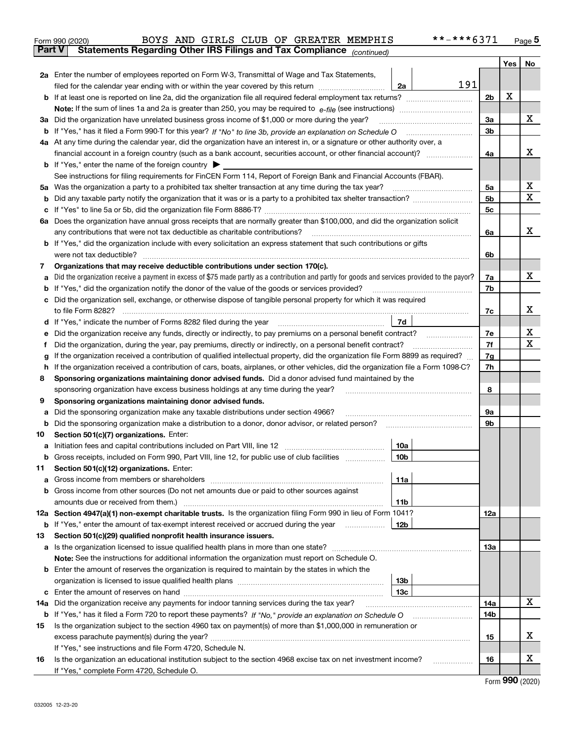|               | **-***6371<br>BOYS AND GIRLS CLUB OF GREATER MEMPHIS<br>Form 990 (2020)                                                                         |     |     | $_{\text{Page}}$ 5 |
|---------------|-------------------------------------------------------------------------------------------------------------------------------------------------|-----|-----|--------------------|
| <b>Part V</b> | Statements Regarding Other IRS Filings and Tax Compliance (continued)                                                                           |     |     |                    |
|               |                                                                                                                                                 |     | Yes | No                 |
|               | 2a Enter the number of employees reported on Form W-3, Transmittal of Wage and Tax Statements,                                                  |     |     |                    |
|               | 191<br>filed for the calendar year ending with or within the year covered by this return<br>2a                                                  |     |     |                    |
|               |                                                                                                                                                 | 2b  | х   |                    |
|               |                                                                                                                                                 |     |     |                    |
| За            | Did the organization have unrelated business gross income of \$1,000 or more during the year?                                                   | 3a  |     | х                  |
|               |                                                                                                                                                 | 3b  |     |                    |
|               | 4a At any time during the calendar year, did the organization have an interest in, or a signature or other authority over, a                    |     |     |                    |
|               |                                                                                                                                                 | 4a  |     | х                  |
|               | <b>b</b> If "Yes," enter the name of the foreign country $\blacktriangleright$                                                                  |     |     |                    |
|               | See instructions for filing requirements for FinCEN Form 114, Report of Foreign Bank and Financial Accounts (FBAR).                             |     |     |                    |
| 5a            | Was the organization a party to a prohibited tax shelter transaction at any time during the tax year?                                           | 5а  |     | х                  |
| b             |                                                                                                                                                 | 5b  |     | X                  |
| с             |                                                                                                                                                 | 5c  |     |                    |
|               | 6a Does the organization have annual gross receipts that are normally greater than \$100,000, and did the organization solicit                  |     |     |                    |
|               | any contributions that were not tax deductible as charitable contributions?                                                                     | 6a  |     | x                  |
|               | <b>b</b> If "Yes," did the organization include with every solicitation an express statement that such contributions or gifts                   |     |     |                    |
|               | were not tax deductible?                                                                                                                        | 6b  |     |                    |
| 7             | Organizations that may receive deductible contributions under section 170(c).                                                                   |     |     |                    |
| а             | Did the organization receive a payment in excess of \$75 made partly as a contribution and partly for goods and services provided to the payor? | 7a  |     | х                  |
| b             | If "Yes," did the organization notify the donor of the value of the goods or services provided?                                                 | 7b  |     |                    |
| c             | Did the organization sell, exchange, or otherwise dispose of tangible personal property for which it was required                               |     |     |                    |
|               |                                                                                                                                                 | 7c  |     | х                  |
| d             | 7d                                                                                                                                              |     |     |                    |
| е             |                                                                                                                                                 | 7e  |     | х<br>x             |
| f             | Did the organization, during the year, pay premiums, directly or indirectly, on a personal benefit contract?                                    | 7f  |     |                    |
| g             | If the organization received a contribution of qualified intellectual property, did the organization file Form 8899 as required?                | 7g  |     |                    |
| h             | If the organization received a contribution of cars, boats, airplanes, or other vehicles, did the organization file a Form 1098-C?              | 7h  |     |                    |
| 8             | Sponsoring organizations maintaining donor advised funds. Did a donor advised fund maintained by the                                            | 8   |     |                    |
|               | sponsoring organization have excess business holdings at any time during the year?<br>Sponsoring organizations maintaining donor advised funds. |     |     |                    |
| 9             | Did the sponsoring organization make any taxable distributions under section 4966?                                                              | 9а  |     |                    |
| а<br>b        | Did the sponsoring organization make a distribution to a donor, donor advisor, or related person?                                               | 9b  |     |                    |
| 10            | Section 501(c)(7) organizations. Enter:                                                                                                         |     |     |                    |
| а             | 10a<br>Initiation fees and capital contributions included on Part VIII, line 12 [111] [11] [11] [12] [11] [11] [12] [                           |     |     |                    |
|               | 10 <sub>b</sub><br>Gross receipts, included on Form 990, Part VIII, line 12, for public use of club facilities                                  |     |     |                    |
| 11            | Section 501(c)(12) organizations. Enter:                                                                                                        |     |     |                    |
| а             | 11a<br>Gross income from members or shareholders                                                                                                |     |     |                    |
| b             | Gross income from other sources (Do not net amounts due or paid to other sources against                                                        |     |     |                    |
|               | 11 <sub>b</sub><br>amounts due or received from them.)                                                                                          |     |     |                    |
|               | 12a Section 4947(a)(1) non-exempt charitable trusts. Is the organization filing Form 990 in lieu of Form 1041?                                  | 12a |     |                    |
|               | 12b<br><b>b</b> If "Yes," enter the amount of tax-exempt interest received or accrued during the year <i>manument</i> of                        |     |     |                    |
| 13            | Section 501(c)(29) qualified nonprofit health insurance issuers.                                                                                |     |     |                    |
| a             | Is the organization licensed to issue qualified health plans in more than one state?                                                            | 13a |     |                    |
|               | Note: See the instructions for additional information the organization must report on Schedule O.                                               |     |     |                    |
| b             | Enter the amount of reserves the organization is required to maintain by the states in which the                                                |     |     |                    |
|               | 13 <sub>b</sub>                                                                                                                                 |     |     |                    |
| с             | 13 <sub>c</sub>                                                                                                                                 |     |     |                    |
| 14a           | Did the organization receive any payments for indoor tanning services during the tax year?                                                      | 14a |     | X                  |
|               | <b>b</b> If "Yes," has it filed a Form 720 to report these payments? If "No," provide an explanation on Schedule O                              | 14b |     |                    |
| 15            | Is the organization subject to the section 4960 tax on payment(s) of more than \$1,000,000 in remuneration or                                   |     |     |                    |
|               |                                                                                                                                                 | 15  |     | х                  |
|               | If "Yes," see instructions and file Form 4720, Schedule N.                                                                                      |     |     |                    |
| 16            | Is the organization an educational institution subject to the section 4968 excise tax on net investment income?                                 | 16  |     | х                  |
|               | If "Yes," complete Form 4720, Schedule O.                                                                                                       |     |     |                    |

Form (2020) **990**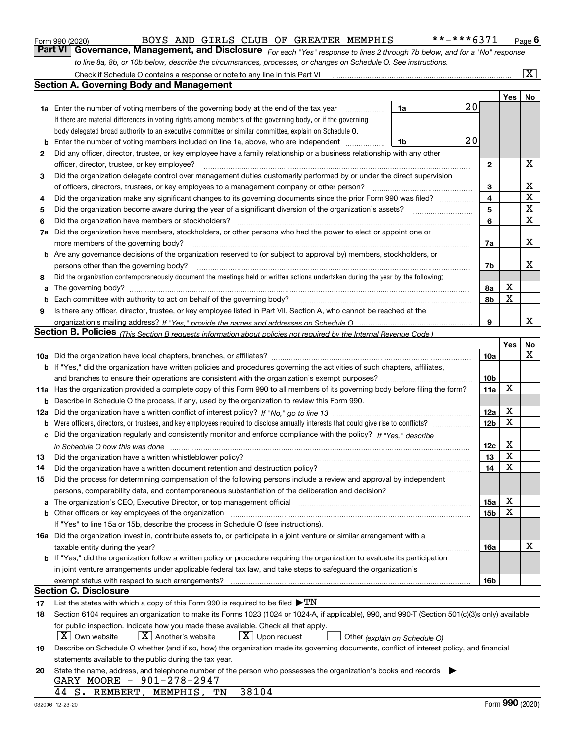|  | Form 990 (2020) |
|--|-----------------|
|  |                 |

*For each "Yes" response to lines 2 through 7b below, and for a "No" response to line 8a, 8b, or 10b below, describe the circumstances, processes, or changes on Schedule O. See instructions.* Form 990 (2020) **COMPART 1990 (2020)** BOYS AND GIRLS CLUB OF GREATER MEMPHIS **Form 1990 (2020)** Fage 6<br>**Part VI Governance, Management, and Disclosure** *For each "Yes" response to lines 2 through 7b below, and for a "No"* 

|    | Check if Schedule O contains a response or note to any line in this Part VI [11] [11] [11] [11] Check if Schedule O contains a response or note to any line in this Part VI                                                    |                 |     | $\overline{\mathbf{x}}$ |
|----|--------------------------------------------------------------------------------------------------------------------------------------------------------------------------------------------------------------------------------|-----------------|-----|-------------------------|
|    | Section A. Governing Body and Management                                                                                                                                                                                       |                 |     |                         |
|    |                                                                                                                                                                                                                                |                 | Yes | No                      |
|    | 20<br>1a<br><b>1a</b> Enter the number of voting members of the governing body at the end of the tax year                                                                                                                      |                 |     |                         |
|    | If there are material differences in voting rights among members of the governing body, or if the governing                                                                                                                    |                 |     |                         |
|    | body delegated broad authority to an executive committee or similar committee, explain on Schedule O.                                                                                                                          |                 |     |                         |
| b  | 20<br>Enter the number of voting members included on line 1a, above, who are independent<br>1b                                                                                                                                 |                 |     |                         |
| 2  | Did any officer, director, trustee, or key employee have a family relationship or a business relationship with any other                                                                                                       |                 |     |                         |
|    | officer, director, trustee, or key employee?                                                                                                                                                                                   | 2               |     | х                       |
| 3  | Did the organization delegate control over management duties customarily performed by or under the direct supervision                                                                                                          |                 |     |                         |
|    | of officers, directors, trustees, or key employees to a management company or other person?                                                                                                                                    | з               |     | х                       |
| 4  | Did the organization make any significant changes to its governing documents since the prior Form 990 was filed?                                                                                                               | 4               |     | $\mathbf X$             |
| 5  | Did the organization become aware during the year of a significant diversion of the organization's assets?                                                                                                                     | 5               |     | X                       |
| 6  | Did the organization have members or stockholders?                                                                                                                                                                             | 6               |     | X                       |
| 7a | Did the organization have members, stockholders, or other persons who had the power to elect or appoint one or                                                                                                                 |                 |     |                         |
|    | more members of the governing body?                                                                                                                                                                                            | 7a              |     | х                       |
|    | <b>b</b> Are any governance decisions of the organization reserved to (or subject to approval by) members, stockholders, or                                                                                                    |                 |     |                         |
|    | persons other than the governing body?                                                                                                                                                                                         | 7b              |     | x                       |
| 8  | Did the organization contemporaneously document the meetings held or written actions undertaken during the year by the following:                                                                                              |                 |     |                         |
| a  |                                                                                                                                                                                                                                | 8a              | х   |                         |
| b  | Each committee with authority to act on behalf of the governing body?                                                                                                                                                          | 8b              | X   |                         |
| 9  | Is there any officer, director, trustee, or key employee listed in Part VII, Section A, who cannot be reached at the                                                                                                           |                 |     |                         |
|    |                                                                                                                                                                                                                                | 9               |     | x                       |
|    | Section B. Policies <sub>(This Section B requests information about policies not required by the Internal Revenue Code.)</sub>                                                                                                 |                 |     |                         |
|    |                                                                                                                                                                                                                                |                 | Yes | No                      |
|    |                                                                                                                                                                                                                                | 10a             |     | х                       |
|    | b If "Yes," did the organization have written policies and procedures governing the activities of such chapters, affiliates,                                                                                                   |                 |     |                         |
|    | and branches to ensure their operations are consistent with the organization's exempt purposes?                                                                                                                                | 10 <sub>b</sub> |     |                         |
|    | 11a Has the organization provided a complete copy of this Form 990 to all members of its governing body before filing the form?                                                                                                | 11a             | x   |                         |
|    | <b>b</b> Describe in Schedule O the process, if any, used by the organization to review this Form 990.                                                                                                                         |                 |     |                         |
|    |                                                                                                                                                                                                                                | 12a             | х   |                         |
|    |                                                                                                                                                                                                                                | 12 <sub>b</sub> | X   |                         |
|    | c Did the organization regularly and consistently monitor and enforce compliance with the policy? If "Yes," describe                                                                                                           |                 |     |                         |
|    | in Schedule O how this was done with the continuum control to the control of the control of the control of the                                                                                                                 | 12c             | X   |                         |
| 13 | Did the organization have a written whistleblower policy?                                                                                                                                                                      | 13              | X   |                         |
| 14 | Did the organization have a written document retention and destruction policy?                                                                                                                                                 | 14              | X   |                         |
| 15 | Did the process for determining compensation of the following persons include a review and approval by independent                                                                                                             |                 |     |                         |
|    | persons, comparability data, and contemporaneous substantiation of the deliberation and decision?                                                                                                                              |                 |     |                         |
|    | a The organization's CEO, Executive Director, or top management official manufactured content content of the organization's CEO, Executive Director, or top management official manufactured content of the state of the state | 15a             | х   |                         |
|    | b Other officers or key employees of the organization manufactured content to the organization manufactured content of the organization manufactured content of the organization manufactured content of the organization manu | 15b             | х   |                         |
|    | If "Yes" to line 15a or 15b, describe the process in Schedule O (see instructions).                                                                                                                                            |                 |     |                         |
|    | 16a Did the organization invest in, contribute assets to, or participate in a joint venture or similar arrangement with a                                                                                                      |                 |     |                         |
|    | taxable entity during the year?                                                                                                                                                                                                | 16a             |     | х                       |
|    | b If "Yes," did the organization follow a written policy or procedure requiring the organization to evaluate its participation                                                                                                 |                 |     |                         |
|    | in joint venture arrangements under applicable federal tax law, and take steps to safeguard the organization's                                                                                                                 |                 |     |                         |
|    | <b>Section C. Disclosure</b>                                                                                                                                                                                                   | 16b             |     |                         |
|    |                                                                                                                                                                                                                                |                 |     |                         |
| 17 | List the states with which a copy of this Form 990 is required to be filed $\blacktriangleright\text{TN}$                                                                                                                      |                 |     |                         |
| 18 | Section 6104 requires an organization to make its Forms 1023 (1024 or 1024-A, if applicable), 990, and 990-T (Section 501(c)(3)s only) available                                                                               |                 |     |                         |
|    | for public inspection. Indicate how you made these available. Check all that apply.                                                                                                                                            |                 |     |                         |
|    | X   Own website<br>$X$ Another's website<br>$X$ Upon request<br>Other (explain on Schedule O)                                                                                                                                  |                 |     |                         |
| 19 | Describe on Schedule O whether (and if so, how) the organization made its governing documents, conflict of interest policy, and financial                                                                                      |                 |     |                         |
|    | statements available to the public during the tax year.                                                                                                                                                                        |                 |     |                         |
| 20 | State the name, address, and telephone number of the person who possesses the organization's books and records<br>GARY MOORE - 901-278-2947                                                                                    |                 |     |                         |
|    | 38104<br>44 S. REMBERT, MEMPHIS, TN                                                                                                                                                                                            |                 |     |                         |
|    |                                                                                                                                                                                                                                |                 |     |                         |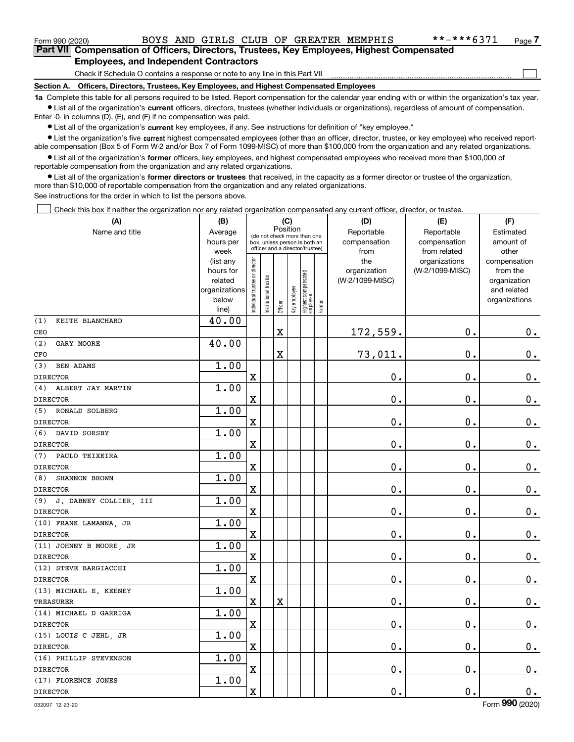$\mathcal{L}^{\text{max}}$ 

| Form 990 (2020) |                                                                                            |  |  | BOYS AND GIRLS CLUB OF GREATER MEMPHIS | **-***6371 | Page 7 |
|-----------------|--------------------------------------------------------------------------------------------|--|--|----------------------------------------|------------|--------|
|                 | Part VII Compensation of Officers, Directors, Trustees, Key Employees, Highest Compensated |  |  |                                        |            |        |
|                 | <b>Employees, and Independent Contractors</b>                                              |  |  |                                        |            |        |

Check if Schedule O contains a response or note to any line in this Part VII

**Section A. Officers, Directors, Trustees, Key Employees, and Highest Compensated Employees**

**1a**  Complete this table for all persons required to be listed. Report compensation for the calendar year ending with or within the organization's tax year. **•** List all of the organization's current officers, directors, trustees (whether individuals or organizations), regardless of amount of compensation.

Enter -0- in columns (D), (E), and (F) if no compensation was paid.

 $\bullet$  List all of the organization's  $\,$ current key employees, if any. See instructions for definition of "key employee."

**•** List the organization's five current highest compensated employees (other than an officer, director, trustee, or key employee) who received reportable compensation (Box 5 of Form W-2 and/or Box 7 of Form 1099-MISC) of more than \$100,000 from the organization and any related organizations.

**•** List all of the organization's former officers, key employees, and highest compensated employees who received more than \$100,000 of reportable compensation from the organization and any related organizations.

**former directors or trustees**  ¥ List all of the organization's that received, in the capacity as a former director or trustee of the organization, more than \$10,000 of reportable compensation from the organization and any related organizations.

See instructions for the order in which to list the persons above.

Check this box if neither the organization nor any related organization compensated any current officer, director, or trustee.  $\mathcal{L}^{\text{max}}$ 

| Position<br>Name and title<br>Average<br>Reportable<br>Reportable<br>Estimated<br>(do not check more than one<br>hours per<br>compensation<br>compensation<br>amount of<br>box, unless person is both an<br>officer and a director/trustee)<br>from related<br>week<br>from<br>other<br>ndividual trustee or director<br>the<br>organizations<br>compensation<br>(list any<br>(W-2/1099-MISC)<br>hours for<br>organization<br>from the<br>  Highest compensated<br>  employee<br>In stitutional trustee<br>(W-2/1099-MISC)<br>related<br>organization<br>Key employee<br>organizations<br>and related<br>below<br>organizations<br>Former<br>Officer<br>line)<br>40.00<br>(1)<br>KEITH BLANCHARD<br>$\overline{\textbf{X}}$<br>0.<br>172,559.<br>CEO<br>40.00<br>(2)<br>GARY MOORE<br>$\overline{\textbf{X}}$<br>73,011.<br>$\mathbf 0$ .<br>$\mathbf 0$ .<br>CFO<br>1.00<br><b>BEN ADAMS</b><br>(3)<br>$\mathbf 0$ .<br>$\mathbf 0$ .<br>$\mathbf 0$ .<br>$\mathbf X$<br><b>DIRECTOR</b><br>1.00<br>ALBERT JAY MARTIN<br>(4)<br>$\mathbf 0$ .<br>$\overline{\mathbf{X}}$<br>$\mathbf 0$ .<br>$\mathbf 0$ .<br><b>DIRECTOR</b><br>1.00<br>RONALD SOLBERG<br>(5)<br>$\mathbf 0$ .<br>$\mathbf x$<br>$\mathbf 0$ .<br>$\mathbf 0$ .<br><b>DIRECTOR</b><br>1.00<br>DAVID SORSBY<br>(6)<br>X<br>$\mathbf 0$ .<br>$\mathbf 0$ .<br>$0_{.}$<br><b>DIRECTOR</b><br>1.00<br>PAULO TEIXEIRA<br>(7)<br>0.<br>X<br>$\mathbf 0$ .<br>$\mathbf 0$ .<br><b>DIRECTOR</b><br>1.00<br>SHANNON BROWN<br>(8)<br>0.<br>0.<br>$0_{.}$<br>X<br><b>DIRECTOR</b><br>1.00<br>0.<br>$0_{.}$<br>X<br>0.<br><b>DIRECTOR</b><br>1.00<br>(10) FRANK LAMANNA, JR<br>0.<br>0.<br>$\mathbf 0$ .<br>X<br><b>DIRECTOR</b><br>1.00<br>(11) JOHNNY B MOORE, JR<br>0.<br>0.<br>$0_{\cdot}$<br>$\mathbf X$<br><b>DIRECTOR</b><br>1.00<br>(12) STEVE BARGIACCHI<br>$\mathbf 0$ .<br>$\overline{\textbf{X}}$<br>0.<br>$\mathbf 0$ .<br><b>DIRECTOR</b><br>1.00<br>(13) MICHAEL E. KEENEY<br>$0_{.}$<br>$\mathbf x$<br>0.<br>$\mathbf 0$ .<br>X<br><b>TREASURER</b><br>(14) MICHAEL D GARRIGA<br>1.00<br>$\mathbf 0$ .<br>$\mathbf x$<br>0.<br>$0_{.}$<br><b>DIRECTOR</b><br>1.00<br>(15) LOUIS C JEHL, JR<br>X<br>0.<br>0.<br>$0_{.}$<br><b>DIRECTOR</b><br>1.00<br>(16) PHILLIP STEVENSON<br>0.<br>0.<br>$\mathbf 0$ .<br>X<br>1.00<br>(17) FLORENCE JONES<br>$\rm X$<br>0.<br>0.<br>$0_{.}$ | (A)                        | (B) |  | (C) |  | (D) | (E) | (F) |
|------------------------------------------------------------------------------------------------------------------------------------------------------------------------------------------------------------------------------------------------------------------------------------------------------------------------------------------------------------------------------------------------------------------------------------------------------------------------------------------------------------------------------------------------------------------------------------------------------------------------------------------------------------------------------------------------------------------------------------------------------------------------------------------------------------------------------------------------------------------------------------------------------------------------------------------------------------------------------------------------------------------------------------------------------------------------------------------------------------------------------------------------------------------------------------------------------------------------------------------------------------------------------------------------------------------------------------------------------------------------------------------------------------------------------------------------------------------------------------------------------------------------------------------------------------------------------------------------------------------------------------------------------------------------------------------------------------------------------------------------------------------------------------------------------------------------------------------------------------------------------------------------------------------------------------------------------------------------------------------------------------------------------------------------------------------------------------------------------------------------------------------------------------------------------------------------------------------------------------------------------------------------------------------------------------------------------------------------------|----------------------------|-----|--|-----|--|-----|-----|-----|
|                                                                                                                                                                                                                                                                                                                                                                                                                                                                                                                                                                                                                                                                                                                                                                                                                                                                                                                                                                                                                                                                                                                                                                                                                                                                                                                                                                                                                                                                                                                                                                                                                                                                                                                                                                                                                                                                                                                                                                                                                                                                                                                                                                                                                                                                                                                                                      |                            |     |  |     |  |     |     |     |
| $0_{\cdot}$                                                                                                                                                                                                                                                                                                                                                                                                                                                                                                                                                                                                                                                                                                                                                                                                                                                                                                                                                                                                                                                                                                                                                                                                                                                                                                                                                                                                                                                                                                                                                                                                                                                                                                                                                                                                                                                                                                                                                                                                                                                                                                                                                                                                                                                                                                                                          |                            |     |  |     |  |     |     |     |
|                                                                                                                                                                                                                                                                                                                                                                                                                                                                                                                                                                                                                                                                                                                                                                                                                                                                                                                                                                                                                                                                                                                                                                                                                                                                                                                                                                                                                                                                                                                                                                                                                                                                                                                                                                                                                                                                                                                                                                                                                                                                                                                                                                                                                                                                                                                                                      |                            |     |  |     |  |     |     |     |
|                                                                                                                                                                                                                                                                                                                                                                                                                                                                                                                                                                                                                                                                                                                                                                                                                                                                                                                                                                                                                                                                                                                                                                                                                                                                                                                                                                                                                                                                                                                                                                                                                                                                                                                                                                                                                                                                                                                                                                                                                                                                                                                                                                                                                                                                                                                                                      |                            |     |  |     |  |     |     |     |
|                                                                                                                                                                                                                                                                                                                                                                                                                                                                                                                                                                                                                                                                                                                                                                                                                                                                                                                                                                                                                                                                                                                                                                                                                                                                                                                                                                                                                                                                                                                                                                                                                                                                                                                                                                                                                                                                                                                                                                                                                                                                                                                                                                                                                                                                                                                                                      |                            |     |  |     |  |     |     |     |
|                                                                                                                                                                                                                                                                                                                                                                                                                                                                                                                                                                                                                                                                                                                                                                                                                                                                                                                                                                                                                                                                                                                                                                                                                                                                                                                                                                                                                                                                                                                                                                                                                                                                                                                                                                                                                                                                                                                                                                                                                                                                                                                                                                                                                                                                                                                                                      |                            |     |  |     |  |     |     |     |
|                                                                                                                                                                                                                                                                                                                                                                                                                                                                                                                                                                                                                                                                                                                                                                                                                                                                                                                                                                                                                                                                                                                                                                                                                                                                                                                                                                                                                                                                                                                                                                                                                                                                                                                                                                                                                                                                                                                                                                                                                                                                                                                                                                                                                                                                                                                                                      |                            |     |  |     |  |     |     |     |
|                                                                                                                                                                                                                                                                                                                                                                                                                                                                                                                                                                                                                                                                                                                                                                                                                                                                                                                                                                                                                                                                                                                                                                                                                                                                                                                                                                                                                                                                                                                                                                                                                                                                                                                                                                                                                                                                                                                                                                                                                                                                                                                                                                                                                                                                                                                                                      |                            |     |  |     |  |     |     |     |
|                                                                                                                                                                                                                                                                                                                                                                                                                                                                                                                                                                                                                                                                                                                                                                                                                                                                                                                                                                                                                                                                                                                                                                                                                                                                                                                                                                                                                                                                                                                                                                                                                                                                                                                                                                                                                                                                                                                                                                                                                                                                                                                                                                                                                                                                                                                                                      |                            |     |  |     |  |     |     |     |
|                                                                                                                                                                                                                                                                                                                                                                                                                                                                                                                                                                                                                                                                                                                                                                                                                                                                                                                                                                                                                                                                                                                                                                                                                                                                                                                                                                                                                                                                                                                                                                                                                                                                                                                                                                                                                                                                                                                                                                                                                                                                                                                                                                                                                                                                                                                                                      |                            |     |  |     |  |     |     |     |
|                                                                                                                                                                                                                                                                                                                                                                                                                                                                                                                                                                                                                                                                                                                                                                                                                                                                                                                                                                                                                                                                                                                                                                                                                                                                                                                                                                                                                                                                                                                                                                                                                                                                                                                                                                                                                                                                                                                                                                                                                                                                                                                                                                                                                                                                                                                                                      |                            |     |  |     |  |     |     |     |
|                                                                                                                                                                                                                                                                                                                                                                                                                                                                                                                                                                                                                                                                                                                                                                                                                                                                                                                                                                                                                                                                                                                                                                                                                                                                                                                                                                                                                                                                                                                                                                                                                                                                                                                                                                                                                                                                                                                                                                                                                                                                                                                                                                                                                                                                                                                                                      |                            |     |  |     |  |     |     |     |
|                                                                                                                                                                                                                                                                                                                                                                                                                                                                                                                                                                                                                                                                                                                                                                                                                                                                                                                                                                                                                                                                                                                                                                                                                                                                                                                                                                                                                                                                                                                                                                                                                                                                                                                                                                                                                                                                                                                                                                                                                                                                                                                                                                                                                                                                                                                                                      |                            |     |  |     |  |     |     |     |
|                                                                                                                                                                                                                                                                                                                                                                                                                                                                                                                                                                                                                                                                                                                                                                                                                                                                                                                                                                                                                                                                                                                                                                                                                                                                                                                                                                                                                                                                                                                                                                                                                                                                                                                                                                                                                                                                                                                                                                                                                                                                                                                                                                                                                                                                                                                                                      |                            |     |  |     |  |     |     |     |
|                                                                                                                                                                                                                                                                                                                                                                                                                                                                                                                                                                                                                                                                                                                                                                                                                                                                                                                                                                                                                                                                                                                                                                                                                                                                                                                                                                                                                                                                                                                                                                                                                                                                                                                                                                                                                                                                                                                                                                                                                                                                                                                                                                                                                                                                                                                                                      |                            |     |  |     |  |     |     |     |
|                                                                                                                                                                                                                                                                                                                                                                                                                                                                                                                                                                                                                                                                                                                                                                                                                                                                                                                                                                                                                                                                                                                                                                                                                                                                                                                                                                                                                                                                                                                                                                                                                                                                                                                                                                                                                                                                                                                                                                                                                                                                                                                                                                                                                                                                                                                                                      |                            |     |  |     |  |     |     |     |
|                                                                                                                                                                                                                                                                                                                                                                                                                                                                                                                                                                                                                                                                                                                                                                                                                                                                                                                                                                                                                                                                                                                                                                                                                                                                                                                                                                                                                                                                                                                                                                                                                                                                                                                                                                                                                                                                                                                                                                                                                                                                                                                                                                                                                                                                                                                                                      |                            |     |  |     |  |     |     |     |
|                                                                                                                                                                                                                                                                                                                                                                                                                                                                                                                                                                                                                                                                                                                                                                                                                                                                                                                                                                                                                                                                                                                                                                                                                                                                                                                                                                                                                                                                                                                                                                                                                                                                                                                                                                                                                                                                                                                                                                                                                                                                                                                                                                                                                                                                                                                                                      |                            |     |  |     |  |     |     |     |
|                                                                                                                                                                                                                                                                                                                                                                                                                                                                                                                                                                                                                                                                                                                                                                                                                                                                                                                                                                                                                                                                                                                                                                                                                                                                                                                                                                                                                                                                                                                                                                                                                                                                                                                                                                                                                                                                                                                                                                                                                                                                                                                                                                                                                                                                                                                                                      |                            |     |  |     |  |     |     |     |
|                                                                                                                                                                                                                                                                                                                                                                                                                                                                                                                                                                                                                                                                                                                                                                                                                                                                                                                                                                                                                                                                                                                                                                                                                                                                                                                                                                                                                                                                                                                                                                                                                                                                                                                                                                                                                                                                                                                                                                                                                                                                                                                                                                                                                                                                                                                                                      |                            |     |  |     |  |     |     |     |
|                                                                                                                                                                                                                                                                                                                                                                                                                                                                                                                                                                                                                                                                                                                                                                                                                                                                                                                                                                                                                                                                                                                                                                                                                                                                                                                                                                                                                                                                                                                                                                                                                                                                                                                                                                                                                                                                                                                                                                                                                                                                                                                                                                                                                                                                                                                                                      |                            |     |  |     |  |     |     |     |
|                                                                                                                                                                                                                                                                                                                                                                                                                                                                                                                                                                                                                                                                                                                                                                                                                                                                                                                                                                                                                                                                                                                                                                                                                                                                                                                                                                                                                                                                                                                                                                                                                                                                                                                                                                                                                                                                                                                                                                                                                                                                                                                                                                                                                                                                                                                                                      |                            |     |  |     |  |     |     |     |
|                                                                                                                                                                                                                                                                                                                                                                                                                                                                                                                                                                                                                                                                                                                                                                                                                                                                                                                                                                                                                                                                                                                                                                                                                                                                                                                                                                                                                                                                                                                                                                                                                                                                                                                                                                                                                                                                                                                                                                                                                                                                                                                                                                                                                                                                                                                                                      |                            |     |  |     |  |     |     |     |
|                                                                                                                                                                                                                                                                                                                                                                                                                                                                                                                                                                                                                                                                                                                                                                                                                                                                                                                                                                                                                                                                                                                                                                                                                                                                                                                                                                                                                                                                                                                                                                                                                                                                                                                                                                                                                                                                                                                                                                                                                                                                                                                                                                                                                                                                                                                                                      |                            |     |  |     |  |     |     |     |
|                                                                                                                                                                                                                                                                                                                                                                                                                                                                                                                                                                                                                                                                                                                                                                                                                                                                                                                                                                                                                                                                                                                                                                                                                                                                                                                                                                                                                                                                                                                                                                                                                                                                                                                                                                                                                                                                                                                                                                                                                                                                                                                                                                                                                                                                                                                                                      | (9) J. DABNEY COLLIER, III |     |  |     |  |     |     |     |
|                                                                                                                                                                                                                                                                                                                                                                                                                                                                                                                                                                                                                                                                                                                                                                                                                                                                                                                                                                                                                                                                                                                                                                                                                                                                                                                                                                                                                                                                                                                                                                                                                                                                                                                                                                                                                                                                                                                                                                                                                                                                                                                                                                                                                                                                                                                                                      |                            |     |  |     |  |     |     |     |
|                                                                                                                                                                                                                                                                                                                                                                                                                                                                                                                                                                                                                                                                                                                                                                                                                                                                                                                                                                                                                                                                                                                                                                                                                                                                                                                                                                                                                                                                                                                                                                                                                                                                                                                                                                                                                                                                                                                                                                                                                                                                                                                                                                                                                                                                                                                                                      |                            |     |  |     |  |     |     |     |
|                                                                                                                                                                                                                                                                                                                                                                                                                                                                                                                                                                                                                                                                                                                                                                                                                                                                                                                                                                                                                                                                                                                                                                                                                                                                                                                                                                                                                                                                                                                                                                                                                                                                                                                                                                                                                                                                                                                                                                                                                                                                                                                                                                                                                                                                                                                                                      |                            |     |  |     |  |     |     |     |
|                                                                                                                                                                                                                                                                                                                                                                                                                                                                                                                                                                                                                                                                                                                                                                                                                                                                                                                                                                                                                                                                                                                                                                                                                                                                                                                                                                                                                                                                                                                                                                                                                                                                                                                                                                                                                                                                                                                                                                                                                                                                                                                                                                                                                                                                                                                                                      |                            |     |  |     |  |     |     |     |
|                                                                                                                                                                                                                                                                                                                                                                                                                                                                                                                                                                                                                                                                                                                                                                                                                                                                                                                                                                                                                                                                                                                                                                                                                                                                                                                                                                                                                                                                                                                                                                                                                                                                                                                                                                                                                                                                                                                                                                                                                                                                                                                                                                                                                                                                                                                                                      |                            |     |  |     |  |     |     |     |
|                                                                                                                                                                                                                                                                                                                                                                                                                                                                                                                                                                                                                                                                                                                                                                                                                                                                                                                                                                                                                                                                                                                                                                                                                                                                                                                                                                                                                                                                                                                                                                                                                                                                                                                                                                                                                                                                                                                                                                                                                                                                                                                                                                                                                                                                                                                                                      |                            |     |  |     |  |     |     |     |
|                                                                                                                                                                                                                                                                                                                                                                                                                                                                                                                                                                                                                                                                                                                                                                                                                                                                                                                                                                                                                                                                                                                                                                                                                                                                                                                                                                                                                                                                                                                                                                                                                                                                                                                                                                                                                                                                                                                                                                                                                                                                                                                                                                                                                                                                                                                                                      |                            |     |  |     |  |     |     |     |
|                                                                                                                                                                                                                                                                                                                                                                                                                                                                                                                                                                                                                                                                                                                                                                                                                                                                                                                                                                                                                                                                                                                                                                                                                                                                                                                                                                                                                                                                                                                                                                                                                                                                                                                                                                                                                                                                                                                                                                                                                                                                                                                                                                                                                                                                                                                                                      |                            |     |  |     |  |     |     |     |
|                                                                                                                                                                                                                                                                                                                                                                                                                                                                                                                                                                                                                                                                                                                                                                                                                                                                                                                                                                                                                                                                                                                                                                                                                                                                                                                                                                                                                                                                                                                                                                                                                                                                                                                                                                                                                                                                                                                                                                                                                                                                                                                                                                                                                                                                                                                                                      |                            |     |  |     |  |     |     |     |
|                                                                                                                                                                                                                                                                                                                                                                                                                                                                                                                                                                                                                                                                                                                                                                                                                                                                                                                                                                                                                                                                                                                                                                                                                                                                                                                                                                                                                                                                                                                                                                                                                                                                                                                                                                                                                                                                                                                                                                                                                                                                                                                                                                                                                                                                                                                                                      |                            |     |  |     |  |     |     |     |
|                                                                                                                                                                                                                                                                                                                                                                                                                                                                                                                                                                                                                                                                                                                                                                                                                                                                                                                                                                                                                                                                                                                                                                                                                                                                                                                                                                                                                                                                                                                                                                                                                                                                                                                                                                                                                                                                                                                                                                                                                                                                                                                                                                                                                                                                                                                                                      |                            |     |  |     |  |     |     |     |
|                                                                                                                                                                                                                                                                                                                                                                                                                                                                                                                                                                                                                                                                                                                                                                                                                                                                                                                                                                                                                                                                                                                                                                                                                                                                                                                                                                                                                                                                                                                                                                                                                                                                                                                                                                                                                                                                                                                                                                                                                                                                                                                                                                                                                                                                                                                                                      |                            |     |  |     |  |     |     |     |
|                                                                                                                                                                                                                                                                                                                                                                                                                                                                                                                                                                                                                                                                                                                                                                                                                                                                                                                                                                                                                                                                                                                                                                                                                                                                                                                                                                                                                                                                                                                                                                                                                                                                                                                                                                                                                                                                                                                                                                                                                                                                                                                                                                                                                                                                                                                                                      |                            |     |  |     |  |     |     |     |
|                                                                                                                                                                                                                                                                                                                                                                                                                                                                                                                                                                                                                                                                                                                                                                                                                                                                                                                                                                                                                                                                                                                                                                                                                                                                                                                                                                                                                                                                                                                                                                                                                                                                                                                                                                                                                                                                                                                                                                                                                                                                                                                                                                                                                                                                                                                                                      |                            |     |  |     |  |     |     |     |
|                                                                                                                                                                                                                                                                                                                                                                                                                                                                                                                                                                                                                                                                                                                                                                                                                                                                                                                                                                                                                                                                                                                                                                                                                                                                                                                                                                                                                                                                                                                                                                                                                                                                                                                                                                                                                                                                                                                                                                                                                                                                                                                                                                                                                                                                                                                                                      | <b>DIRECTOR</b>            |     |  |     |  |     |     |     |
|                                                                                                                                                                                                                                                                                                                                                                                                                                                                                                                                                                                                                                                                                                                                                                                                                                                                                                                                                                                                                                                                                                                                                                                                                                                                                                                                                                                                                                                                                                                                                                                                                                                                                                                                                                                                                                                                                                                                                                                                                                                                                                                                                                                                                                                                                                                                                      |                            |     |  |     |  |     |     |     |
|                                                                                                                                                                                                                                                                                                                                                                                                                                                                                                                                                                                                                                                                                                                                                                                                                                                                                                                                                                                                                                                                                                                                                                                                                                                                                                                                                                                                                                                                                                                                                                                                                                                                                                                                                                                                                                                                                                                                                                                                                                                                                                                                                                                                                                                                                                                                                      | <b>DIRECTOR</b>            |     |  |     |  |     |     |     |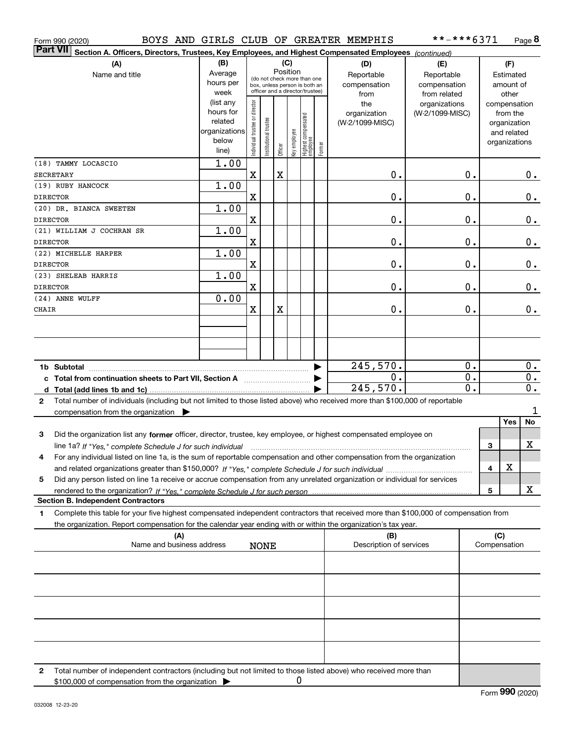|                  | Form 990 (2020)     |                                                                                                                                                                                                                                                                          |                      |                                |                                                                                                 |          |     |                                                 |        | BOYS AND GIRLS CLUB OF GREATER MEMPHIS | **-***6371       |   |                             | Page 8   |
|------------------|---------------------|--------------------------------------------------------------------------------------------------------------------------------------------------------------------------------------------------------------------------------------------------------------------------|----------------------|--------------------------------|-------------------------------------------------------------------------------------------------|----------|-----|-------------------------------------------------|--------|----------------------------------------|------------------|---|-----------------------------|----------|
| <b>Part VII</b>  |                     | Section A. Officers, Directors, Trustees, Key Employees, and Highest Compensated Employees (continued)                                                                                                                                                                   |                      |                                |                                                                                                 |          |     |                                                 |        |                                        |                  |   |                             |          |
|                  |                     | (A)                                                                                                                                                                                                                                                                      | (B)                  |                                |                                                                                                 |          | (C) |                                                 |        | (D)                                    | (E)              |   | (F)                         |          |
|                  |                     | Name and title                                                                                                                                                                                                                                                           | Average              |                                |                                                                                                 | Position |     |                                                 |        | Reportable                             | Reportable       |   | Estimated                   |          |
|                  |                     |                                                                                                                                                                                                                                                                          | hours per            |                                | (do not check more than one<br>box, unless person is both an<br>officer and a director/trustee) |          |     |                                                 |        | compensation                           | compensation     |   | amount of                   |          |
|                  |                     |                                                                                                                                                                                                                                                                          | week                 |                                |                                                                                                 |          |     |                                                 |        | from                                   | from related     |   | other                       |          |
|                  |                     |                                                                                                                                                                                                                                                                          | (list any            |                                |                                                                                                 |          |     |                                                 |        | the                                    | organizations    |   | compensation                |          |
|                  |                     |                                                                                                                                                                                                                                                                          | hours for<br>related |                                |                                                                                                 |          |     |                                                 |        | organization                           | (W-2/1099-MISC)  |   | from the                    |          |
|                  |                     |                                                                                                                                                                                                                                                                          | organizations        |                                |                                                                                                 |          |     |                                                 |        | (W-2/1099-MISC)                        |                  |   | organization<br>and related |          |
|                  |                     |                                                                                                                                                                                                                                                                          | below                |                                |                                                                                                 |          |     |                                                 |        |                                        |                  |   | organizations               |          |
|                  |                     |                                                                                                                                                                                                                                                                          | line)                | Individual trustee or director | Institutional trustee                                                                           | Officer  |     | key employee<br>Highest compensated<br>employee | Former |                                        |                  |   |                             |          |
|                  | (18) TAMMY LOCASCIO |                                                                                                                                                                                                                                                                          | 1.00                 |                                |                                                                                                 |          |     |                                                 |        |                                        |                  |   |                             |          |
| <b>SECRETARY</b> |                     |                                                                                                                                                                                                                                                                          |                      | $\mathbf X$                    |                                                                                                 | X        |     |                                                 |        | 0.                                     | $\mathbf 0$ .    |   |                             | $0$ .    |
|                  | (19) RUBY HANCOCK   |                                                                                                                                                                                                                                                                          | 1.00                 |                                |                                                                                                 |          |     |                                                 |        |                                        |                  |   |                             |          |
| <b>DIRECTOR</b>  |                     |                                                                                                                                                                                                                                                                          |                      | Χ                              |                                                                                                 |          |     |                                                 |        | 0.                                     | $\mathbf 0$ .    |   |                             | $0$ .    |
|                  |                     | (20) DR. BIANCA SWEETEN                                                                                                                                                                                                                                                  | 1.00                 |                                |                                                                                                 |          |     |                                                 |        |                                        |                  |   |                             |          |
| <b>DIRECTOR</b>  |                     |                                                                                                                                                                                                                                                                          |                      | X                              |                                                                                                 |          |     |                                                 |        | 0.                                     | $\mathbf 0$ .    |   |                             | $0$ .    |
|                  |                     | (21) WILLIAM J COCHRAN SR                                                                                                                                                                                                                                                | 1.00                 |                                |                                                                                                 |          |     |                                                 |        |                                        |                  |   |                             |          |
| <b>DIRECTOR</b>  |                     |                                                                                                                                                                                                                                                                          |                      | X                              |                                                                                                 |          |     |                                                 |        | 0.                                     | $\mathbf 0$ .    |   |                             | $0$ .    |
|                  |                     | (22) MICHELLE HARPER                                                                                                                                                                                                                                                     | 1.00                 |                                |                                                                                                 |          |     |                                                 |        |                                        |                  |   |                             |          |
| <b>DIRECTOR</b>  |                     |                                                                                                                                                                                                                                                                          |                      | Χ                              |                                                                                                 |          |     |                                                 |        | 0.                                     | $\mathbf 0$ .    |   |                             | $0$ .    |
|                  | (23) SHELEAB HARRIS |                                                                                                                                                                                                                                                                          | 1.00                 |                                |                                                                                                 |          |     |                                                 |        |                                        |                  |   |                             |          |
| <b>DIRECTOR</b>  |                     |                                                                                                                                                                                                                                                                          |                      | $\mathbf X$                    |                                                                                                 |          |     |                                                 |        | 0.                                     | $\mathbf 0$ .    |   |                             | $0$ .    |
|                  | (24) ANNE WULFF     |                                                                                                                                                                                                                                                                          | 0.00                 |                                |                                                                                                 |          |     |                                                 |        |                                        |                  |   |                             |          |
| <b>CHAIR</b>     |                     |                                                                                                                                                                                                                                                                          |                      | $\mathbf X$                    |                                                                                                 | X        |     |                                                 |        | 0.                                     | $\mathbf 0$ .    |   |                             | $0$ .    |
|                  |                     |                                                                                                                                                                                                                                                                          |                      |                                |                                                                                                 |          |     |                                                 |        |                                        |                  |   |                             |          |
|                  |                     |                                                                                                                                                                                                                                                                          |                      |                                |                                                                                                 |          |     |                                                 |        |                                        |                  |   |                             |          |
|                  |                     |                                                                                                                                                                                                                                                                          |                      |                                |                                                                                                 |          |     |                                                 |        |                                        |                  |   |                             |          |
|                  |                     |                                                                                                                                                                                                                                                                          |                      |                                |                                                                                                 |          |     |                                                 |        | 245,570.                               | 0.               |   |                             |          |
|                  |                     |                                                                                                                                                                                                                                                                          |                      |                                |                                                                                                 |          |     |                                                 |        | 0.                                     | $\overline{0}$ . |   |                             | 0.<br>0. |
|                  |                     | c Total from continuation sheets to Part VII, Section A                                                                                                                                                                                                                  |                      |                                |                                                                                                 |          |     |                                                 |        | 245,570.                               | 0.               |   |                             | 0.       |
|                  |                     |                                                                                                                                                                                                                                                                          |                      |                                |                                                                                                 |          |     |                                                 |        |                                        |                  |   |                             |          |
| $\mathbf{2}$     |                     | Total number of individuals (including but not limited to those listed above) who received more than \$100,000 of reportable                                                                                                                                             |                      |                                |                                                                                                 |          |     |                                                 |        |                                        |                  |   |                             | 1        |
|                  |                     | compensation from the organization $\blacktriangleright$                                                                                                                                                                                                                 |                      |                                |                                                                                                 |          |     |                                                 |        |                                        |                  |   | Yes                         | No       |
| 3                |                     | Did the organization list any former officer, director, trustee, key employee, or highest compensated employee on                                                                                                                                                        |                      |                                |                                                                                                 |          |     |                                                 |        |                                        |                  |   |                             |          |
|                  |                     |                                                                                                                                                                                                                                                                          |                      |                                |                                                                                                 |          |     |                                                 |        |                                        |                  | 3 |                             | x        |
|                  |                     | line 1a? If "Yes," complete Schedule J for such individual manufactured content to the 1a? If "Yes," complete Schedule J for such individual<br>For any individual listed on line 1a, is the sum of reportable compensation and other compensation from the organization |                      |                                |                                                                                                 |          |     |                                                 |        |                                        |                  |   |                             |          |
|                  |                     |                                                                                                                                                                                                                                                                          |                      |                                |                                                                                                 |          |     |                                                 |        |                                        |                  | 4 | х                           |          |
| 5                |                     | Did any person listed on line 1a receive or accrue compensation from any unrelated organization or individual for services                                                                                                                                               |                      |                                |                                                                                                 |          |     |                                                 |        |                                        |                  |   |                             |          |
|                  |                     | rendered to the organization? If "Yes." complete Schedule J for such person                                                                                                                                                                                              |                      |                                |                                                                                                 |          |     |                                                 |        |                                        |                  | 5 |                             | х        |
|                  |                     | <b>Section B. Independent Contractors</b>                                                                                                                                                                                                                                |                      |                                |                                                                                                 |          |     |                                                 |        |                                        |                  |   |                             |          |
| 1.               |                     | Complete this table for your five highest compensated independent contractors that received more than \$100,000 of compensation from                                                                                                                                     |                      |                                |                                                                                                 |          |     |                                                 |        |                                        |                  |   |                             |          |
|                  |                     | the organization. Report compensation for the calendar year ending with or within the organization's tax year.                                                                                                                                                           |                      |                                |                                                                                                 |          |     |                                                 |        |                                        |                  |   |                             |          |
|                  |                     | (A)                                                                                                                                                                                                                                                                      |                      |                                |                                                                                                 |          |     |                                                 |        | (B)                                    |                  |   | (C)                         |          |
|                  |                     | Name and business address                                                                                                                                                                                                                                                |                      |                                | <b>NONE</b>                                                                                     |          |     |                                                 |        | Description of services                |                  |   | Compensation                |          |
|                  |                     |                                                                                                                                                                                                                                                                          |                      |                                |                                                                                                 |          |     |                                                 |        |                                        |                  |   |                             |          |
|                  |                     |                                                                                                                                                                                                                                                                          |                      |                                |                                                                                                 |          |     |                                                 |        |                                        |                  |   |                             |          |
|                  |                     |                                                                                                                                                                                                                                                                          |                      |                                |                                                                                                 |          |     |                                                 |        |                                        |                  |   |                             |          |
|                  |                     |                                                                                                                                                                                                                                                                          |                      |                                |                                                                                                 |          |     |                                                 |        |                                        |                  |   |                             |          |
|                  |                     |                                                                                                                                                                                                                                                                          |                      |                                |                                                                                                 |          |     |                                                 |        |                                        |                  |   |                             |          |
|                  |                     |                                                                                                                                                                                                                                                                          |                      |                                |                                                                                                 |          |     |                                                 |        |                                        |                  |   |                             |          |
|                  |                     |                                                                                                                                                                                                                                                                          |                      |                                |                                                                                                 |          |     |                                                 |        |                                        |                  |   |                             |          |
|                  |                     |                                                                                                                                                                                                                                                                          |                      |                                |                                                                                                 |          |     |                                                 |        |                                        |                  |   |                             |          |
|                  |                     |                                                                                                                                                                                                                                                                          |                      |                                |                                                                                                 |          |     |                                                 |        |                                        |                  |   |                             |          |
| $\mathbf{p}$     |                     | Total number of independent contractors (including but not limited to those listed above) who received more than                                                                                                                                                         |                      |                                |                                                                                                 |          |     |                                                 |        |                                        |                  |   |                             |          |

**2**Total number of independent contractors (including but not limited to those listed above) who received more than \$100,000 of compensation from the organization 0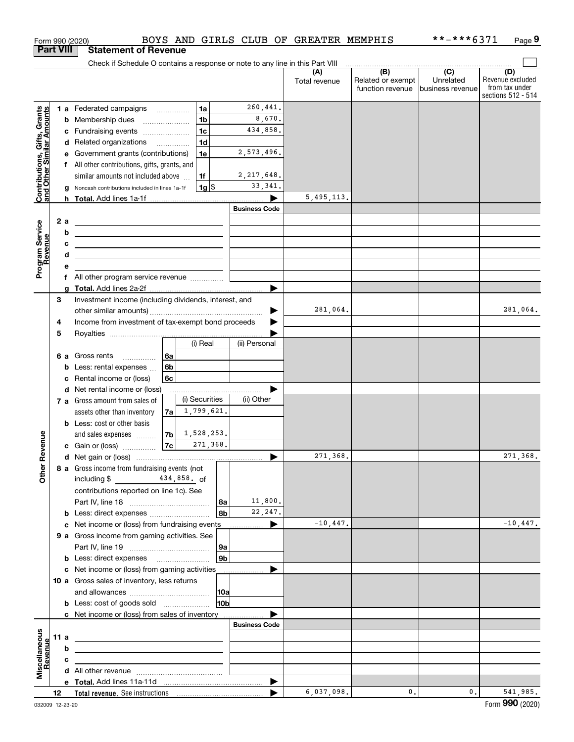|                                                           |                  |   | Form 990 (2020)                                                                                                       |          |                |                |                      | BOYS AND GIRLS CLUB OF GREATER MEMPHIS |                   | **-***6371       | Page 9                               |
|-----------------------------------------------------------|------------------|---|-----------------------------------------------------------------------------------------------------------------------|----------|----------------|----------------|----------------------|----------------------------------------|-------------------|------------------|--------------------------------------|
|                                                           | <b>Part VIII</b> |   | <b>Statement of Revenue</b>                                                                                           |          |                |                |                      |                                        |                   |                  |                                      |
|                                                           |                  |   | Check if Schedule O contains a response or note to any line in this Part VIII                                         |          |                |                |                      |                                        |                   |                  |                                      |
|                                                           |                  |   |                                                                                                                       |          |                |                |                      | (A)                                    | $\overline{(B)}$  | $\overline{(C)}$ | (D)                                  |
|                                                           |                  |   |                                                                                                                       |          |                |                |                      | Total revenue                          | Related or exempt | Unrelated        | Revenue excluded                     |
|                                                           |                  |   |                                                                                                                       |          |                |                |                      |                                        | function revenue  | business revenue | from tax under<br>sections 512 - 514 |
|                                                           |                  |   |                                                                                                                       |          |                |                |                      |                                        |                   |                  |                                      |
|                                                           |                  |   | 1 a Federated campaigns                                                                                               |          | 1a             |                | 260,441.             |                                        |                   |                  |                                      |
|                                                           |                  |   | <b>b</b> Membership dues                                                                                              |          | 1 <sub>b</sub> |                | 8,670.               |                                        |                   |                  |                                      |
|                                                           |                  |   | c Fundraising events                                                                                                  |          | 1 <sub>c</sub> |                | 434,858.             |                                        |                   |                  |                                      |
|                                                           |                  |   | d Related organizations                                                                                               |          | 1 <sub>d</sub> |                |                      |                                        |                   |                  |                                      |
|                                                           |                  |   | e Government grants (contributions)                                                                                   |          | 1e             |                | 2,573,496.           |                                        |                   |                  |                                      |
| Contributions, Gifts, Grants<br>and Other Similar Amounts |                  |   | f All other contributions, gifts, grants, and                                                                         |          |                |                |                      |                                        |                   |                  |                                      |
|                                                           |                  |   | similar amounts not included above                                                                                    |          | 1f             |                | 2, 217, 648.         |                                        |                   |                  |                                      |
|                                                           |                  |   | g Noncash contributions included in lines 1a-1f                                                                       |          | $1g$ \$        |                | 33, 341.             |                                        |                   |                  |                                      |
|                                                           |                  |   |                                                                                                                       |          |                |                |                      | 5,495,113.                             |                   |                  |                                      |
|                                                           |                  |   |                                                                                                                       |          |                |                | <b>Business Code</b> |                                        |                   |                  |                                      |
|                                                           | 2 a              |   |                                                                                                                       |          |                |                |                      |                                        |                   |                  |                                      |
|                                                           |                  | b | <u> 1989 - Johann Stein, mars an deutscher Stein († 1958)</u>                                                         |          |                |                |                      |                                        |                   |                  |                                      |
|                                                           |                  | c | <u> 1989 - Johann Harry Harry Harry Harry Harry Harry Harry Harry Harry Harry Harry Harry Harry Harry Harry Harry</u> |          |                |                |                      |                                        |                   |                  |                                      |
| evenue                                                    |                  | d |                                                                                                                       |          |                |                |                      |                                        |                   |                  |                                      |
| Program Service<br>Revenue                                |                  | е |                                                                                                                       |          |                |                |                      |                                        |                   |                  |                                      |
|                                                           |                  |   | All other program service revenue <i></i>                                                                             |          |                |                |                      |                                        |                   |                  |                                      |
|                                                           |                  | a |                                                                                                                       |          |                |                |                      |                                        |                   |                  |                                      |
|                                                           | 3                |   | Investment income (including dividends, interest, and                                                                 |          |                |                |                      |                                        |                   |                  |                                      |
|                                                           |                  |   |                                                                                                                       |          |                |                |                      | 281,064.                               |                   |                  | 281,064.                             |
|                                                           | 4                |   | Income from investment of tax-exempt bond proceeds                                                                    |          |                |                |                      |                                        |                   |                  |                                      |
|                                                           | 5                |   |                                                                                                                       |          |                |                |                      |                                        |                   |                  |                                      |
|                                                           |                  |   |                                                                                                                       |          | (i) Real       |                | (ii) Personal        |                                        |                   |                  |                                      |
|                                                           |                  |   | 6 a Gross rents<br>.                                                                                                  | 6a       |                |                |                      |                                        |                   |                  |                                      |
|                                                           |                  | b | Less: rental expenses                                                                                                 | 6b       |                |                |                      |                                        |                   |                  |                                      |
|                                                           |                  | c | Rental income or (loss)                                                                                               | 6c       |                |                |                      |                                        |                   |                  |                                      |
|                                                           |                  |   | d Net rental income or (loss)                                                                                         |          |                |                |                      |                                        |                   |                  |                                      |
|                                                           |                  |   | 7 a Gross amount from sales of                                                                                        |          | (i) Securities |                | (ii) Other           |                                        |                   |                  |                                      |
|                                                           |                  |   | assets other than inventory                                                                                           | 7a       | 1,799,621.     |                |                      |                                        |                   |                  |                                      |
|                                                           |                  |   |                                                                                                                       |          |                |                |                      |                                        |                   |                  |                                      |
|                                                           |                  |   | <b>b</b> Less: cost or other basis                                                                                    |          | 1,528,253.     |                |                      |                                        |                   |                  |                                      |
| venue                                                     |                  |   | and sales expenses                                                                                                    | 7b<br>7c | 271,368.       |                |                      |                                        |                   |                  |                                      |
|                                                           |                  |   | <b>c</b> Gain or (loss) $\ldots$                                                                                      |          |                |                |                      |                                        |                   |                  |                                      |
|                                                           |                  |   |                                                                                                                       |          |                |                |                      | 271,368.                               |                   |                  | 271,368.                             |
| Other R                                                   |                  |   | 8 a Gross income from fundraising events (not                                                                         |          |                |                |                      |                                        |                   |                  |                                      |
|                                                           |                  |   | including $\frac{2}{3}$ 434, 858. of                                                                                  |          |                |                |                      |                                        |                   |                  |                                      |
|                                                           |                  |   | contributions reported on line 1c). See                                                                               |          |                |                |                      |                                        |                   |                  |                                      |
|                                                           |                  |   |                                                                                                                       |          |                | l 8a           | 11,800.              |                                        |                   |                  |                                      |
|                                                           |                  |   | <b>b</b> Less: direct expenses <i></i>                                                                                |          |                | 8 <sub>b</sub> | 22, 247.             |                                        |                   |                  |                                      |
|                                                           |                  |   | c Net income or (loss) from fundraising events                                                                        |          |                |                | ▶                    | $-10,447.$                             |                   |                  | $-10,447.$                           |
|                                                           |                  |   | 9 a Gross income from gaming activities. See                                                                          |          |                |                |                      |                                        |                   |                  |                                      |
|                                                           |                  |   |                                                                                                                       |          |                | 9a             |                      |                                        |                   |                  |                                      |
|                                                           |                  |   | <b>b</b> Less: direct expenses <b>manually</b>                                                                        |          |                | 9b             |                      |                                        |                   |                  |                                      |
|                                                           |                  |   | c Net income or (loss) from gaming activities                                                                         |          |                |                |                      |                                        |                   |                  |                                      |
|                                                           |                  |   | 10 a Gross sales of inventory, less returns                                                                           |          |                |                |                      |                                        |                   |                  |                                      |
|                                                           |                  |   |                                                                                                                       |          |                | 10a            |                      |                                        |                   |                  |                                      |
|                                                           |                  |   |                                                                                                                       |          |                | 10b            |                      |                                        |                   |                  |                                      |
|                                                           |                  |   | c Net income or (loss) from sales of inventory                                                                        |          |                |                |                      |                                        |                   |                  |                                      |
|                                                           |                  |   |                                                                                                                       |          |                |                | <b>Business Code</b> |                                        |                   |                  |                                      |
|                                                           | 11 a             |   |                                                                                                                       |          |                |                |                      |                                        |                   |                  |                                      |
|                                                           |                  | b |                                                                                                                       |          |                |                |                      |                                        |                   |                  |                                      |
| Miscellaneous<br>Revenue                                  |                  | c |                                                                                                                       |          |                |                |                      |                                        |                   |                  |                                      |
|                                                           |                  |   |                                                                                                                       |          |                |                |                      |                                        |                   |                  |                                      |
|                                                           |                  |   |                                                                                                                       |          |                |                |                      |                                        |                   |                  |                                      |
|                                                           | 12               |   |                                                                                                                       |          |                |                |                      | 6,037,098.                             | $\mathbf{0}$ .    | 0.               | 541,985.                             |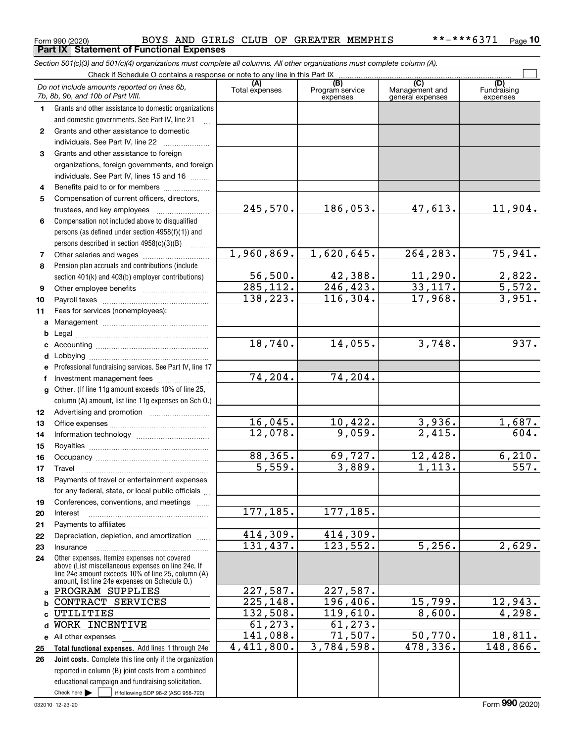Check here  $\blacktriangleright$ 

|              | Form 990 (2020)<br><b>Part IX   Statement of Functional Expenses</b>                                                       | BOYS AND GIRLS CLUB OF GREATER MEMPHIS |                             |                                    | **-***6371<br>Page      |
|--------------|----------------------------------------------------------------------------------------------------------------------------|----------------------------------------|-----------------------------|------------------------------------|-------------------------|
|              | Section 501(c)(3) and 501(c)(4) organizations must complete all columns. All other organizations must complete column (A). |                                        |                             |                                    |                         |
|              | Check if Schedule O contains a response or note to any line in this Part IX                                                |                                        |                             |                                    |                         |
|              |                                                                                                                            | (A)                                    | (B)                         | (C)                                | (D)                     |
|              | Do not include amounts reported on lines 6b,<br>7b, 8b, 9b, and 10b of Part VIII.                                          | Total expenses                         | Program service<br>expenses | Management and<br>general expenses | Fundraising<br>expenses |
| 1            | Grants and other assistance to domestic organizations                                                                      |                                        |                             |                                    |                         |
|              | and domestic governments. See Part IV, line 21                                                                             |                                        |                             |                                    |                         |
| $\mathbf{2}$ | Grants and other assistance to domestic                                                                                    |                                        |                             |                                    |                         |
|              | individuals. See Part IV, line 22                                                                                          |                                        |                             |                                    |                         |
| 3            | Grants and other assistance to foreign                                                                                     |                                        |                             |                                    |                         |
|              | organizations, foreign governments, and foreign                                                                            |                                        |                             |                                    |                         |
|              | individuals. See Part IV, lines 15 and 16                                                                                  |                                        |                             |                                    |                         |
| 4            | Benefits paid to or for members                                                                                            |                                        |                             |                                    |                         |
| 5            | Compensation of current officers, directors,                                                                               |                                        |                             |                                    |                         |
|              | trustees, and key employees                                                                                                | 245,570.                               | 186,053.                    | 47,613.                            | 11,904                  |
| 6            | Compensation not included above to disqualified                                                                            |                                        |                             |                                    |                         |
|              | persons (as defined under section 4958(f)(1)) and                                                                          |                                        |                             |                                    |                         |
| 7            | persons described in section 4958(c)(3)(B)                                                                                 | 1,960,869.                             | 1,620,645.                  | 264,283.                           | 75,941                  |
| 8            | Pension plan accruals and contributions (include                                                                           |                                        |                             |                                    |                         |
|              | section 401(k) and 403(b) employer contributions)                                                                          | 56,500.                                | 42,388.                     |                                    |                         |
| 9            |                                                                                                                            | $\overline{285,112}$ .                 | 246, 423.                   | $\frac{11,290}{33,117}$            | $\frac{2,822}{5,572}$   |
| 10           |                                                                                                                            | 138,223.                               | 116,304.                    | 17,968.                            | 3,951                   |
| 11           | Fees for services (nonemployees):                                                                                          |                                        |                             |                                    |                         |
| a            |                                                                                                                            |                                        |                             |                                    |                         |
| b            |                                                                                                                            |                                        |                             |                                    |                         |
| c            |                                                                                                                            | 18,740.                                | 14,055.                     | 3,748.                             | 93 <sub>1</sub>         |
| d            |                                                                                                                            |                                        |                             |                                    |                         |
| е            | Professional fundraising services. See Part IV, line 17                                                                    |                                        |                             |                                    |                         |

16,045. 12,078.

74,204.

74,204.

177,185.

414,309.

227,587.

61,273.

88,365. 5,559.

177,185.

414,309. 131,437.

227,587. 225,148. 132,508. 61,273. 141,088. 4,411,800.

|    | g Other. (If line 11g amount exceeds 10% of line 25, |  |  |  |  |
|----|------------------------------------------------------|--|--|--|--|
|    | column (A) amount, list line 11g expenses on Sch 0.) |  |  |  |  |
| 12 |                                                      |  |  |  |  |
| 13 |                                                      |  |  |  |  |
| 14 |                                                      |  |  |  |  |

~~~~~~~~~~~

Investment management fees

**1617181920212223**Royalties ~~~~~~~~~~~~~~~~~~ Occupancy ~~~~~~~~~~~~~~~~~ Travel ……………………………………………… Payments of travel or entertainment expenses for any federal, state, or local public officials ... Conferences, conventions, and meetings Interest Payments to affiliates ~~~~~~~~~~~~ Depreciation, depletion, and amortization  $\,\,\ldots\,\,$ Insurance

**24abc**UTILITIES **d** WORK INCENTIVE Other expenses. Itemize expenses not covered above (List miscellaneous expenses on line 24e. If line 24e amount exceeds 10% of line 25, column (A) amount, list line 24e expenses on Schedule O.) PROGRAM SUPPLIES CONTRACT SERVICES

Check here  $\bullet$  if following SOP 98-2 (ASC 958-720) **Total functional expenses.**  Add lines 1 through 24e **Joint costs.** Complete this line only if the organization **e** All other expenses **2526**reported in column (B) joint costs from a combined educational campaign and fundraising solicitation.

10,422. 3,936. 1,687.  $9,059.$  2,415. 604.

69,727. 12,428. 6,210.  $3,889.$  1,113. 557.

 $123,552.$  5,256. 2,629.

196,406. 15,799. 12,943.  $119,610.$  8,600. 4,298.

71,507. 50,770. 18,811. 3,784,598. 478,336. 148,866.

Form (2020) **990**

11,904.

15,941.

2,822.  $5,572.$ 3,951.

937.

 $\mathcal{L}^{\text{max}}$ 

> **ef**

**15**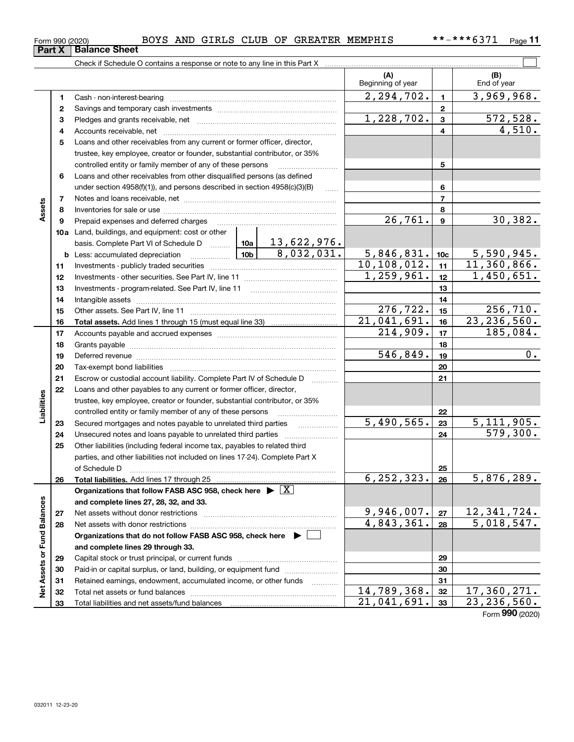**32 33**

Net.

| Form 990 (2020)                         | BOYS |  |  | AND GIRLS CLUB OF GREATER. | MEMPHIS | . | Page |
|-----------------------------------------|------|--|--|----------------------------|---------|---|------|
| $\sim$ $\sim$<br>il Factoria de Alcanto |      |  |  |                            |         |   |      |

Total net assets or fund balances ~~~~~~~~~~~~~~~~~~~~~~

Total liabilities and net assets/fund balances

**11**

|                             |          | Check if Schedule O contains a response or note to any line in this Part X                                                                                 |                           |                 |                          |
|-----------------------------|----------|------------------------------------------------------------------------------------------------------------------------------------------------------------|---------------------------|-----------------|--------------------------|
|                             |          |                                                                                                                                                            | (A)<br>Beginning of year  |                 | (B)<br>End of year       |
|                             | 1        | Cash - non-interest-bearing                                                                                                                                | 2, 294, 702.              | $\mathbf{1}$    | 3,969,968.               |
|                             | 2        |                                                                                                                                                            |                           | $\mathbf{2}$    |                          |
|                             | з        |                                                                                                                                                            | 1,228,702.                | 3               | 572,528.                 |
|                             | 4        |                                                                                                                                                            |                           | 4               | 4,510.                   |
|                             | 5        | Loans and other receivables from any current or former officer, director,                                                                                  |                           |                 |                          |
|                             |          | trustee, key employee, creator or founder, substantial contributor, or 35%                                                                                 |                           |                 |                          |
|                             |          | controlled entity or family member of any of these persons                                                                                                 |                           | 5               |                          |
|                             | 6        | Loans and other receivables from other disqualified persons (as defined                                                                                    |                           |                 |                          |
|                             |          | under section $4958(f)(1)$ , and persons described in section $4958(c)(3)(B)$<br>1.1.1.1                                                                   |                           | 6               |                          |
|                             | 7        |                                                                                                                                                            |                           | 7               |                          |
| Assets                      | 8        |                                                                                                                                                            |                           | 8               |                          |
|                             | 9        | Prepaid expenses and deferred charges                                                                                                                      | 26,761.                   | 9               | 30, 382.                 |
|                             |          | 10a Land, buildings, and equipment: cost or other                                                                                                          |                           |                 |                          |
|                             |          | 13,622,976.<br>basis. Complete Part VI of Schedule D  10a                                                                                                  |                           |                 |                          |
|                             |          | 8,032,031.<br><b>b</b> Less: accumulated depreciation                                                                                                      | 5,846,831.                | 10 <sub>c</sub> | 5,590,945.               |
|                             | 11       |                                                                                                                                                            | 10,108,012.               | 11              | 11,360,866.              |
|                             | 12       |                                                                                                                                                            | 1,259,961.                | 12              | 1,450,651.               |
|                             | 13       | Investments - program-related. See Part IV, line 11                                                                                                        |                           | 13              |                          |
|                             | 14       |                                                                                                                                                            |                           | 14              |                          |
|                             | 15       |                                                                                                                                                            | $\overline{276}$ , 722.   | 15              | 256,710.                 |
|                             | 16       |                                                                                                                                                            | $\overline{21,041,691}$ . | 16              | 23, 236, 560.            |
|                             | 17       |                                                                                                                                                            | 214,909.                  | 17              | 185,084.                 |
|                             | 18       |                                                                                                                                                            |                           | 18              |                          |
|                             | 19       |                                                                                                                                                            | 546,849.                  | 19              | 0.                       |
|                             | 20       |                                                                                                                                                            |                           | 20              |                          |
|                             | 21       | Escrow or custodial account liability. Complete Part IV of Schedule D<br>1.1.1.1.1.1.1.1.1.1                                                               |                           | 21              |                          |
|                             | 22       | Loans and other payables to any current or former officer, director,                                                                                       |                           |                 |                          |
|                             |          | trustee, key employee, creator or founder, substantial contributor, or 35%                                                                                 |                           |                 |                          |
| Liabilities                 |          | controlled entity or family member of any of these persons                                                                                                 | 5,490,565.                | 22              | $\overline{5,111,905}$ . |
|                             | 23       | Secured mortgages and notes payable to unrelated third parties<br>.                                                                                        |                           | 23<br>24        | 579,300.                 |
|                             | 24<br>25 |                                                                                                                                                            |                           |                 |                          |
|                             |          | Other liabilities (including federal income tax, payables to related third<br>parties, and other liabilities not included on lines 17-24). Complete Part X |                           |                 |                          |
|                             |          | of Schedule D                                                                                                                                              |                           | 25              |                          |
|                             | 26       | Total liabilities. Add lines 17 through 25                                                                                                                 | 6, 252, 323.              | 26              | 5,876,289.               |
|                             |          | Organizations that follow FASB ASC 958, check here $\blacktriangleright \boxed{X}$                                                                         |                           |                 |                          |
|                             |          | and complete lines 27, 28, 32, and 33.                                                                                                                     |                           |                 |                          |
|                             | 27       | Net assets without donor restrictions                                                                                                                      | 9,946,007.                | 27              | 12,341,724.              |
|                             | 28       | Net assets with donor restrictions                                                                                                                         | 4,843,361.                | 28              | 5,018,547.               |
| Net Assets or Fund Balances |          | Organizations that do not follow FASB ASC 958, check here $\blacktriangleright$                                                                            |                           |                 |                          |
|                             |          | and complete lines 29 through 33.                                                                                                                          |                           |                 |                          |
|                             | 29       | Capital stock or trust principal, or current funds                                                                                                         |                           | 29              |                          |
|                             | 30       | Paid-in or capital surplus, or land, building, or equipment fund                                                                                           |                           | 30              |                          |
|                             | 31       | Retained earnings, endowment, accumulated income, or other funds                                                                                           |                           | 31              |                          |
|                             | 32       |                                                                                                                                                            | 14,789,368.               | 32              | 17,360,271.              |

Form (2020) **990**

**32 33**

21,041,691.

**Part X Balance Sheet**

| Form 990 (2020 |  |
|----------------|--|
|                |  |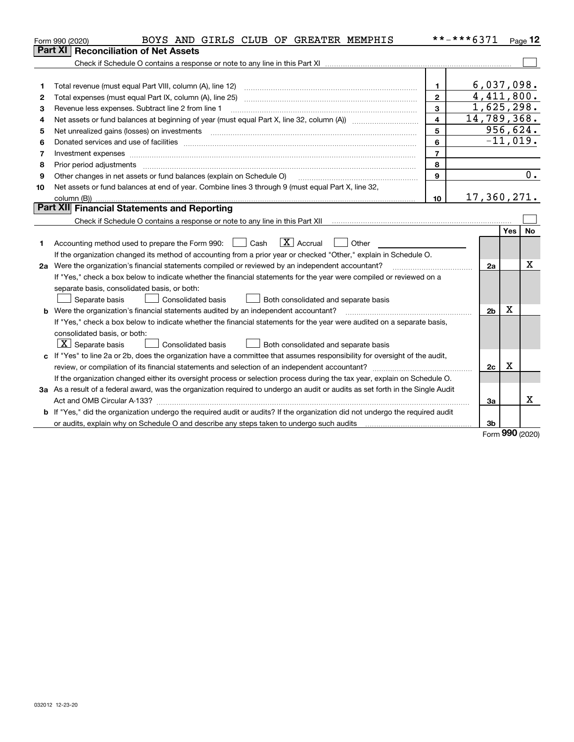|    | BOYS AND GIRLS CLUB OF GREATER MEMPHIS<br>Form 990 (2020)                                                                       |                         | **-***6371     |            | Page 12   |
|----|---------------------------------------------------------------------------------------------------------------------------------|-------------------------|----------------|------------|-----------|
|    | Part XI<br><b>Reconciliation of Net Assets</b>                                                                                  |                         |                |            |           |
|    |                                                                                                                                 |                         |                |            |           |
|    |                                                                                                                                 |                         |                |            |           |
| 1  |                                                                                                                                 | 1.                      | 6,037,098.     |            |           |
| 2  |                                                                                                                                 | $\mathbf{2}$            | 4,411,800.     |            |           |
| з  | Revenue less expenses. Subtract line 2 from line 1                                                                              | 3                       | 1,625,298.     |            |           |
| 4  |                                                                                                                                 | $\overline{\mathbf{4}}$ | 14,789,368.    |            |           |
| 5  |                                                                                                                                 | 5                       |                | 956,624.   |           |
| 6  |                                                                                                                                 | 6                       |                | $-11,019.$ |           |
| 7  | Investment expenses www.communication.com/www.communication.com/www.communication.com/www.com                                   | $\overline{7}$          |                |            |           |
| 8  | Prior period adjustments                                                                                                        | 8                       |                |            |           |
| 9  | Other changes in net assets or fund balances (explain on Schedule O)                                                            | $\mathbf{Q}$            |                |            | 0.        |
| 10 | Net assets or fund balances at end of year. Combine lines 3 through 9 (must equal Part X, line 32,                              |                         |                |            |           |
|    | column (B))                                                                                                                     | 10                      | 17,360,271.    |            |           |
|    | Part XII Financial Statements and Reporting                                                                                     |                         |                |            |           |
|    |                                                                                                                                 |                         |                |            |           |
|    |                                                                                                                                 |                         |                | <b>Yes</b> | <b>No</b> |
| 1  | $\boxed{\mathbf{X}}$ Accrual<br>Accounting method used to prepare the Form 990: [139] Cash<br>Other                             |                         |                |            |           |
|    | If the organization changed its method of accounting from a prior year or checked "Other," explain in Schedule O.               |                         |                |            |           |
|    | 2a Were the organization's financial statements compiled or reviewed by an independent accountant?                              |                         | 2a             |            | x         |
|    | If "Yes," check a box below to indicate whether the financial statements for the year were compiled or reviewed on a            |                         |                |            |           |
|    | separate basis, consolidated basis, or both:                                                                                    |                         |                |            |           |
|    | Separate basis<br>Consolidated basis<br>Both consolidated and separate basis                                                    |                         |                |            |           |
|    | <b>b</b> Were the organization's financial statements audited by an independent accountant?                                     |                         | 2 <sub>b</sub> | Х          |           |
|    | If "Yes," check a box below to indicate whether the financial statements for the year were audited on a separate basis,         |                         |                |            |           |
|    | consolidated basis, or both:                                                                                                    |                         |                |            |           |
|    | $X$ Separate basis<br><b>Consolidated basis</b><br>Both consolidated and separate basis                                         |                         |                |            |           |
|    | c If "Yes" to line 2a or 2b, does the organization have a committee that assumes responsibility for oversight of the audit,     |                         |                |            |           |
|    |                                                                                                                                 |                         | 2c             | х          |           |
|    | If the organization changed either its oversight process or selection process during the tax year, explain on Schedule O.       |                         |                |            |           |
|    | 3a As a result of a federal award, was the organization required to undergo an audit or audits as set forth in the Single Audit |                         |                |            |           |
|    |                                                                                                                                 |                         | За             |            | x         |
|    | b If "Yes," did the organization undergo the required audit or audits? If the organization did not undergo the required audit   |                         |                |            |           |
|    |                                                                                                                                 |                         | 3b             |            |           |

Form (2020) **990**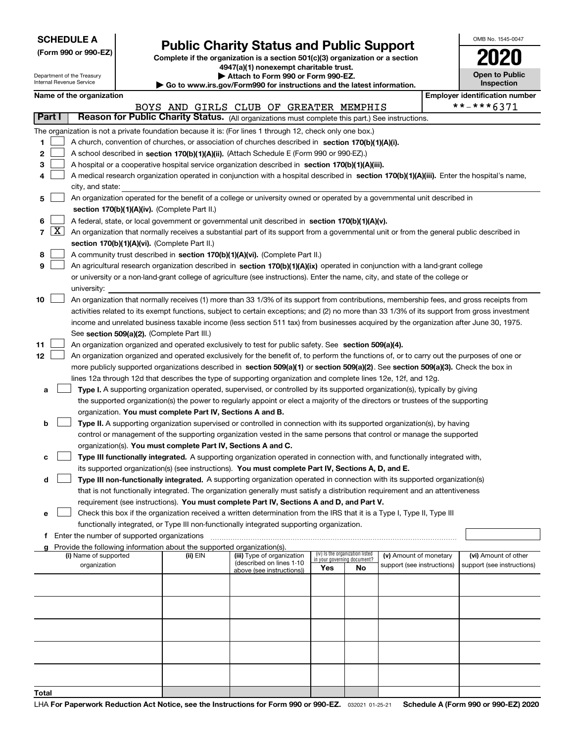| <b>SCHEDULE A</b> |  |
|-------------------|--|
|-------------------|--|

Department of the Treasury Internal Revenue Service

|  |  |  | (Form 990 or 990-EZ) |
|--|--|--|----------------------|
|--|--|--|----------------------|

# **Public Charity Status and Public Support**

**Complete if the organization is a section 501(c)(3) organization or a section 4947(a)(1) nonexempt charitable trust. | Attach to Form 990 or Form 990-EZ.** 

|  | $\blacksquare$                                                           |  |  |
|--|--------------------------------------------------------------------------|--|--|
|  | ▶ Go to www.irs.gov/Form990 for instructions and the latest information. |  |  |
|  |                                                                          |  |  |

| O)                                  |
|-------------------------------------|
| <b>Open to Public</b><br>Inspection |

OMB No. 1545-0047

|  | Name of the organization |
|--|--------------------------|
|--|--------------------------|

|    |            | Name of the organization                                                                                                                     |            | BOYS AND GIRLS CLUB OF GREATER MEMPHIS |                                 |    |                            | <b>Employer identification number</b><br>**-***6371 |
|----|------------|----------------------------------------------------------------------------------------------------------------------------------------------|------------|----------------------------------------|---------------------------------|----|----------------------------|-----------------------------------------------------|
|    | Part I     | Reason for Public Charity Status. (All organizations must complete this part.) See instructions.                                             |            |                                        |                                 |    |                            |                                                     |
|    |            | The organization is not a private foundation because it is: (For lines 1 through 12, check only one box.)                                    |            |                                        |                                 |    |                            |                                                     |
| 1  |            | A church, convention of churches, or association of churches described in section 170(b)(1)(A)(i).                                           |            |                                        |                                 |    |                            |                                                     |
| 2  |            | A school described in section 170(b)(1)(A)(ii). (Attach Schedule E (Form 990 or 990-EZ).)                                                    |            |                                        |                                 |    |                            |                                                     |
| з  |            | A hospital or a cooperative hospital service organization described in section 170(b)(1)(A)(iii).                                            |            |                                        |                                 |    |                            |                                                     |
| 4  |            | A medical research organization operated in conjunction with a hospital described in section 170(b)(1)(A)(iii). Enter the hospital's name,   |            |                                        |                                 |    |                            |                                                     |
|    |            | city, and state:                                                                                                                             |            |                                        |                                 |    |                            |                                                     |
| 5  |            | An organization operated for the benefit of a college or university owned or operated by a governmental unit described in                    |            |                                        |                                 |    |                            |                                                     |
|    |            | section 170(b)(1)(A)(iv). (Complete Part II.)                                                                                                |            |                                        |                                 |    |                            |                                                     |
| 6  |            | A federal, state, or local government or governmental unit described in section 170(b)(1)(A)(v).                                             |            |                                        |                                 |    |                            |                                                     |
|    | $7 \times$ | An organization that normally receives a substantial part of its support from a governmental unit or from the general public described in    |            |                                        |                                 |    |                            |                                                     |
|    |            | section 170(b)(1)(A)(vi). (Complete Part II.)                                                                                                |            |                                        |                                 |    |                            |                                                     |
| 8  |            | A community trust described in section 170(b)(1)(A)(vi). (Complete Part II.)                                                                 |            |                                        |                                 |    |                            |                                                     |
| 9  |            | An agricultural research organization described in section 170(b)(1)(A)(ix) operated in conjunction with a land-grant college                |            |                                        |                                 |    |                            |                                                     |
|    |            | or university or a non-land-grant college of agriculture (see instructions). Enter the name, city, and state of the college or               |            |                                        |                                 |    |                            |                                                     |
|    |            | university:                                                                                                                                  |            |                                        |                                 |    |                            |                                                     |
| 10 |            | An organization that normally receives (1) more than 33 1/3% of its support from contributions, membership fees, and gross receipts from     |            |                                        |                                 |    |                            |                                                     |
|    |            | activities related to its exempt functions, subject to certain exceptions; and (2) no more than 33 1/3% of its support from gross investment |            |                                        |                                 |    |                            |                                                     |
|    |            | income and unrelated business taxable income (less section 511 tax) from businesses acquired by the organization after June 30, 1975.        |            |                                        |                                 |    |                            |                                                     |
|    |            | See section 509(a)(2). (Complete Part III.)                                                                                                  |            |                                        |                                 |    |                            |                                                     |
| 11 |            | An organization organized and operated exclusively to test for public safety. See section 509(a)(4).                                         |            |                                        |                                 |    |                            |                                                     |
| 12 |            | An organization organized and operated exclusively for the benefit of, to perform the functions of, or to carry out the purposes of one or   |            |                                        |                                 |    |                            |                                                     |
|    |            | more publicly supported organizations described in section 509(a)(1) or section 509(a)(2). See section 509(a)(3). Check the box in           |            |                                        |                                 |    |                            |                                                     |
|    |            | lines 12a through 12d that describes the type of supporting organization and complete lines 12e, 12f, and 12g.                               |            |                                        |                                 |    |                            |                                                     |
| а  |            | Type I. A supporting organization operated, supervised, or controlled by its supported organization(s), typically by giving                  |            |                                        |                                 |    |                            |                                                     |
|    |            | the supported organization(s) the power to regularly appoint or elect a majority of the directors or trustees of the supporting              |            |                                        |                                 |    |                            |                                                     |
|    |            | organization. You must complete Part IV, Sections A and B.                                                                                   |            |                                        |                                 |    |                            |                                                     |
| b  |            | Type II. A supporting organization supervised or controlled in connection with its supported organization(s), by having                      |            |                                        |                                 |    |                            |                                                     |
|    |            | control or management of the supporting organization vested in the same persons that control or manage the supported                         |            |                                        |                                 |    |                            |                                                     |
|    |            | organization(s). You must complete Part IV, Sections A and C.                                                                                |            |                                        |                                 |    |                            |                                                     |
| с  |            | Type III functionally integrated. A supporting organization operated in connection with, and functionally integrated with,                   |            |                                        |                                 |    |                            |                                                     |
|    |            | its supported organization(s) (see instructions). You must complete Part IV, Sections A, D, and E.                                           |            |                                        |                                 |    |                            |                                                     |
| d  |            | Type III non-functionally integrated. A supporting organization operated in connection with its supported organization(s)                    |            |                                        |                                 |    |                            |                                                     |
|    |            | that is not functionally integrated. The organization generally must satisfy a distribution requirement and an attentiveness                 |            |                                        |                                 |    |                            |                                                     |
|    |            | requirement (see instructions). You must complete Part IV, Sections A and D, and Part V.                                                     |            |                                        |                                 |    |                            |                                                     |
|    |            | Check this box if the organization received a written determination from the IRS that it is a Type I, Type II, Type III                      |            |                                        |                                 |    |                            |                                                     |
|    |            | functionally integrated, or Type III non-functionally integrated supporting organization.                                                    |            |                                        |                                 |    |                            |                                                     |
|    |            | f Enter the number of supported organizations                                                                                                |            |                                        |                                 |    |                            |                                                     |
|    |            | g Provide the following information about the supported organization(s).<br>(i) Name of supported                                            | (ii) $EIN$ | (iii) Type of organization             | (iv) Is the organization listed |    | (v) Amount of monetary     | (vi) Amount of other                                |
|    |            | organization                                                                                                                                 |            | (described on lines 1-10               | in your governing document?     |    | support (see instructions) | support (see instructions)                          |
|    |            |                                                                                                                                              |            | above (see instructions))              | Yes                             | No |                            |                                                     |
|    |            |                                                                                                                                              |            |                                        |                                 |    |                            |                                                     |
|    |            |                                                                                                                                              |            |                                        |                                 |    |                            |                                                     |
|    |            |                                                                                                                                              |            |                                        |                                 |    |                            |                                                     |
|    |            |                                                                                                                                              |            |                                        |                                 |    |                            |                                                     |
|    |            |                                                                                                                                              |            |                                        |                                 |    |                            |                                                     |
|    |            |                                                                                                                                              |            |                                        |                                 |    |                            |                                                     |
|    |            |                                                                                                                                              |            |                                        |                                 |    |                            |                                                     |
|    |            |                                                                                                                                              |            |                                        |                                 |    |                            |                                                     |
|    |            |                                                                                                                                              |            |                                        |                                 |    |                            |                                                     |
|    |            |                                                                                                                                              |            |                                        |                                 |    |                            |                                                     |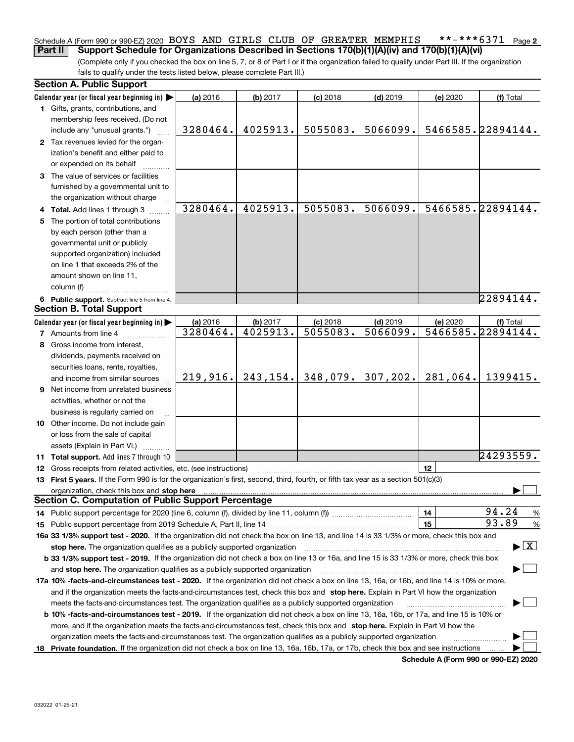#### **2** Schedule A (Form 990 or 990-EZ) 2020  $\, {\rm BOYS} \,$  AND <code>GIRLS CLUB OF GREATER MEMPHIS \*\*-\*\*\*6371 Page</code> **Part II Support Schedule for Organizations Described in Sections 170(b)(1)(A)(iv) and 170(b)(1)(A)(vi)**

(Complete only if you checked the box on line 5, 7, or 8 of Part I or if the organization failed to qualify under Part III. If the organization fails to qualify under the tests listed below, please complete Part III.)

| <b>Section A. Public Support</b>                                                                                                                                                                                               |          |            |            |            |          |                                          |
|--------------------------------------------------------------------------------------------------------------------------------------------------------------------------------------------------------------------------------|----------|------------|------------|------------|----------|------------------------------------------|
| Calendar year (or fiscal year beginning in) $\blacktriangleright$                                                                                                                                                              | (a) 2016 | $(b)$ 2017 | $(c)$ 2018 | $(d)$ 2019 | (e) 2020 | (f) Total                                |
| 1 Gifts, grants, contributions, and                                                                                                                                                                                            |          |            |            |            |          |                                          |
| membership fees received. (Do not                                                                                                                                                                                              |          |            |            |            |          |                                          |
| include any "unusual grants.")                                                                                                                                                                                                 | 3280464. | 4025913.   | 5055083.   | 5066099.   |          | 5466585.22894144.                        |
| 2 Tax revenues levied for the organ-                                                                                                                                                                                           |          |            |            |            |          |                                          |
| ization's benefit and either paid to                                                                                                                                                                                           |          |            |            |            |          |                                          |
| or expended on its behalf                                                                                                                                                                                                      |          |            |            |            |          |                                          |
| 3 The value of services or facilities                                                                                                                                                                                          |          |            |            |            |          |                                          |
| furnished by a governmental unit to                                                                                                                                                                                            |          |            |            |            |          |                                          |
| the organization without charge                                                                                                                                                                                                |          |            |            |            |          |                                          |
| 4 Total. Add lines 1 through 3                                                                                                                                                                                                 | 3280464. | 4025913.   | 5055083.   | 5066099.   |          | 5466585.22894144.                        |
| 5 The portion of total contributions                                                                                                                                                                                           |          |            |            |            |          |                                          |
| by each person (other than a                                                                                                                                                                                                   |          |            |            |            |          |                                          |
| governmental unit or publicly                                                                                                                                                                                                  |          |            |            |            |          |                                          |
| supported organization) included                                                                                                                                                                                               |          |            |            |            |          |                                          |
| on line 1 that exceeds 2% of the                                                                                                                                                                                               |          |            |            |            |          |                                          |
| amount shown on line 11,                                                                                                                                                                                                       |          |            |            |            |          |                                          |
| column (f)                                                                                                                                                                                                                     |          |            |            |            |          |                                          |
| 6 Public support. Subtract line 5 from line 4.                                                                                                                                                                                 |          |            |            |            |          | 22894144.                                |
| <b>Section B. Total Support</b>                                                                                                                                                                                                |          |            |            |            |          |                                          |
| Calendar year (or fiscal year beginning in)                                                                                                                                                                                    | (a) 2016 | (b) 2017   | $(c)$ 2018 | $(d)$ 2019 | (e) 2020 | (f) Total                                |
| <b>7</b> Amounts from line 4                                                                                                                                                                                                   | 3280464. | 4025913.   | 5055083.   | 5066099.   |          | 5466585.22894144.                        |
| 8 Gross income from interest,                                                                                                                                                                                                  |          |            |            |            |          |                                          |
| dividends, payments received on                                                                                                                                                                                                |          |            |            |            |          |                                          |
| securities loans, rents, royalties,                                                                                                                                                                                            |          |            |            |            |          |                                          |
| and income from similar sources                                                                                                                                                                                                | 219,916. | 243, 154.  | 348,079.   | 307, 202.  | 281,064. | 1399415.                                 |
| 9 Net income from unrelated business                                                                                                                                                                                           |          |            |            |            |          |                                          |
| activities, whether or not the                                                                                                                                                                                                 |          |            |            |            |          |                                          |
| business is regularly carried on                                                                                                                                                                                               |          |            |            |            |          |                                          |
| 10 Other income. Do not include gain                                                                                                                                                                                           |          |            |            |            |          |                                          |
| or loss from the sale of capital                                                                                                                                                                                               |          |            |            |            |          |                                          |
| assets (Explain in Part VI.) <b>Constant</b>                                                                                                                                                                                   |          |            |            |            |          |                                          |
| 11 Total support. Add lines 7 through 10                                                                                                                                                                                       |          |            |            |            |          | 24293559.                                |
| <b>12</b> Gross receipts from related activities, etc. (see instructions)                                                                                                                                                      |          |            |            |            | 12       |                                          |
| 13 First 5 years. If the Form 990 is for the organization's first, second, third, fourth, or fifth tax year as a section 501(c)(3)                                                                                             |          |            |            |            |          |                                          |
| organization, check this box and stop here manufactured and according to the state of the state of the state of the state of the state of the state of the state of the state of the state of the state of the state of the st |          |            |            |            |          |                                          |
| Section C. Computation of Public Support Percentage                                                                                                                                                                            |          |            |            |            |          |                                          |
| 14 Public support percentage for 2020 (line 6, column (f), divided by line 11, column (f) <i>mummumumum</i>                                                                                                                    |          |            |            |            | 14       | 94.24<br>%                               |
|                                                                                                                                                                                                                                |          |            |            |            | 15       | 93.89<br>%                               |
| 16a 33 1/3% support test - 2020. If the organization did not check the box on line 13, and line 14 is 33 1/3% or more, check this box and                                                                                      |          |            |            |            |          |                                          |
| stop here. The organization qualifies as a publicly supported organization                                                                                                                                                     |          |            |            |            |          | $\blacktriangleright$ $\boxed{\text{X}}$ |
| b 33 1/3% support test - 2019. If the organization did not check a box on line 13 or 16a, and line 15 is 33 1/3% or more, check this box                                                                                       |          |            |            |            |          |                                          |
| and stop here. The organization qualifies as a publicly supported organization                                                                                                                                                 |          |            |            |            |          |                                          |
| 17a 10% -facts-and-circumstances test - 2020. If the organization did not check a box on line 13, 16a, or 16b, and line 14 is 10% or more,                                                                                     |          |            |            |            |          |                                          |
| and if the organization meets the facts-and-circumstances test, check this box and stop here. Explain in Part VI how the organization                                                                                          |          |            |            |            |          |                                          |
| meets the facts-and-circumstances test. The organization qualifies as a publicly supported organization                                                                                                                        |          |            |            |            |          |                                          |
| <b>b 10% -facts-and-circumstances test - 2019.</b> If the organization did not check a box on line 13, 16a, 16b, or 17a, and line 15 is 10% or                                                                                 |          |            |            |            |          |                                          |
| more, and if the organization meets the facts-and-circumstances test, check this box and stop here. Explain in Part VI how the                                                                                                 |          |            |            |            |          |                                          |
| organization meets the facts-and-circumstances test. The organization qualifies as a publicly supported organization                                                                                                           |          |            |            |            |          |                                          |
| 18 Private foundation. If the organization did not check a box on line 13, 16a, 16b, 17a, or 17b, check this box and see instructions                                                                                          |          |            |            |            |          |                                          |
|                                                                                                                                                                                                                                |          |            |            |            |          |                                          |

**Schedule A (Form 990 or 990-EZ) 2020**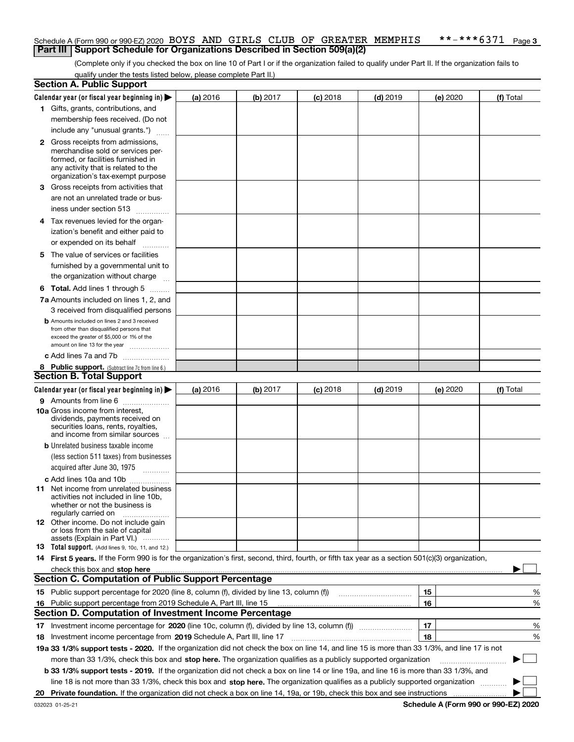#### **3** Schedule A (Form 990 or 990-EZ) 2020  $\, {\rm BOYS} \,$  AND <code>GIRLS CLUB OF GREATER MEMPHIS \*\*-\*\*\*6371 Page</code> **Part III Support Schedule for Organizations Described in Section 509(a)(2)**

(Complete only if you checked the box on line 10 of Part I or if the organization failed to qualify under Part II. If the organization fails to qualify under the tests listed below, please complete Part II.)

|    | <b>Section A. Public Support</b>                                                                                                                 |          |          |            |            |          |           |
|----|--------------------------------------------------------------------------------------------------------------------------------------------------|----------|----------|------------|------------|----------|-----------|
|    | Calendar year (or fiscal year beginning in) $\blacktriangleright$                                                                                | (a) 2016 | (b) 2017 | $(c)$ 2018 | $(d)$ 2019 | (e) 2020 | (f) Total |
|    | 1 Gifts, grants, contributions, and                                                                                                              |          |          |            |            |          |           |
|    | membership fees received. (Do not                                                                                                                |          |          |            |            |          |           |
|    | include any "unusual grants.")                                                                                                                   |          |          |            |            |          |           |
|    | <b>2</b> Gross receipts from admissions,                                                                                                         |          |          |            |            |          |           |
|    | merchandise sold or services per-                                                                                                                |          |          |            |            |          |           |
|    | formed, or facilities furnished in                                                                                                               |          |          |            |            |          |           |
|    | any activity that is related to the<br>organization's tax-exempt purpose                                                                         |          |          |            |            |          |           |
|    | 3 Gross receipts from activities that                                                                                                            |          |          |            |            |          |           |
|    | are not an unrelated trade or bus-                                                                                                               |          |          |            |            |          |           |
|    |                                                                                                                                                  |          |          |            |            |          |           |
|    | iness under section 513                                                                                                                          |          |          |            |            |          |           |
|    | 4 Tax revenues levied for the organ-                                                                                                             |          |          |            |            |          |           |
|    | ization's benefit and either paid to                                                                                                             |          |          |            |            |          |           |
|    | or expended on its behalf<br>.                                                                                                                   |          |          |            |            |          |           |
|    | 5 The value of services or facilities                                                                                                            |          |          |            |            |          |           |
|    | furnished by a governmental unit to                                                                                                              |          |          |            |            |          |           |
|    | the organization without charge                                                                                                                  |          |          |            |            |          |           |
|    | <b>6 Total.</b> Add lines 1 through 5                                                                                                            |          |          |            |            |          |           |
|    | 7a Amounts included on lines 1, 2, and                                                                                                           |          |          |            |            |          |           |
|    | 3 received from disqualified persons                                                                                                             |          |          |            |            |          |           |
|    | <b>b</b> Amounts included on lines 2 and 3 received                                                                                              |          |          |            |            |          |           |
|    | from other than disqualified persons that                                                                                                        |          |          |            |            |          |           |
|    | exceed the greater of \$5,000 or 1% of the<br>amount on line 13 for the year                                                                     |          |          |            |            |          |           |
|    | c Add lines 7a and 7b                                                                                                                            |          |          |            |            |          |           |
|    | 8 Public support. (Subtract line 7c from line 6.)                                                                                                |          |          |            |            |          |           |
|    | <b>Section B. Total Support</b>                                                                                                                  |          |          |            |            |          |           |
|    | Calendar year (or fiscal year beginning in)                                                                                                      | (a) 2016 | (b) 2017 | $(c)$ 2018 | $(d)$ 2019 | (e) 2020 | (f) Total |
|    | 9 Amounts from line 6                                                                                                                            |          |          |            |            |          |           |
|    | <b>10a</b> Gross income from interest,                                                                                                           |          |          |            |            |          |           |
|    | dividends, payments received on                                                                                                                  |          |          |            |            |          |           |
|    | securities loans, rents, royalties,<br>and income from similar sources                                                                           |          |          |            |            |          |           |
|    | <b>b</b> Unrelated business taxable income                                                                                                       |          |          |            |            |          |           |
|    | (less section 511 taxes) from businesses                                                                                                         |          |          |            |            |          |           |
|    | acquired after June 30, 1975 [10001]                                                                                                             |          |          |            |            |          |           |
|    |                                                                                                                                                  |          |          |            |            |          |           |
|    | c Add lines 10a and 10b<br>11 Net income from unrelated business                                                                                 |          |          |            |            |          |           |
|    | activities not included in line 10b,                                                                                                             |          |          |            |            |          |           |
|    | whether or not the business is                                                                                                                   |          |          |            |            |          |           |
|    | regularly carried on                                                                                                                             |          |          |            |            |          |           |
|    | <b>12</b> Other income. Do not include gain<br>or loss from the sale of capital                                                                  |          |          |            |            |          |           |
|    | assets (Explain in Part VI.)                                                                                                                     |          |          |            |            |          |           |
|    | <b>13</b> Total support. (Add lines 9, 10c, 11, and 12.)                                                                                         |          |          |            |            |          |           |
|    | 14 First 5 years. If the Form 990 is for the organization's first, second, third, fourth, or fifth tax year as a section 501(c)(3) organization, |          |          |            |            |          |           |
|    | check this box and stop here measurements are constructed as the state of the state of the state of the state o                                  |          |          |            |            |          |           |
|    | <b>Section C. Computation of Public Support Percentage</b>                                                                                       |          |          |            |            |          |           |
|    | 15 Public support percentage for 2020 (line 8, column (f), divided by line 13, column (f))                                                       |          |          |            |            | 15       | %         |
|    | 16 Public support percentage from 2019 Schedule A, Part III, line 15                                                                             |          |          |            |            | 16       | %         |
|    | Section D. Computation of Investment Income Percentage                                                                                           |          |          |            |            |          |           |
|    | 17 Investment income percentage for 2020 (line 10c, column (f), divided by line 13, column (f))                                                  |          |          |            |            | 17       | %         |
|    | <b>18</b> Investment income percentage from <b>2019</b> Schedule A, Part III, line 17                                                            |          |          |            |            | 18       | %         |
|    | 19a 33 1/3% support tests - 2020. If the organization did not check the box on line 14, and line 15 is more than 33 1/3%, and line 17 is not     |          |          |            |            |          |           |
|    | more than 33 1/3%, check this box and stop here. The organization qualifies as a publicly supported organization                                 |          |          |            |            |          | ▶         |
|    | b 33 1/3% support tests - 2019. If the organization did not check a box on line 14 or line 19a, and line 16 is more than 33 1/3%, and            |          |          |            |            |          |           |
|    | line 18 is not more than 33 1/3%, check this box and stop here. The organization qualifies as a publicly supported organization                  |          |          |            |            |          |           |
| 20 |                                                                                                                                                  |          |          |            |            |          |           |
|    |                                                                                                                                                  |          |          |            |            |          |           |

**Schedule A (Form 990 or 990-EZ) 2020**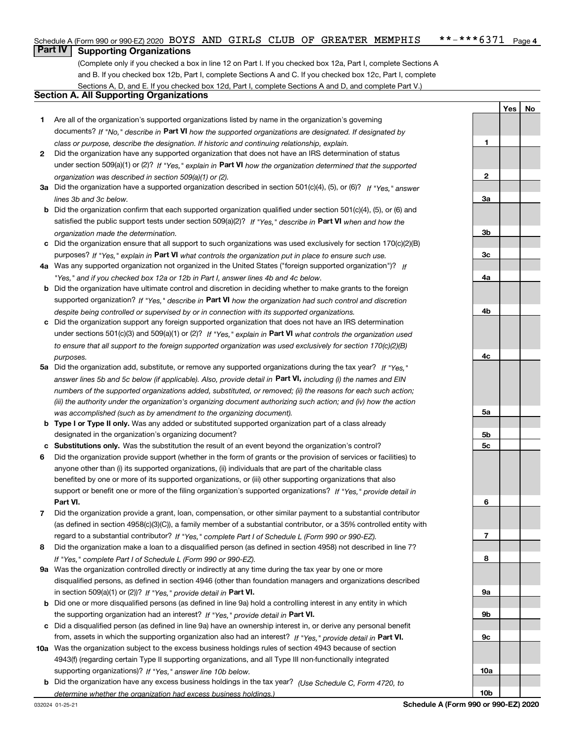#### $***$   $***$  6371 Page 4 Schedule A (Form 990 or 990-EZ) 2020  $\, {\rm BOYS} \,$  AND <code>GIRLS CLUB OF GREATER MEMPHIS \*\*-\*\*\*6371 Page</code>

### **Part IV Supporting Organizations**

(Complete only if you checked a box in line 12 on Part I. If you checked box 12a, Part I, complete Sections A and B. If you checked box 12b, Part I, complete Sections A and C. If you checked box 12c, Part I, complete Sections A, D, and E. If you checked box 12d, Part I, complete Sections A and D, and complete Part V.)

#### **Section A. All Supporting Organizations**

- **1** Are all of the organization's supported organizations listed by name in the organization's governing documents? If "No," describe in **Part VI** how the supported organizations are designated. If designated by *class or purpose, describe the designation. If historic and continuing relationship, explain.*
- **2** Did the organization have any supported organization that does not have an IRS determination of status under section 509(a)(1) or (2)? If "Yes," explain in Part VI how the organization determined that the supported *organization was described in section 509(a)(1) or (2).*
- **3a** Did the organization have a supported organization described in section 501(c)(4), (5), or (6)? If "Yes," answer *lines 3b and 3c below.*
- **b** Did the organization confirm that each supported organization qualified under section 501(c)(4), (5), or (6) and satisfied the public support tests under section 509(a)(2)? If "Yes," describe in **Part VI** when and how the *organization made the determination.*
- **c**Did the organization ensure that all support to such organizations was used exclusively for section 170(c)(2)(B) purposes? If "Yes," explain in **Part VI** what controls the organization put in place to ensure such use.
- **4a***If* Was any supported organization not organized in the United States ("foreign supported organization")? *"Yes," and if you checked box 12a or 12b in Part I, answer lines 4b and 4c below.*
- **b** Did the organization have ultimate control and discretion in deciding whether to make grants to the foreign supported organization? If "Yes," describe in **Part VI** how the organization had such control and discretion *despite being controlled or supervised by or in connection with its supported organizations.*
- **c** Did the organization support any foreign supported organization that does not have an IRS determination under sections 501(c)(3) and 509(a)(1) or (2)? If "Yes," explain in **Part VI** what controls the organization used *to ensure that all support to the foreign supported organization was used exclusively for section 170(c)(2)(B) purposes.*
- **5a***If "Yes,"* Did the organization add, substitute, or remove any supported organizations during the tax year? answer lines 5b and 5c below (if applicable). Also, provide detail in **Part VI,** including (i) the names and EIN *numbers of the supported organizations added, substituted, or removed; (ii) the reasons for each such action; (iii) the authority under the organization's organizing document authorizing such action; and (iv) how the action was accomplished (such as by amendment to the organizing document).*
- **b** Type I or Type II only. Was any added or substituted supported organization part of a class already designated in the organization's organizing document?
- **cSubstitutions only.**  Was the substitution the result of an event beyond the organization's control?
- **6** Did the organization provide support (whether in the form of grants or the provision of services or facilities) to **Part VI.** *If "Yes," provide detail in* support or benefit one or more of the filing organization's supported organizations? anyone other than (i) its supported organizations, (ii) individuals that are part of the charitable class benefited by one or more of its supported organizations, or (iii) other supporting organizations that also
- **7**Did the organization provide a grant, loan, compensation, or other similar payment to a substantial contributor *If "Yes," complete Part I of Schedule L (Form 990 or 990-EZ).* regard to a substantial contributor? (as defined in section 4958(c)(3)(C)), a family member of a substantial contributor, or a 35% controlled entity with
- **8** Did the organization make a loan to a disqualified person (as defined in section 4958) not described in line 7? *If "Yes," complete Part I of Schedule L (Form 990 or 990-EZ).*
- **9a** Was the organization controlled directly or indirectly at any time during the tax year by one or more in section 509(a)(1) or (2))? If "Yes," *provide detail in* <code>Part VI.</code> disqualified persons, as defined in section 4946 (other than foundation managers and organizations described
- **b** Did one or more disqualified persons (as defined in line 9a) hold a controlling interest in any entity in which the supporting organization had an interest? If "Yes," provide detail in P**art VI**.
- **c**Did a disqualified person (as defined in line 9a) have an ownership interest in, or derive any personal benefit from, assets in which the supporting organization also had an interest? If "Yes," provide detail in P**art VI.**
- **10a** Was the organization subject to the excess business holdings rules of section 4943 because of section supporting organizations)? If "Yes," answer line 10b below. 4943(f) (regarding certain Type II supporting organizations, and all Type III non-functionally integrated
- **b** Did the organization have any excess business holdings in the tax year? (Use Schedule C, Form 4720, to *determine whether the organization had excess business holdings.)*

**YesNo**

**1**

**10b**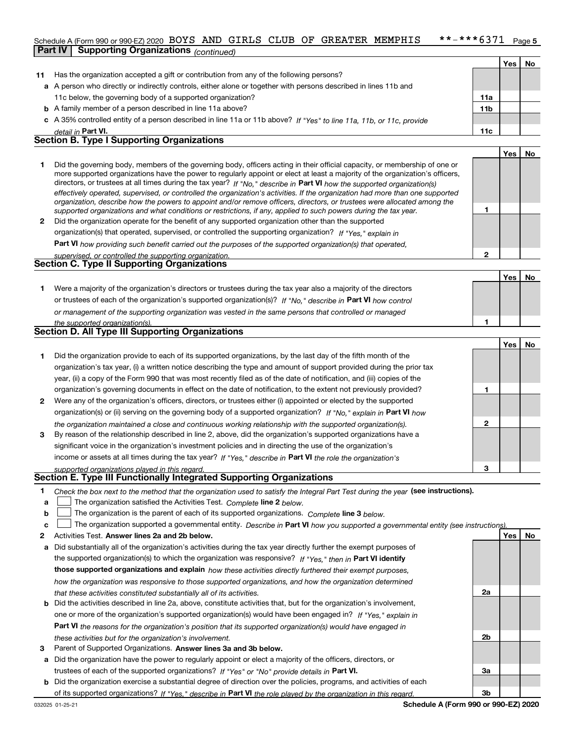#### $***$   $***$  6371 Page 5 Schedule A (Form 990 or 990-EZ) 2020  $\, {\rm BOYS} \,$  AND <code>GIRLS CLUB OF GREATER MEMPHIS \*\*-\*\*\*6371 Page</code> **Part IV Supporting Organizations** *(continued)*

|    |                                                                                                                                                                                                                                                                                                                                                                                                                                                                                                                                                                                                                                                      |     | Yes   | No. |
|----|------------------------------------------------------------------------------------------------------------------------------------------------------------------------------------------------------------------------------------------------------------------------------------------------------------------------------------------------------------------------------------------------------------------------------------------------------------------------------------------------------------------------------------------------------------------------------------------------------------------------------------------------------|-----|-------|-----|
| 11 | Has the organization accepted a gift or contribution from any of the following persons?                                                                                                                                                                                                                                                                                                                                                                                                                                                                                                                                                              |     |       |     |
|    | a A person who directly or indirectly controls, either alone or together with persons described in lines 11b and                                                                                                                                                                                                                                                                                                                                                                                                                                                                                                                                     |     |       |     |
|    | 11c below, the governing body of a supported organization?                                                                                                                                                                                                                                                                                                                                                                                                                                                                                                                                                                                           | 11a |       |     |
|    | <b>b</b> A family member of a person described in line 11a above?                                                                                                                                                                                                                                                                                                                                                                                                                                                                                                                                                                                    | 11b |       |     |
|    | c A 35% controlled entity of a person described in line 11a or 11b above? If "Yes" to line 11a, 11b, or 11c, provide                                                                                                                                                                                                                                                                                                                                                                                                                                                                                                                                 |     |       |     |
|    | detail in Part VI.                                                                                                                                                                                                                                                                                                                                                                                                                                                                                                                                                                                                                                   | 11c |       |     |
|    | <b>Section B. Type I Supporting Organizations</b>                                                                                                                                                                                                                                                                                                                                                                                                                                                                                                                                                                                                    |     |       |     |
|    |                                                                                                                                                                                                                                                                                                                                                                                                                                                                                                                                                                                                                                                      |     | Yes l | No  |
|    | Did the governing body, members of the governing body, officers acting in their official capacity, or membership of one or<br>more supported organizations have the power to regularly appoint or elect at least a majority of the organization's officers,<br>directors, or trustees at all times during the tax year? If "No," describe in Part VI how the supported organization(s)<br>effectively operated, supervised, or controlled the organization's activities. If the organization had more than one supported<br>organization, describe how the powers to appoint and/or remove officers, directors, or trustees were allocated among the |     |       |     |

| supported organizations and what conditions or restrictions, if any, applied to such powers during the tax year.  |
|-------------------------------------------------------------------------------------------------------------------|
| 2 Did the organization operate for the benefit of any supported organization other than the supported             |
| organization(s) that operated, supervised, or controlled the supporting organization? If "Yes," explain in        |
| <b>Dart VI</b> bour providing ough bonofit corried out the purposes of the supported examination(s) that energied |

**Part VI**  *how providing such benefit carried out the purposes of the supported organization(s) that operated,*

| supervised, or controlled the supporting organization. |  |
|--------------------------------------------------------|--|
| <b>Section C. Type II Supporting Organizations</b>     |  |

**Yes No 1**or trustees of each of the organization's supported organization(s)? If "No," describe in **Part VI** how control **1***or management of the supporting organization was vested in the same persons that controlled or managed the supported organization(s).* Were a majority of the organization's directors or trustees during the tax year also a majority of the directors

| Section D. All Type III Supporting Organizations |  |  |  |  |  |
|--------------------------------------------------|--|--|--|--|--|
|                                                  |  |  |  |  |  |
|                                                  |  |  |  |  |  |

|              |                                                                                                                        |   | Yes   No |  |
|--------------|------------------------------------------------------------------------------------------------------------------------|---|----------|--|
|              | Did the organization provide to each of its supported organizations, by the last day of the fifth month of the         |   |          |  |
|              | organization's tax year, (i) a written notice describing the type and amount of support provided during the prior tax  |   |          |  |
|              | year, (ii) a copy of the Form 990 that was most recently filed as of the date of notification, and (iii) copies of the |   |          |  |
|              | organization's governing documents in effect on the date of notification, to the extent not previously provided?       |   |          |  |
| $\mathbf{2}$ | Were any of the organization's officers, directors, or trustees either (i) appointed or elected by the supported       |   |          |  |
|              | organization(s) or (ii) serving on the governing body of a supported organization? If "No," explain in Part VI how     |   |          |  |
|              | the organization maintained a close and continuous working relationship with the supported organization(s).            | 2 |          |  |
| 3            | By reason of the relationship described in line 2, above, did the organization's supported organizations have a        |   |          |  |
|              | significant voice in the organization's investment policies and in directing the use of the organization's             |   |          |  |
|              | income or assets at all times during the tax year? If "Yes," describe in Part VI the role the organization's           |   |          |  |
|              | supported organizations played in this regard                                                                          |   |          |  |

# *supported organizations played in this regard.* **Section E. Type III Functionally Integrated Supporting Organizations**

- **1**Check the box next to the method that the organization used to satisfy the Integral Part Test during the year (see instructions).
- **alinupy** The organization satisfied the Activities Test. Complete line 2 below.
- **bThe organization is the parent of each of its supported organizations. Complete line 3 below.**

|  |  | $\mathbf{c}$ The organization supported a governmental entity. Describe in Part VI how you supported a governmental entity (see instructions). |  |  |  |  |
|--|--|------------------------------------------------------------------------------------------------------------------------------------------------|--|--|--|--|
|--|--|------------------------------------------------------------------------------------------------------------------------------------------------|--|--|--|--|

- **2Answer lines 2a and 2b below. Yes No** Activities Test.
- **a** Did substantially all of the organization's activities during the tax year directly further the exempt purposes of the supported organization(s) to which the organization was responsive? If "Yes," then in **Part VI identify those supported organizations and explain**  *how these activities directly furthered their exempt purposes, how the organization was responsive to those supported organizations, and how the organization determined that these activities constituted substantially all of its activities.*
- **b** Did the activities described in line 2a, above, constitute activities that, but for the organization's involvement, **Part VI**  *the reasons for the organization's position that its supported organization(s) would have engaged in* one or more of the organization's supported organization(s) would have been engaged in? If "Yes," e*xplain in these activities but for the organization's involvement.*
- **3** Parent of Supported Organizations. Answer lines 3a and 3b below.
- **a** Did the organization have the power to regularly appoint or elect a majority of the officers, directors, or trustees of each of the supported organizations? If "Yes" or "No" provide details in **Part VI.**
- **b** Did the organization exercise a substantial degree of direction over the policies, programs, and activities of each of its supported organizations? If "Yes," describe in Part VI the role played by the organization in this regard.

**2a**

**2b**

**3a**

**3b**

**1**

**2**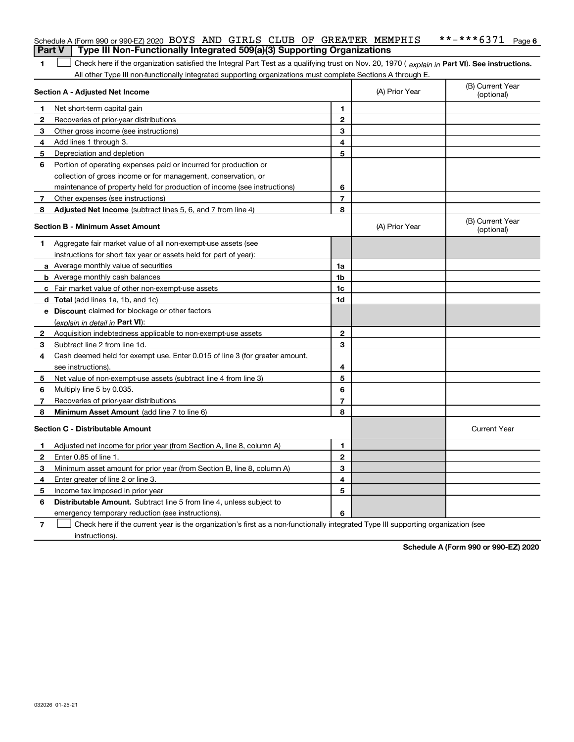|              | Schedule A (Form 990 or 990-EZ) 2020 BOYS AND GIRLS CLUB OF GREATER MEMPHIS                                                                    |                |                |                                |
|--------------|------------------------------------------------------------------------------------------------------------------------------------------------|----------------|----------------|--------------------------------|
|              | Type III Non-Functionally Integrated 509(a)(3) Supporting Organizations<br><b>Part V</b>                                                       |                |                |                                |
| 1            | Check here if the organization satisfied the Integral Part Test as a qualifying trust on Nov. 20, 1970 (explain in Part VI). See instructions. |                |                |                                |
|              | All other Type III non-functionally integrated supporting organizations must complete Sections A through E.                                    |                |                |                                |
|              | <b>Section A - Adjusted Net Income</b>                                                                                                         |                | (A) Prior Year | (B) Current Year<br>(optional) |
| 1            | Net short-term capital gain                                                                                                                    | 1              |                |                                |
| $\mathbf{2}$ | Recoveries of prior-year distributions                                                                                                         | $\mathbf{2}$   |                |                                |
| 3            | Other gross income (see instructions)                                                                                                          | 3              |                |                                |
| 4            | Add lines 1 through 3.                                                                                                                         | 4              |                |                                |
| 5            | Depreciation and depletion                                                                                                                     | 5              |                |                                |
| 6            | Portion of operating expenses paid or incurred for production or                                                                               |                |                |                                |
|              | collection of gross income or for management, conservation, or                                                                                 |                |                |                                |
|              | maintenance of property held for production of income (see instructions)                                                                       | 6              |                |                                |
| 7            | Other expenses (see instructions)                                                                                                              | $\overline{7}$ |                |                                |
| 8            | <b>Adjusted Net Income</b> (subtract lines 5, 6, and 7 from line 4)                                                                            | 8              |                |                                |
|              | <b>Section B - Minimum Asset Amount</b>                                                                                                        |                | (A) Prior Year | (B) Current Year<br>(optional) |
| 1            | Aggregate fair market value of all non-exempt-use assets (see                                                                                  |                |                |                                |
|              | instructions for short tax year or assets held for part of year):                                                                              |                |                |                                |
|              | a Average monthly value of securities                                                                                                          | 1a             |                |                                |
|              | <b>b</b> Average monthly cash balances                                                                                                         | 1 <sub>b</sub> |                |                                |
|              | c Fair market value of other non-exempt-use assets                                                                                             | 1c             |                |                                |
|              | d Total (add lines 1a, 1b, and 1c)                                                                                                             | 1d             |                |                                |
|              | <b>e</b> Discount claimed for blockage or other factors                                                                                        |                |                |                                |
|              | (explain in detail in Part VI):                                                                                                                |                |                |                                |
| $\mathbf{2}$ | Acquisition indebtedness applicable to non-exempt-use assets                                                                                   | $\mathbf{2}$   |                |                                |
| 3            | Subtract line 2 from line 1d.                                                                                                                  | 3              |                |                                |
| 4            | Cash deemed held for exempt use. Enter 0.015 of line 3 (for greater amount,                                                                    |                |                |                                |
|              | see instructions).                                                                                                                             | 4              |                |                                |
| 5            | Net value of non-exempt-use assets (subtract line 4 from line 3)                                                                               | 5              |                |                                |
| 6            | Multiply line 5 by 0.035.                                                                                                                      | 6              |                |                                |
| 7            | Recoveries of prior-year distributions                                                                                                         | $\overline{7}$ |                |                                |
| 8            | <b>Minimum Asset Amount</b> (add line 7 to line 6)                                                                                             | 8              |                |                                |
|              | <b>Section C - Distributable Amount</b>                                                                                                        |                |                | <b>Current Year</b>            |
| 1            | Adjusted net income for prior year (from Section A, line 8, column A)                                                                          | 1              |                |                                |
| 2            | Enter 0.85 of line 1.                                                                                                                          | $\mathbf{2}$   |                |                                |
| 3            | Minimum asset amount for prior year (from Section B, line 8, column A)                                                                         | 3              |                |                                |
| 4            | Enter greater of line 2 or line 3.                                                                                                             | 4              |                |                                |
| 5            | Income tax imposed in prior year                                                                                                               | 5              |                |                                |
| 6            | <b>Distributable Amount.</b> Subtract line 5 from line 4, unless subject to                                                                    |                |                |                                |
|              | emergency temporary reduction (see instructions).                                                                                              | 6              |                |                                |
|              |                                                                                                                                                |                |                |                                |

**7** Check here if the current year is the organization's first as a non-functionally integrated Type III supporting organization (see instructions).

**Schedule A (Form 990 or 990-EZ) 2020**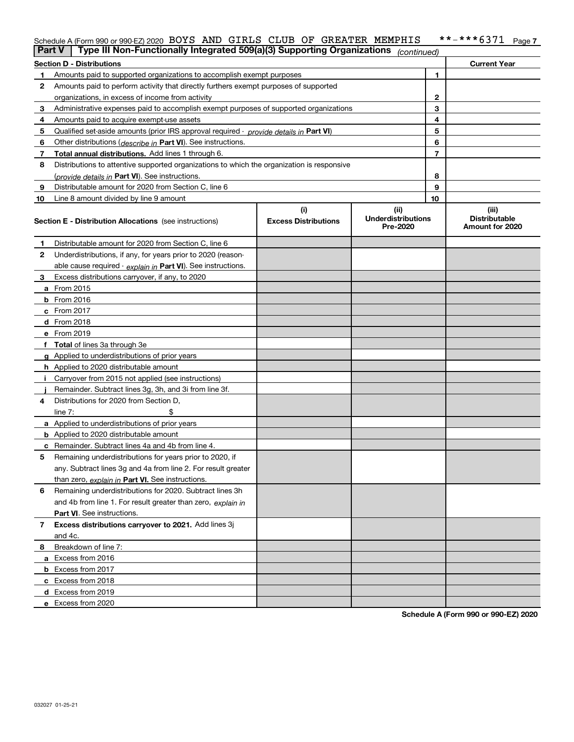#### **7** Schedule A (Form 990 or 990-EZ) 2020  $\, {\rm BOYS} \,$  AND <code>GIRLS CLUB OF GREATER MEMPHIS \*\*-\*\*\*6371 Page</code>

| <b>Part V</b> | Type III Non-Functionally Integrated 509(a)(3) Supporting Organizations $ _{\text{continued}}\rangle$ |                             |                                       |                |                                         |
|---------------|-------------------------------------------------------------------------------------------------------|-----------------------------|---------------------------------------|----------------|-----------------------------------------|
|               | <b>Section D - Distributions</b>                                                                      |                             |                                       |                | <b>Current Year</b>                     |
| 1             | Amounts paid to supported organizations to accomplish exempt purposes                                 |                             |                                       | 1              |                                         |
| 2             | Amounts paid to perform activity that directly furthers exempt purposes of supported                  |                             |                                       |                |                                         |
|               | organizations, in excess of income from activity                                                      |                             |                                       | 2              |                                         |
| 3             | Administrative expenses paid to accomplish exempt purposes of supported organizations                 |                             |                                       | 3              |                                         |
| 4             | Amounts paid to acquire exempt-use assets                                                             |                             |                                       | 4              |                                         |
| 5             | Qualified set-aside amounts (prior IRS approval required - <i>provide details in</i> Part VI)         |                             |                                       | 5              |                                         |
| 6             | Other distributions ( <i>describe in</i> Part VI). See instructions.                                  |                             |                                       | 6              |                                         |
| 7             | Total annual distributions. Add lines 1 through 6.                                                    |                             |                                       | $\overline{7}$ |                                         |
| 8             | Distributions to attentive supported organizations to which the organization is responsive            |                             |                                       |                |                                         |
|               | (provide details in Part VI). See instructions.                                                       |                             |                                       | 8              |                                         |
| 9             | Distributable amount for 2020 from Section C, line 6                                                  |                             |                                       | 9              |                                         |
| 10            | Line 8 amount divided by line 9 amount                                                                |                             |                                       | 10             |                                         |
|               |                                                                                                       | (i)                         | (ii)                                  |                | (iii)                                   |
|               | <b>Section E - Distribution Allocations</b> (see instructions)                                        | <b>Excess Distributions</b> | <b>Underdistributions</b><br>Pre-2020 |                | <b>Distributable</b><br>Amount for 2020 |
| 1             | Distributable amount for 2020 from Section C, line 6                                                  |                             |                                       |                |                                         |
| 2             | Underdistributions, if any, for years prior to 2020 (reason-                                          |                             |                                       |                |                                         |
|               | able cause required - explain in Part VI). See instructions.                                          |                             |                                       |                |                                         |
| 3             | Excess distributions carryover, if any, to 2020                                                       |                             |                                       |                |                                         |
|               | a From 2015                                                                                           |                             |                                       |                |                                         |
|               | <b>b</b> From 2016                                                                                    |                             |                                       |                |                                         |
|               | $c$ From 2017                                                                                         |                             |                                       |                |                                         |
|               | d From 2018                                                                                           |                             |                                       |                |                                         |
|               | e From 2019                                                                                           |                             |                                       |                |                                         |
|               | f Total of lines 3a through 3e                                                                        |                             |                                       |                |                                         |
|               | g Applied to underdistributions of prior years                                                        |                             |                                       |                |                                         |
|               | <b>h</b> Applied to 2020 distributable amount                                                         |                             |                                       |                |                                         |
|               | Carryover from 2015 not applied (see instructions)                                                    |                             |                                       |                |                                         |
|               | Remainder. Subtract lines 3g, 3h, and 3i from line 3f.                                                |                             |                                       |                |                                         |
| 4             | Distributions for 2020 from Section D,                                                                |                             |                                       |                |                                         |
|               | line $7:$                                                                                             |                             |                                       |                |                                         |
|               | a Applied to underdistributions of prior years                                                        |                             |                                       |                |                                         |
|               | <b>b</b> Applied to 2020 distributable amount                                                         |                             |                                       |                |                                         |
|               | c Remainder. Subtract lines 4a and 4b from line 4.                                                    |                             |                                       |                |                                         |
| 5.            | Remaining underdistributions for years prior to 2020, if                                              |                             |                                       |                |                                         |
|               | any. Subtract lines 3g and 4a from line 2. For result greater                                         |                             |                                       |                |                                         |
|               | than zero, explain in Part VI. See instructions.                                                      |                             |                                       |                |                                         |
| 6             | Remaining underdistributions for 2020. Subtract lines 3h                                              |                             |                                       |                |                                         |
|               | and 4b from line 1. For result greater than zero, explain in                                          |                             |                                       |                |                                         |
|               | Part VI. See instructions.                                                                            |                             |                                       |                |                                         |
| 7             | Excess distributions carryover to 2021. Add lines 3j                                                  |                             |                                       |                |                                         |
|               | and 4c.                                                                                               |                             |                                       |                |                                         |
| 8             | Breakdown of line 7:                                                                                  |                             |                                       |                |                                         |
|               | a Excess from 2016                                                                                    |                             |                                       |                |                                         |
|               | <b>b</b> Excess from 2017                                                                             |                             |                                       |                |                                         |
|               | c Excess from 2018                                                                                    |                             |                                       |                |                                         |
|               | d Excess from 2019                                                                                    |                             |                                       |                |                                         |
|               | e Excess from 2020                                                                                    |                             |                                       |                |                                         |

**Schedule A (Form 990 or 990-EZ) 2020**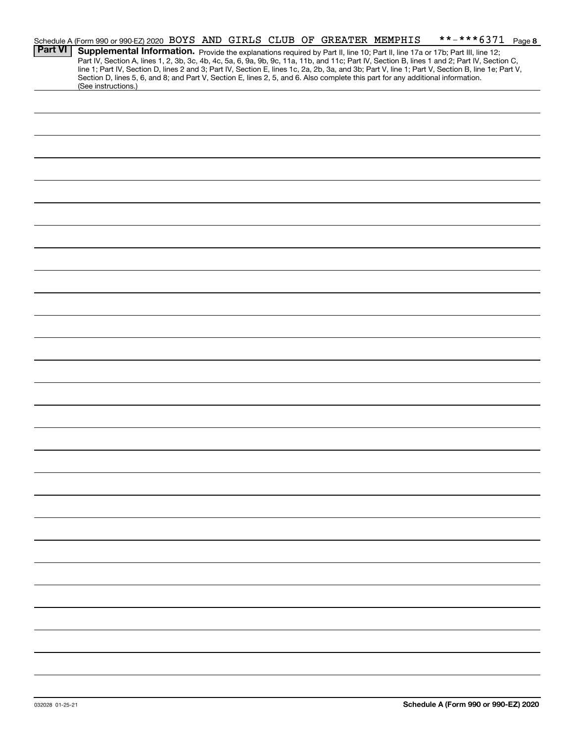|                | **-***637 <u>1 Page 8</u><br>Schedule A (Form 990 or 990-EZ) 2020 BOYS AND GIRLS CLUB OF GREATER MEMPHIS                                                                                                                                                                            |
|----------------|-------------------------------------------------------------------------------------------------------------------------------------------------------------------------------------------------------------------------------------------------------------------------------------|
| <b>Part VI</b> | Supplemental Information. Provide the explanations required by Part II, line 10; Part II, line 17a or 17b; Part III, line 12;                                                                                                                                                       |
|                | Part IV, Section A, lines 1, 2, 3b, 3c, 4b, 4c, 5a, 6, 9a, 9b, 9c, 11a, 11b, and 11c; Part IV, Section B, lines 1 and 2; Part IV, Section C,                                                                                                                                        |
|                | line 1; Part IV, Section D, lines 2 and 3; Part IV, Section E, lines 1c, 2a, 2b, 3a, and 3b; Part V, line 1; Part V, Section B, line 1e; Part V,<br>Section D, lines 5, 6, and 8; and Part V, Section E, lines 2, 5, and 6. Also complete this part for any additional information. |
|                | (See instructions.)                                                                                                                                                                                                                                                                 |
|                |                                                                                                                                                                                                                                                                                     |
|                |                                                                                                                                                                                                                                                                                     |
|                |                                                                                                                                                                                                                                                                                     |
|                |                                                                                                                                                                                                                                                                                     |
|                |                                                                                                                                                                                                                                                                                     |
|                |                                                                                                                                                                                                                                                                                     |
|                |                                                                                                                                                                                                                                                                                     |
|                |                                                                                                                                                                                                                                                                                     |
|                |                                                                                                                                                                                                                                                                                     |
|                |                                                                                                                                                                                                                                                                                     |
|                |                                                                                                                                                                                                                                                                                     |
|                |                                                                                                                                                                                                                                                                                     |
|                |                                                                                                                                                                                                                                                                                     |
|                |                                                                                                                                                                                                                                                                                     |
|                |                                                                                                                                                                                                                                                                                     |
|                |                                                                                                                                                                                                                                                                                     |
|                |                                                                                                                                                                                                                                                                                     |
|                |                                                                                                                                                                                                                                                                                     |
|                |                                                                                                                                                                                                                                                                                     |
|                |                                                                                                                                                                                                                                                                                     |
|                |                                                                                                                                                                                                                                                                                     |
|                |                                                                                                                                                                                                                                                                                     |
|                |                                                                                                                                                                                                                                                                                     |
|                |                                                                                                                                                                                                                                                                                     |
|                |                                                                                                                                                                                                                                                                                     |
|                |                                                                                                                                                                                                                                                                                     |
|                |                                                                                                                                                                                                                                                                                     |
|                |                                                                                                                                                                                                                                                                                     |
|                |                                                                                                                                                                                                                                                                                     |
|                |                                                                                                                                                                                                                                                                                     |
|                |                                                                                                                                                                                                                                                                                     |
|                |                                                                                                                                                                                                                                                                                     |
|                |                                                                                                                                                                                                                                                                                     |
|                |                                                                                                                                                                                                                                                                                     |
|                |                                                                                                                                                                                                                                                                                     |
|                |                                                                                                                                                                                                                                                                                     |
|                |                                                                                                                                                                                                                                                                                     |
|                |                                                                                                                                                                                                                                                                                     |
|                |                                                                                                                                                                                                                                                                                     |
|                |                                                                                                                                                                                                                                                                                     |
|                |                                                                                                                                                                                                                                                                                     |
|                |                                                                                                                                                                                                                                                                                     |
|                |                                                                                                                                                                                                                                                                                     |
|                |                                                                                                                                                                                                                                                                                     |
|                |                                                                                                                                                                                                                                                                                     |
|                |                                                                                                                                                                                                                                                                                     |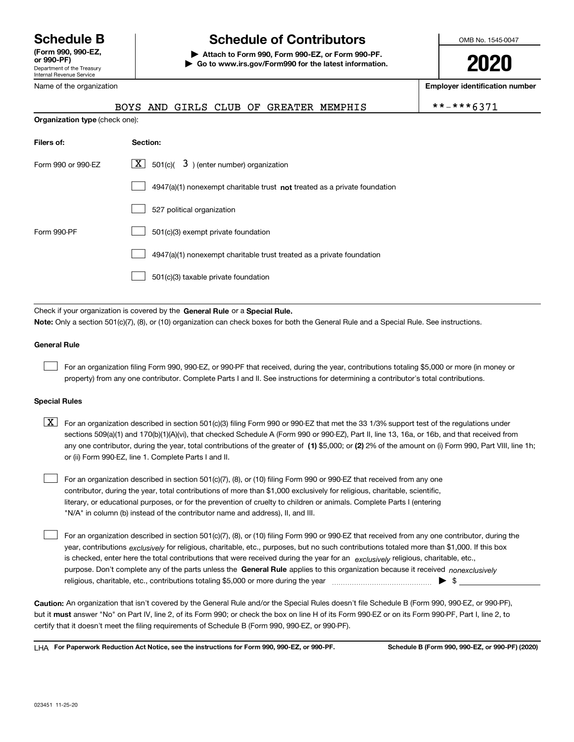Department of the Treasury Internal Revenue Service **(Form 990, 990-EZ, or 990-PF)** Name of the organization

# **Schedule B Schedule of Contributors**

**| Attach to Form 990, Form 990-EZ, or Form 990-PF. | Go to www.irs.gov/Form990 for the latest information.**

BOYS AND GIRLS CLUB OF GREATER MEMPHIS  $*$ 

OMB No. 1545-0047

**2020**

**Employer identification number**

| $* - * * * 6371$ |  |  |  |  |  |  |  |  |
|------------------|--|--|--|--|--|--|--|--|
|------------------|--|--|--|--|--|--|--|--|

| <b>Organization type</b> (check one): |                                                                           |  |  |  |  |
|---------------------------------------|---------------------------------------------------------------------------|--|--|--|--|
| Filers of:                            | Section:                                                                  |  |  |  |  |
| Form 990 or 990-EZ                    | $\lfloor x \rfloor$ 501(c)( 3) (enter number) organization                |  |  |  |  |
|                                       | 4947(a)(1) nonexempt charitable trust not treated as a private foundation |  |  |  |  |
|                                       | 527 political organization                                                |  |  |  |  |
| Form 990-PF                           | 501(c)(3) exempt private foundation                                       |  |  |  |  |
|                                       | 4947(a)(1) nonexempt charitable trust treated as a private foundation     |  |  |  |  |
|                                       | 501(c)(3) taxable private foundation                                      |  |  |  |  |

Check if your organization is covered by the **General Rule** or a **Special Rule. Note:**  Only a section 501(c)(7), (8), or (10) organization can check boxes for both the General Rule and a Special Rule. See instructions.

#### **General Rule**

 $\mathcal{L}^{\text{max}}$ 

For an organization filing Form 990, 990-EZ, or 990-PF that received, during the year, contributions totaling \$5,000 or more (in money or property) from any one contributor. Complete Parts I and II. See instructions for determining a contributor's total contributions.

#### **Special Rules**

any one contributor, during the year, total contributions of the greater of  $\,$  (1) \$5,000; or **(2)** 2% of the amount on (i) Form 990, Part VIII, line 1h;  $\boxed{\textbf{X}}$  For an organization described in section 501(c)(3) filing Form 990 or 990-EZ that met the 33 1/3% support test of the regulations under sections 509(a)(1) and 170(b)(1)(A)(vi), that checked Schedule A (Form 990 or 990-EZ), Part II, line 13, 16a, or 16b, and that received from or (ii) Form 990-EZ, line 1. Complete Parts I and II.

For an organization described in section 501(c)(7), (8), or (10) filing Form 990 or 990-EZ that received from any one contributor, during the year, total contributions of more than \$1,000 exclusively for religious, charitable, scientific, literary, or educational purposes, or for the prevention of cruelty to children or animals. Complete Parts I (entering "N/A" in column (b) instead of the contributor name and address), II, and III.  $\mathcal{L}^{\text{max}}$ 

purpose. Don't complete any of the parts unless the **General Rule** applies to this organization because it received *nonexclusively* year, contributions <sub>exclusively</sub> for religious, charitable, etc., purposes, but no such contributions totaled more than \$1,000. If this box is checked, enter here the total contributions that were received during the year for an  $\;$ exclusively religious, charitable, etc., For an organization described in section 501(c)(7), (8), or (10) filing Form 990 or 990-EZ that received from any one contributor, during the religious, charitable, etc., contributions totaling \$5,000 or more during the year  $\Box$ — $\Box$   $\Box$   $\Box$  $\mathcal{L}^{\text{max}}$ 

**Caution:**  An organization that isn't covered by the General Rule and/or the Special Rules doesn't file Schedule B (Form 990, 990-EZ, or 990-PF),  **must** but it answer "No" on Part IV, line 2, of its Form 990; or check the box on line H of its Form 990-EZ or on its Form 990-PF, Part I, line 2, to certify that it doesn't meet the filing requirements of Schedule B (Form 990, 990-EZ, or 990-PF).

**For Paperwork Reduction Act Notice, see the instructions for Form 990, 990-EZ, or 990-PF. Schedule B (Form 990, 990-EZ, or 990-PF) (2020)** LHA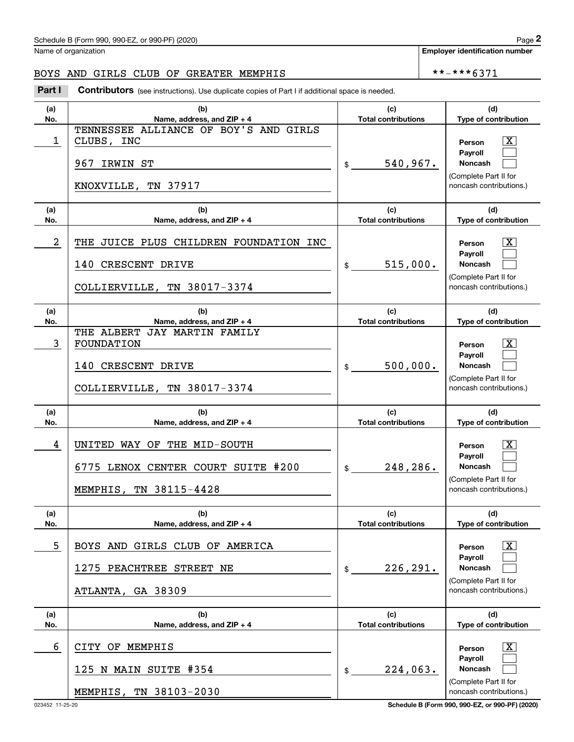### Schedule B (Form 990, 990-EZ, or 990-PF) (2020) Page 2

Name of organization

**Employer identification number**

### BOYS AND GIRLS CLUB OF GREATER MEMPHIS  $* * - * * * 6371$

Chedule B (Form 990, 990-EZ, or 990-PF) (2020)<br>
lame of organization<br> **20YS AND GIRLS CLUB OF GREATER MEMPHIS**<br> **20YS AND GIRLS CLUB OF GREATER MEMPHIS**<br> **20YS AND GIRLS CLUB OF GREATER MEMPHIS** 

| (a)<br>No. | (b)<br>Name, address, and ZIP + 4                                                               | (c)<br><b>Total contributions</b> | (d)<br>Type of contribution                                                                                        |
|------------|-------------------------------------------------------------------------------------------------|-----------------------------------|--------------------------------------------------------------------------------------------------------------------|
| 1          | TENNESSEE ALLIANCE OF BOY'S AND GIRLS<br>CLUBS, INC<br>967 IRWIN ST<br>KNOXVILLE, TN 37917      | 540, 967.<br>$\mathfrak{S}$       | $\overline{\mathbf{x}}$<br>Person<br>Pavroll<br><b>Noncash</b><br>(Complete Part II for<br>noncash contributions.) |
| (a)<br>No. | (b)<br>Name, address, and ZIP + 4                                                               | (c)<br><b>Total contributions</b> | (d)<br>Type of contribution                                                                                        |
| 2          | THE JUICE PLUS CHILDREN FOUNDATION INC                                                          |                                   | $\overline{\mathbf{x}}$<br>Person                                                                                  |
|            | 140 CRESCENT DRIVE<br>COLLIERVILLE, TN 38017-3374                                               | 515,000.<br>$\mathfrak{S}$        | Payroll<br><b>Noncash</b><br>(Complete Part II for<br>noncash contributions.)                                      |
| (a)<br>No. | (b)<br>Name, address, and ZIP + 4                                                               | (c)<br><b>Total contributions</b> | (d)<br>Type of contribution                                                                                        |
| 3          | THE ALBERT JAY MARTIN FAMILY<br>FOUNDATION<br>140 CRESCENT DRIVE<br>COLLIERVILLE, TN 38017-3374 | 500,000.<br>\$                    | $\overline{\textbf{X}}$<br>Person<br>Payroll<br><b>Noncash</b><br>(Complete Part II for<br>noncash contributions.) |
| (a)<br>No. | (b)<br>Name, address, and ZIP + 4                                                               | (c)<br><b>Total contributions</b> | (d)<br>Type of contribution                                                                                        |
| 4          | UNITED WAY OF THE MID-SOUTH<br>6775 LENOX CENTER COURT SUITE #200<br>MEMPHIS, TN 38115-4428     | 248,286.<br>\$                    | $\overline{\mathbf{x}}$<br>Person<br>Payroll<br><b>Noncash</b><br>(Complete Part II for<br>noncash contributions.) |
| (a)<br>No. | (b)<br>Name, address, and ZIP + 4                                                               | (c)<br><b>Total contributions</b> | (d)<br>Type of contribution                                                                                        |
| 5          | BOYS AND GIRLS CLUB OF<br>AMERICA<br>1275<br>PEACHTREE STREET NE<br>ATLANTA, GA 38309           | 226,291.<br>\$                    | $\mathbf{X}$<br>Person<br>Pavroll<br><b>Noncash</b><br>(Complete Part II for<br>noncash contributions.)            |
| (a)<br>No. | (b)<br>Name, address, and ZIP + 4                                                               | (c)<br><b>Total contributions</b> | (d)<br>Type of contribution                                                                                        |
| 6          | CITY OF MEMPHIS<br>125 N MAIN SUITE #354<br>MEMPHIS, TN 38103-2030                              | 224,063.<br>\$                    | $\mathbf{X}$<br>Person<br>Payroll<br><b>Noncash</b><br>(Complete Part II for<br>noncash contributions.)            |

023452 11-25-20 **Schedule B (Form 990, 990-EZ, or 990-PF) (2020)**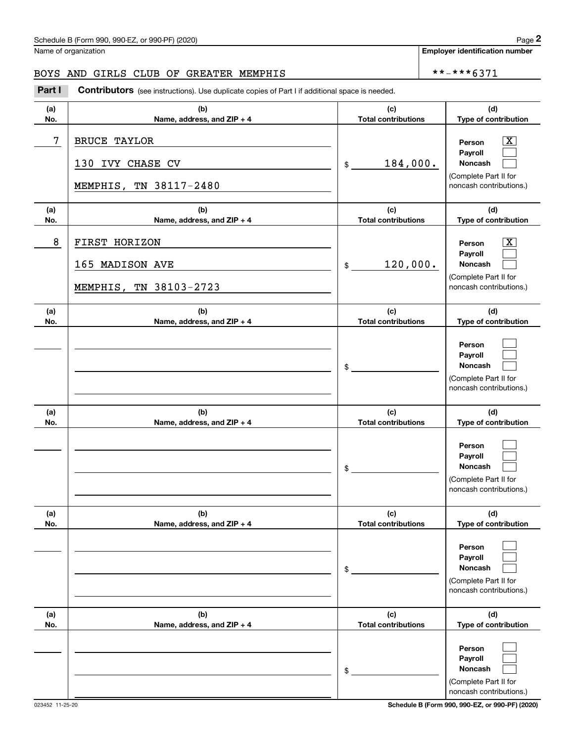### Schedule B (Form 990, 990-EZ, or 990-PF) (2020) Page 2

Name of organization

### BOYS AND GIRLS CLUB OF GREATER MEMPHIS  $* * - * * * 6371$

Chedule B (Form 990, 990-EZ, or 990-PF) (2020)<br>
lame of organization<br> **20YS AND GIRLS CLUB OF GREATER MEMPHIS**<br> **20YS AND GIRLS CLUB OF GREATER MEMPHIS**<br> **20YS AND GIRLS CLUB OF GREATER MEMPHIS** 

| (a) | (b)                                                               | (c)                        | (d)                                                                                                         |
|-----|-------------------------------------------------------------------|----------------------------|-------------------------------------------------------------------------------------------------------------|
| No. | Name, address, and ZIP + 4                                        | <b>Total contributions</b> | Type of contribution                                                                                        |
| 7   | <b>BRUCE TAYLOR</b><br>130 IVY CHASE CV<br>MEMPHIS, TN 38117-2480 | 184,000.<br>$\frac{1}{2}$  | $\overline{\mathbf{X}}$<br>Person<br>Payroll<br>Noncash<br>(Complete Part II for<br>noncash contributions.) |
| (a) | (b)                                                               | (c)                        | (d)                                                                                                         |
| No. | Name, address, and ZIP + 4                                        | <b>Total contributions</b> | Type of contribution                                                                                        |
| 8   | FIRST HORIZON<br>165 MADISON AVE<br>MEMPHIS, TN 38103-2723        | 120,000.<br>$\frac{1}{2}$  | $\overline{\text{X}}$<br>Person<br>Payroll<br>Noncash<br>(Complete Part II for<br>noncash contributions.)   |
| (a) | (b)                                                               | (c)                        | (d)                                                                                                         |
| No. | Name, address, and ZIP + 4                                        | <b>Total contributions</b> | Type of contribution                                                                                        |
|     |                                                                   | \$                         | Person<br>Payroll<br>Noncash<br>(Complete Part II for<br>noncash contributions.)                            |
| (a) | (b)                                                               | (c)                        | (d)                                                                                                         |
| No. | Name, address, and ZIP + 4                                        | <b>Total contributions</b> | Type of contribution                                                                                        |
|     |                                                                   | \$                         | Person<br>Payroll<br>Noncash<br>(Complete Part II for<br>noncash contributions.)                            |
| (a) | (b)                                                               | (c)                        | (d)                                                                                                         |
| No. | Name, address, and ZIP + 4                                        | <b>Total contributions</b> | Type of contribution                                                                                        |
|     |                                                                   | \$                         | Person<br>Payroll<br>Noncash<br>(Complete Part II for<br>noncash contributions.)                            |
| (a) | (b)                                                               | (c)                        | (d)                                                                                                         |
| No. | Name, address, and ZIP + 4                                        | <b>Total contributions</b> | Type of contribution                                                                                        |
|     |                                                                   | \$                         | Person<br>Payroll<br>Noncash<br>(Complete Part II for<br>noncash contributions.)                            |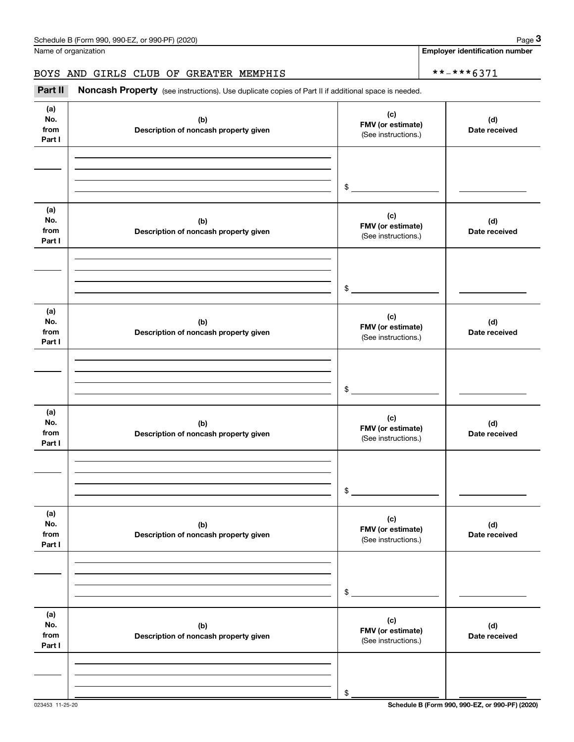**Employer identification number**

## BOYS AND GIRLS CLUB OF GREATER MEMPHIS  $****6371$

Chedule B (Form 990, 990-EZ, or 990-PF) (2020)<br>
lame of organization<br> **3OYS AND GIRLS CLUB OF GREATER MEMPHIS**<br> **Part II Noncash Property** (see instructions). Use duplicate copies of Part II if additional space is needed

| (a)<br>No.<br>from<br>Part I | (b)<br>Description of noncash property given | (c)<br>FMV (or estimate)<br>(See instructions.) | (d)<br>Date received |
|------------------------------|----------------------------------------------|-------------------------------------------------|----------------------|
|                              |                                              | $\frac{1}{2}$                                   |                      |
| (a)<br>No.<br>from<br>Part I | (b)<br>Description of noncash property given | (c)<br>FMV (or estimate)<br>(See instructions.) | (d)<br>Date received |
|                              |                                              | $\frac{1}{2}$                                   |                      |
| (a)<br>No.<br>from<br>Part I | (b)<br>Description of noncash property given | (c)<br>FMV (or estimate)<br>(See instructions.) | (d)<br>Date received |
|                              |                                              | $\frac{1}{2}$                                   |                      |
| (a)<br>No.<br>from<br>Part I | (b)<br>Description of noncash property given | (c)<br>FMV (or estimate)<br>(See instructions.) | (d)<br>Date received |
|                              |                                              | $\mathfrak{S}$                                  |                      |
| (a)<br>No.<br>from<br>Part I | (b)<br>Description of noncash property given | (c)<br>FMV (or estimate)<br>(See instructions.) | (d)<br>Date received |
|                              |                                              | \$                                              |                      |
| (a)<br>No.<br>from<br>Part I | (b)<br>Description of noncash property given | (c)<br>FMV (or estimate)<br>(See instructions.) | (d)<br>Date received |
|                              |                                              | \$                                              |                      |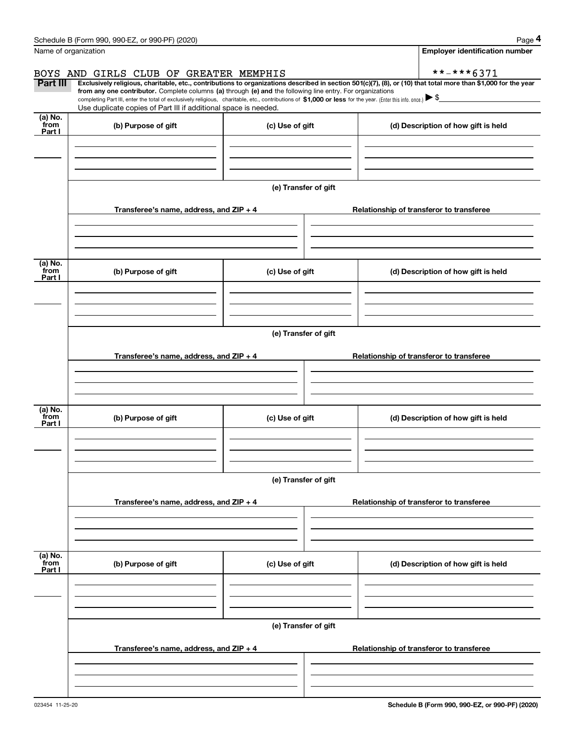|                 | Schedule B (Form 990, 990-EZ, or 990-PF) (2020)                                                                                                                                                                                 |                 |                      |  | Page 4                                   |  |  |
|-----------------|---------------------------------------------------------------------------------------------------------------------------------------------------------------------------------------------------------------------------------|-----------------|----------------------|--|------------------------------------------|--|--|
|                 | Name of organization                                                                                                                                                                                                            |                 |                      |  | <b>Employer identification number</b>    |  |  |
|                 | BOYS AND GIRLS CLUB OF GREATER MEMPHIS                                                                                                                                                                                          |                 |                      |  | **-***6371                               |  |  |
| Part III        | Exclusively religious, charitable, etc., contributions to organizations described in section 501(c)(7), (8), or (10) that total more than \$1,000 for the year                                                                  |                 |                      |  |                                          |  |  |
|                 | from any one contributor. Complete columns (a) through (e) and the following line entry. For organizations                                                                                                                      |                 |                      |  |                                          |  |  |
|                 | completing Part III, enter the total of exclusively religious, charitable, etc., contributions of \$1,000 or less for the year. (Enter this info. once.) \\$<br>Use duplicate copies of Part III if additional space is needed. |                 |                      |  |                                          |  |  |
| (a) No.         |                                                                                                                                                                                                                                 |                 |                      |  |                                          |  |  |
| from<br>Part I  | (b) Purpose of gift                                                                                                                                                                                                             | (c) Use of gift |                      |  | (d) Description of how gift is held      |  |  |
|                 |                                                                                                                                                                                                                                 |                 |                      |  |                                          |  |  |
|                 |                                                                                                                                                                                                                                 |                 |                      |  |                                          |  |  |
|                 |                                                                                                                                                                                                                                 |                 |                      |  |                                          |  |  |
|                 |                                                                                                                                                                                                                                 |                 |                      |  |                                          |  |  |
|                 |                                                                                                                                                                                                                                 |                 | (e) Transfer of gift |  |                                          |  |  |
|                 |                                                                                                                                                                                                                                 |                 |                      |  |                                          |  |  |
|                 | Transferee's name, address, and ZIP + 4                                                                                                                                                                                         |                 |                      |  | Relationship of transferor to transferee |  |  |
|                 |                                                                                                                                                                                                                                 |                 |                      |  |                                          |  |  |
|                 |                                                                                                                                                                                                                                 |                 |                      |  |                                          |  |  |
|                 |                                                                                                                                                                                                                                 |                 |                      |  |                                          |  |  |
| (a) No.<br>from | (b) Purpose of gift                                                                                                                                                                                                             | (c) Use of gift |                      |  | (d) Description of how gift is held      |  |  |
| Part I          |                                                                                                                                                                                                                                 |                 |                      |  |                                          |  |  |
|                 |                                                                                                                                                                                                                                 |                 |                      |  |                                          |  |  |
|                 |                                                                                                                                                                                                                                 |                 |                      |  |                                          |  |  |
|                 |                                                                                                                                                                                                                                 |                 |                      |  |                                          |  |  |
|                 | (e) Transfer of gift                                                                                                                                                                                                            |                 |                      |  |                                          |  |  |
|                 |                                                                                                                                                                                                                                 |                 |                      |  |                                          |  |  |
|                 | Transferee's name, address, and ZIP + 4                                                                                                                                                                                         |                 |                      |  | Relationship of transferor to transferee |  |  |
|                 |                                                                                                                                                                                                                                 |                 |                      |  |                                          |  |  |
|                 |                                                                                                                                                                                                                                 |                 |                      |  |                                          |  |  |
|                 |                                                                                                                                                                                                                                 |                 |                      |  |                                          |  |  |
| (a) No.         |                                                                                                                                                                                                                                 |                 |                      |  |                                          |  |  |
| from<br>Part I  | (b) Purpose of gift                                                                                                                                                                                                             | (c) Use of gift |                      |  | (d) Description of how gift is held      |  |  |
|                 |                                                                                                                                                                                                                                 |                 |                      |  |                                          |  |  |
|                 |                                                                                                                                                                                                                                 |                 |                      |  |                                          |  |  |
|                 |                                                                                                                                                                                                                                 |                 |                      |  |                                          |  |  |
|                 |                                                                                                                                                                                                                                 |                 |                      |  |                                          |  |  |
|                 | (e) Transfer of gift                                                                                                                                                                                                            |                 |                      |  |                                          |  |  |
|                 | Transferee's name, address, and ZIP + 4                                                                                                                                                                                         |                 |                      |  | Relationship of transferor to transferee |  |  |
|                 |                                                                                                                                                                                                                                 |                 |                      |  |                                          |  |  |
|                 |                                                                                                                                                                                                                                 |                 |                      |  |                                          |  |  |
|                 |                                                                                                                                                                                                                                 |                 |                      |  |                                          |  |  |
|                 |                                                                                                                                                                                                                                 |                 |                      |  |                                          |  |  |
| (a) No.<br>from | (b) Purpose of gift                                                                                                                                                                                                             | (c) Use of gift |                      |  | (d) Description of how gift is held      |  |  |
| Part I          |                                                                                                                                                                                                                                 |                 |                      |  |                                          |  |  |
|                 |                                                                                                                                                                                                                                 |                 |                      |  |                                          |  |  |
|                 |                                                                                                                                                                                                                                 |                 |                      |  |                                          |  |  |
|                 |                                                                                                                                                                                                                                 |                 |                      |  |                                          |  |  |
|                 |                                                                                                                                                                                                                                 |                 | (e) Transfer of gift |  |                                          |  |  |
|                 |                                                                                                                                                                                                                                 |                 |                      |  |                                          |  |  |
|                 | Transferee's name, address, and $ZIP + 4$                                                                                                                                                                                       |                 |                      |  | Relationship of transferor to transferee |  |  |
|                 |                                                                                                                                                                                                                                 |                 |                      |  |                                          |  |  |
|                 |                                                                                                                                                                                                                                 |                 |                      |  |                                          |  |  |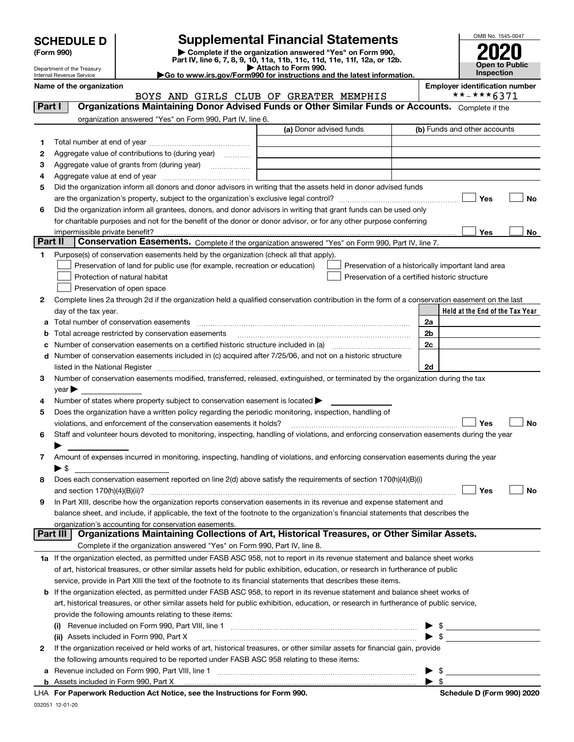| <b>SCHEDULE D</b> |  |
|-------------------|--|
|-------------------|--|

| (Form 990) |  |
|------------|--|
|------------|--|

# **Supplemental Financial Statements**

(Form 990)<br>
Pepartment of the Treasury<br>
Department of the Treasury<br>
Department of the Treasury<br>
Department of the Treasury<br> **Co to www.irs.gov/Form990 for instructions and the latest information.**<br> **Co to www.irs.gov/Form9** 



**No**

**No**

Department of the Treasury Internal Revenue Service

 $\mathcal{L}^{\text{max}}$ 

| Name of the organization                                                                                    |                                        | <b>Employer identification number</b> |  |  |  |  |
|-------------------------------------------------------------------------------------------------------------|----------------------------------------|---------------------------------------|--|--|--|--|
|                                                                                                             | BOYS AND GIRLS CLUB OF GREATER MEMPHIS | **-***6371                            |  |  |  |  |
| Part I<br>Organizations Maintaining Donor Advised Funds or Other Similar Funds or Accounts. Complete if the |                                        |                                       |  |  |  |  |
| organization answered "Yes" on Form 990, Part IV, line 6.                                                   |                                        |                                       |  |  |  |  |
|                                                                                                             | (a) Donor advised funds                | (b) Funds and other accounts          |  |  |  |  |
| Total number at end of year                                                                                 |                                        |                                       |  |  |  |  |
| Aggregate value of contributions to (during year)<br>.                                                      |                                        |                                       |  |  |  |  |
| Aggregate value of grants from (during year)                                                                |                                        |                                       |  |  |  |  |
| Aggregate value at end of year                                                                              |                                        |                                       |  |  |  |  |

| 5 Did the organization inform all donors and donor advisors in writing that the assets held in donor advised funds  |  |
|---------------------------------------------------------------------------------------------------------------------|--|
| $\vert$ Yes<br>are the organization's property, subject to the organization's exclusive legal control?              |  |
| 6 Did the organization inform all grantees, donors, and donor advisors in writing that grant funds can be used only |  |
| for charitable purposes and not for the benefit of the donor or donor advisor, or for any other purpose conferring  |  |

|                                | Part II Conservation Easements. Complete if the organization answered "Yes" on Form 990, Part IV, line 7 |  |  |
|--------------------------------|----------------------------------------------------------------------------------------------------------|--|--|
| impermissible private benefit? |                                                                                                          |  |  |
|                                |                                                                                                          |  |  |

| Purpose(s) of conservation easements held by the organization (check all that apply).   |              |
|-----------------------------------------------------------------------------------------|--------------|
| Preservation of land for public use (for example, recreation or education) Preservation |              |
| Protection of natural habitat                                                           | Preservation |

of a historically important land area Preservation of a certified historic structure

**2a**

| 2 Complete lines 2a through 2d if the organization held a qualified conservation contribution in the form of a conservation easement on the last |                                 |
|--------------------------------------------------------------------------------------------------------------------------------------------------|---------------------------------|
| day of the tax year.                                                                                                                             | Held at the End of the Tax Year |

~~~~~~~~~~~~~~~~~~~~~~~~~~~~~~~~

|   | <b>b</b> Total acreage restricted by conservation easements                                                                               | 2 <sub>b</sub> |            |    |
|---|-------------------------------------------------------------------------------------------------------------------------------------------|----------------|------------|----|
|   |                                                                                                                                           | 2c             |            |    |
|   | d Number of conservation easements included in (c) acquired after 7/25/06, and not on a historic structure                                |                |            |    |
|   |                                                                                                                                           | 2d             |            |    |
| 3 | Number of conservation easements modified, transferred, released, extinguished, or terminated by the organization during the tax          |                |            |    |
|   | $\vee$ ear $\blacktriangleright$                                                                                                          |                |            |    |
| 4 | Number of states where property subject to conservation easement is located $\blacktriangleright$                                         |                |            |    |
| 5 | Does the organization have a written policy regarding the periodic monitoring, inspection, handling of                                    |                |            |    |
|   | violations, and enforcement of the conservation easements it holds?                                                                       |                | Yes        | No |
| 6 | Staff and volunteer hours devoted to monitoring, inspecting, handling of violations, and enforcing conservation easements during the year |                |            |    |
|   |                                                                                                                                           |                |            |    |
| 7 | Amount of expenses incurred in monitoring, inspecting, handling of violations, and enforcing conservation easements during the year       |                |            |    |
|   | $\triangleright$ \$                                                                                                                       |                |            |    |
| 8 | Does each conservation easement reported on line 2(d) above satisfy the requirements of section 170(h)(4)(B)(i)                           |                |            |    |
|   | and section $170(h)(4)(B)(ii)?$                                                                                                           |                | <b>Yes</b> | Νo |
| 9 | In Part XIII, describe how the organization reports conservation easements in its revenue and expense statement and                       |                |            |    |
|   | balance sheet, and include, if applicable, the text of the footnote to the organization's financial statements that describes the         |                |            |    |

| organization's accounting for conservation easements. |  |  |  |
|-------------------------------------------------------|--|--|--|
|                                                       |  |  |  |

**a**Total number of conservation easements

Preservation of open space

| organization o accounting for concervation capemento.                                                   |  |
|---------------------------------------------------------------------------------------------------------|--|
| Part III   Organizations Maintaining Collections of Art, Historical Treasures, or Other Similar Assets. |  |
| Complete if the organization answered "Yes" on Form 990, Part IV, line 8.                               |  |
|                                                                                                         |  |

| 1a If the organization elected, as permitted under FASB ASC 958, not to report in its revenue statement and balance sheet works   |
|-----------------------------------------------------------------------------------------------------------------------------------|
| of art, historical treasures, or other similar assets held for public exhibition, education, or research in furtherance of public |
| service, provide in Part XIII the text of the footnote to its financial statements that describes these items.                    |

| <b>b</b> If the organization elected, as permitted under FASB ASC 958, to report in its revenue statement and balance sheet works of                                                                                                                                                                        |  |  |
|-------------------------------------------------------------------------------------------------------------------------------------------------------------------------------------------------------------------------------------------------------------------------------------------------------------|--|--|
| art, historical treasures, or other similar assets held for public exhibition, education, or research in furtherance of public service,                                                                                                                                                                     |  |  |
| provide the following amounts relating to these items:                                                                                                                                                                                                                                                      |  |  |
| $\mathbf{r}$ , $\mathbf{r}$ , $\mathbf{r}$ , $\mathbf{r}$ , $\mathbf{r}$ , $\mathbf{r}$ , $\mathbf{r}$ , $\mathbf{r}$ , $\mathbf{r}$ , $\mathbf{r}$ , $\mathbf{r}$ , $\mathbf{r}$ , $\mathbf{r}$ , $\mathbf{r}$ , $\mathbf{r}$ , $\mathbf{r}$ , $\mathbf{r}$ , $\mathbf{r}$ , $\mathbf{r}$ , $\mathbf{r}$ , |  |  |

| Revenue included on Form 990, Part VIII, line 1<br>(i)                                                                         |  |  |  |  |  |  |  |  |
|--------------------------------------------------------------------------------------------------------------------------------|--|--|--|--|--|--|--|--|
| (ii) Assets included in Form 990, Part X [11] [2000] [2010] Assets included in Form 990, Part X                                |  |  |  |  |  |  |  |  |
| 2 If the organization received or held works of art, historical treasures, or other similar assets for financial gain, provide |  |  |  |  |  |  |  |  |
| the following amounts required to be reported under FASB ASC 958 relating to these items:                                      |  |  |  |  |  |  |  |  |
| <b>a</b> Revenue included on Form 990, Part VIII, line 1                                                                       |  |  |  |  |  |  |  |  |
|                                                                                                                                |  |  |  |  |  |  |  |  |

I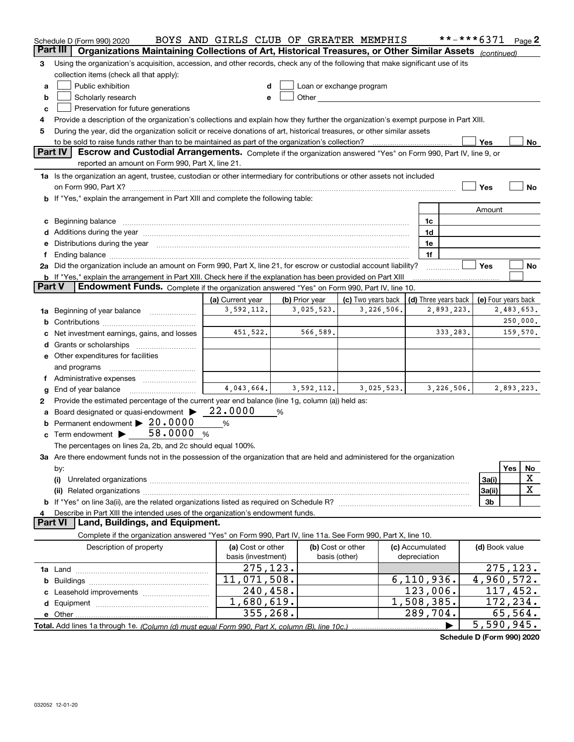|               | Schedule D (Form 990) 2020<br>Part III<br>Organizations Maintaining Collections of Art, Historical Treasures, or Other Similar Assets (continued)                                                                                                        | BOYS AND GIRLS CLUB OF GREATER MEMPHIS |                   |                          |                                            | **-***6371                 |                |            | Page 2 |  |  |
|---------------|----------------------------------------------------------------------------------------------------------------------------------------------------------------------------------------------------------------------------------------------------------|----------------------------------------|-------------------|--------------------------|--------------------------------------------|----------------------------|----------------|------------|--------|--|--|
|               |                                                                                                                                                                                                                                                          |                                        |                   |                          |                                            |                            |                |            |        |  |  |
| 3             | Using the organization's acquisition, accession, and other records, check any of the following that make significant use of its                                                                                                                          |                                        |                   |                          |                                            |                            |                |            |        |  |  |
|               | collection items (check all that apply):                                                                                                                                                                                                                 |                                        |                   |                          |                                            |                            |                |            |        |  |  |
| a             | Public exhibition                                                                                                                                                                                                                                        |                                        |                   | Loan or exchange program |                                            |                            |                |            |        |  |  |
| b             | Scholarly research<br>Other and the contract of the contract of the contract of the contract of the contract of the contract of the contract of the contract of the contract of the contract of the contract of the contract of the contract of the<br>e |                                        |                   |                          |                                            |                            |                |            |        |  |  |
| c             | Preservation for future generations                                                                                                                                                                                                                      |                                        |                   |                          |                                            |                            |                |            |        |  |  |
| 4             | Provide a description of the organization's collections and explain how they further the organization's exempt purpose in Part XIII.                                                                                                                     |                                        |                   |                          |                                            |                            |                |            |        |  |  |
| 5             | During the year, did the organization solicit or receive donations of art, historical treasures, or other similar assets                                                                                                                                 |                                        |                   |                          |                                            |                            |                |            |        |  |  |
|               |                                                                                                                                                                                                                                                          |                                        |                   |                          |                                            |                            | Yes            |            | No     |  |  |
|               | <b>Part IV</b><br>Escrow and Custodial Arrangements. Complete if the organization answered "Yes" on Form 990, Part IV, line 9, or<br>reported an amount on Form 990, Part X, line 21.                                                                    |                                        |                   |                          |                                            |                            |                |            |        |  |  |
|               |                                                                                                                                                                                                                                                          |                                        |                   |                          |                                            |                            |                |            |        |  |  |
|               | 1a Is the organization an agent, trustee, custodian or other intermediary for contributions or other assets not included                                                                                                                                 |                                        |                   |                          |                                            |                            |                |            |        |  |  |
|               | on Form 990, Part X? [11] matter contract the contract of the contract of the contract of the contract of the contract of the contract of the contract of the contract of the contract of the contract of the contract of the                            |                                        |                   |                          |                                            |                            | Yes            |            | No     |  |  |
|               | b If "Yes," explain the arrangement in Part XIII and complete the following table:                                                                                                                                                                       |                                        |                   |                          |                                            |                            |                |            |        |  |  |
|               |                                                                                                                                                                                                                                                          |                                        |                   |                          |                                            |                            | Amount         |            |        |  |  |
|               | c Beginning balance                                                                                                                                                                                                                                      |                                        |                   |                          | 1c                                         |                            |                |            |        |  |  |
|               | d Additions during the year measurements are all an according to the year measurement of the year measurement of the state of the state of the state of the state of the state of the state of the state of the state of the s                           |                                        |                   |                          | 1d                                         |                            |                |            |        |  |  |
|               | e Distributions during the year manufactured and contain an account of the year manufactured and the year manufactured and the year manufactured and the year manufactured and the year manufactured and the year manufactured                           |                                        |                   |                          | 1e                                         |                            |                |            |        |  |  |
| f             |                                                                                                                                                                                                                                                          |                                        |                   |                          | 1f                                         |                            |                |            |        |  |  |
|               | 2a Did the organization include an amount on Form 990, Part X, line 21, for escrow or custodial account liability?                                                                                                                                       |                                        |                   |                          |                                            |                            | Yes            |            | No     |  |  |
|               | b If "Yes," explain the arrangement in Part XIII. Check here if the explanation has been provided on Part XIII                                                                                                                                           |                                        |                   |                          |                                            |                            |                |            |        |  |  |
| <b>Part V</b> | Endowment Funds. Complete if the organization answered "Yes" on Form 990, Part IV, line 10.                                                                                                                                                              |                                        |                   |                          |                                            |                            |                |            |        |  |  |
|               |                                                                                                                                                                                                                                                          | (a) Current year                       | (b) Prior year    | (c) Two years back       | (d) Three years back   (e) Four years back |                            |                |            |        |  |  |
|               | 1a Beginning of year balance                                                                                                                                                                                                                             | 3,592,112.                             | 3,025,523.        | 3,226,506.               |                                            | 2,893,223.                 |                | 2,483,653. |        |  |  |
|               |                                                                                                                                                                                                                                                          |                                        |                   |                          |                                            |                            | 250,000.       |            |        |  |  |
|               | c Net investment earnings, gains, and losses                                                                                                                                                                                                             | 451,522.                               | 566,589.          |                          |                                            | 333, 283.                  | 159,570.       |            |        |  |  |
|               |                                                                                                                                                                                                                                                          |                                        |                   |                          |                                            |                            |                |            |        |  |  |
|               | e Other expenditures for facilities                                                                                                                                                                                                                      |                                        |                   |                          |                                            |                            |                |            |        |  |  |
|               | and programs                                                                                                                                                                                                                                             |                                        |                   |                          |                                            |                            |                |            |        |  |  |
| Ť.            | Administrative expenses                                                                                                                                                                                                                                  |                                        |                   |                          |                                            |                            |                |            |        |  |  |
| g             | End of year balance                                                                                                                                                                                                                                      | 4,043,664.                             | 3,592,112.        | 3,025,523.               |                                            | 3,226,506.                 |                | 2,893,223. |        |  |  |
| 2             | Provide the estimated percentage of the current year end balance (line 1g, column (a)) held as:                                                                                                                                                          |                                        |                   |                          |                                            |                            |                |            |        |  |  |
|               | a Board designated or quasi-endowment                                                                                                                                                                                                                    | 22.0000                                | %                 |                          |                                            |                            |                |            |        |  |  |
|               | <b>b</b> Permanent endowment $\triangleright$ 20.0000                                                                                                                                                                                                    | %                                      |                   |                          |                                            |                            |                |            |        |  |  |
|               | c Term endowment $\blacktriangleright$ $\_\_$ 58.0000<br>$\%$                                                                                                                                                                                            |                                        |                   |                          |                                            |                            |                |            |        |  |  |
|               | The percentages on lines 2a, 2b, and 2c should equal 100%.                                                                                                                                                                                               |                                        |                   |                          |                                            |                            |                |            |        |  |  |
|               | 3a Are there endowment funds not in the possession of the organization that are held and administered for the organization                                                                                                                               |                                        |                   |                          |                                            |                            |                |            |        |  |  |
|               | by:                                                                                                                                                                                                                                                      |                                        |                   |                          |                                            |                            |                | Yes        | No     |  |  |
|               | (i)                                                                                                                                                                                                                                                      |                                        |                   |                          |                                            |                            | 3a(i)          |            | X      |  |  |
|               |                                                                                                                                                                                                                                                          |                                        |                   |                          |                                            |                            | 3a(ii)         |            | X      |  |  |
|               |                                                                                                                                                                                                                                                          |                                        |                   |                          |                                            |                            | 3 <sub>b</sub> |            |        |  |  |
| 4             | Describe in Part XIII the intended uses of the organization's endowment funds.                                                                                                                                                                           |                                        |                   |                          |                                            |                            |                |            |        |  |  |
|               | Land, Buildings, and Equipment.<br><b>Part VI</b>                                                                                                                                                                                                        |                                        |                   |                          |                                            |                            |                |            |        |  |  |
|               | Complete if the organization answered "Yes" on Form 990, Part IV, line 11a. See Form 990, Part X, line 10.                                                                                                                                               |                                        |                   |                          |                                            |                            |                |            |        |  |  |
|               | Description of property                                                                                                                                                                                                                                  | (a) Cost or other                      | (b) Cost or other |                          | (c) Accumulated                            |                            | (d) Book value |            |        |  |  |
|               |                                                                                                                                                                                                                                                          | basis (investment)                     | basis (other)     |                          | depreciation                               |                            |                |            |        |  |  |
|               |                                                                                                                                                                                                                                                          | 275,123.                               |                   |                          |                                            |                            |                | 275, 123.  |        |  |  |
|               |                                                                                                                                                                                                                                                          | $\overline{11,071,508}$ .              |                   |                          | 6, 110, 936.                               |                            | 4,960,572.     |            |        |  |  |
|               |                                                                                                                                                                                                                                                          | 240,458.                               |                   |                          | 123,006.                                   |                            |                | 117,452.   |        |  |  |
|               |                                                                                                                                                                                                                                                          | 1,680,619.                             |                   |                          | 1,508,385.                                 |                            |                | 172,234.   |        |  |  |
|               |                                                                                                                                                                                                                                                          | 355, 268.                              |                   |                          | 289,704.                                   |                            |                | 65,564.    |        |  |  |
|               | Total. Add lines 1a through 1e. (Column (d) must equal Form 990. Part X. column (B). line 10c.)                                                                                                                                                          |                                        |                   |                          |                                            |                            | 5,590,945.     |            |        |  |  |
|               |                                                                                                                                                                                                                                                          |                                        |                   |                          |                                            | Schedule D (Form 990) 2020 |                |            |        |  |  |
|               |                                                                                                                                                                                                                                                          |                                        |                   |                          |                                            |                            |                |            |        |  |  |

032052 12-01-20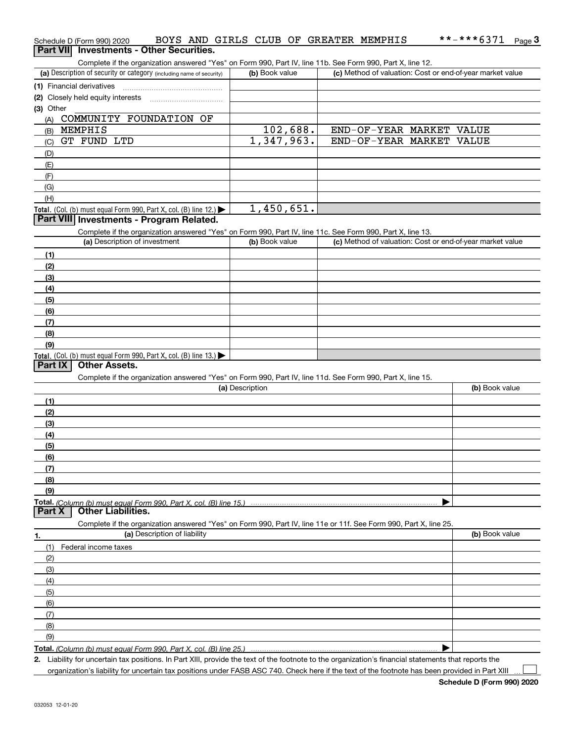| Schedule D (Form 990) 2020                                                                                        | BOYS AND GIRLS CLUB OF GREATER MEMPHIS | **-***6371<br>$Page$ <sup>3</sup>                         |
|-------------------------------------------------------------------------------------------------------------------|----------------------------------------|-----------------------------------------------------------|
| Part VII Investments - Other Securities.                                                                          |                                        |                                                           |
| Complete if the organization answered "Yes" on Form 990, Part IV, line 11b. See Form 990, Part X, line 12.        |                                        |                                                           |
| (a) Description of security or category (including name of security)                                              | (b) Book value                         | (c) Method of valuation: Cost or end-of-year market value |
| (1) Financial derivatives                                                                                         |                                        |                                                           |
| (2) Closely held equity interests                                                                                 |                                        |                                                           |
| (3) Other                                                                                                         |                                        |                                                           |
| COMMUNITY FOUNDATION OF<br>(A)                                                                                    |                                        |                                                           |
| MEMPHIS<br>(B)                                                                                                    | 102,688.                               | END-OF-YEAR MARKET VALUE                                  |
| GT FUND LTD<br>(C)                                                                                                | 1,347,963.                             | END-OF-YEAR MARKET VALUE                                  |
| (D)                                                                                                               |                                        |                                                           |
| (E)                                                                                                               |                                        |                                                           |
| (F)                                                                                                               |                                        |                                                           |
| (G)                                                                                                               |                                        |                                                           |
| (H)                                                                                                               |                                        |                                                           |
| Total. (Col. (b) must equal Form 990, Part X, col. (B) line 12.)                                                  | 1,450,651.                             |                                                           |
| Part VIII Investments - Program Related.                                                                          |                                        |                                                           |
| Complete if the organization answered "Yes" on Form 990, Part IV, line 11c. See Form 990, Part X, line 13.        |                                        |                                                           |
| (a) Description of investment                                                                                     | (b) Book value                         | (c) Method of valuation: Cost or end-of-year market value |
| (1)                                                                                                               |                                        |                                                           |
| (2)                                                                                                               |                                        |                                                           |
| (3)                                                                                                               |                                        |                                                           |
| (4)                                                                                                               |                                        |                                                           |
| (5)                                                                                                               |                                        |                                                           |
| (6)                                                                                                               |                                        |                                                           |
| (7)                                                                                                               |                                        |                                                           |
| (8)                                                                                                               |                                        |                                                           |
| (9)                                                                                                               |                                        |                                                           |
| Total. (Col. (b) must equal Form 990, Part X, col. (B) line 13.)                                                  |                                        |                                                           |
| <b>Other Assets.</b><br>Part IX                                                                                   |                                        |                                                           |
| Complete if the organization answered "Yes" on Form 990, Part IV, line 11d. See Form 990, Part X, line 15.        |                                        |                                                           |
|                                                                                                                   | (a) Description                        | (b) Book value                                            |
| (1)                                                                                                               |                                        |                                                           |
| (2)                                                                                                               |                                        |                                                           |
| (3)                                                                                                               |                                        |                                                           |
| (4)                                                                                                               |                                        |                                                           |
| (5)                                                                                                               |                                        |                                                           |
| (6)                                                                                                               |                                        |                                                           |
| (7)                                                                                                               |                                        |                                                           |
| (8)                                                                                                               |                                        |                                                           |
| (9)                                                                                                               |                                        |                                                           |
| <b>Other Liabilities.</b><br>Part X                                                                               |                                        |                                                           |
| Complete if the organization answered "Yes" on Form 990, Part IV, line 11e or 11f. See Form 990, Part X, line 25. |                                        |                                                           |
| (a) Description of liability                                                                                      |                                        | (b) Book value                                            |
| 1.                                                                                                                |                                        |                                                           |
| (1)<br>Federal income taxes                                                                                       |                                        |                                                           |
| (2)                                                                                                               |                                        |                                                           |
| (3)                                                                                                               |                                        |                                                           |
| (4)                                                                                                               |                                        |                                                           |
| (5)                                                                                                               |                                        |                                                           |
| (6)                                                                                                               |                                        |                                                           |
| (7)                                                                                                               |                                        |                                                           |
| (8)                                                                                                               |                                        |                                                           |
|                                                                                                                   |                                        |                                                           |
| (9)                                                                                                               |                                        |                                                           |

**2.** Liability for uncertain tax positions. In Part XIII, provide the text of the footnote to the organization's financial statements that reports the organization's liability for uncertain tax positions under FASB ASC 740. Check here if the text of the footnote has been provided in Part XIII

 $***-**6371$  Page 3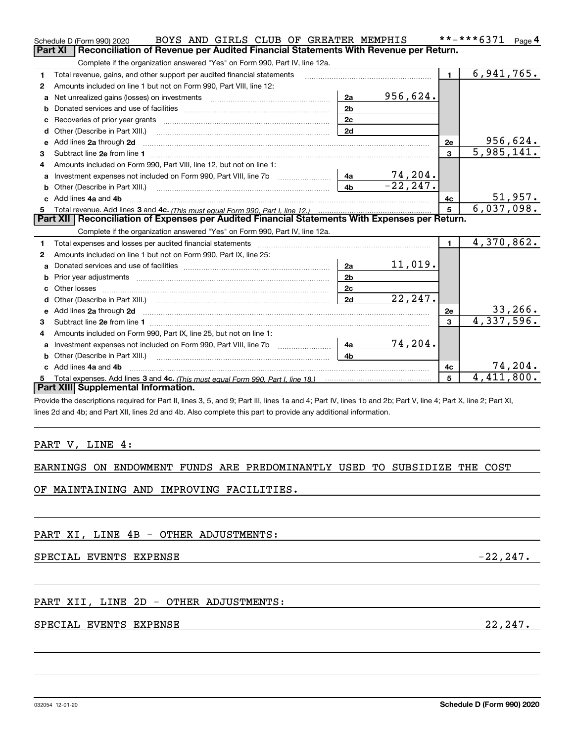|   |                                                                                                                                                                                                                                | 4b             | $-22, 247.$            |                |                |
|---|--------------------------------------------------------------------------------------------------------------------------------------------------------------------------------------------------------------------------------|----------------|------------------------|----------------|----------------|
|   | Add lines 4a and 4b                                                                                                                                                                                                            |                |                        | 4c             | <u>51,957.</u> |
| 5 |                                                                                                                                                                                                                                |                |                        | 5              | 6,037,098.     |
|   | Part XII   Reconciliation of Expenses per Audited Financial Statements With Expenses per Return.                                                                                                                               |                |                        |                |                |
|   | Complete if the organization answered "Yes" on Form 990, Part IV, line 12a.                                                                                                                                                    |                |                        |                |                |
| 1 | Total expenses and losses per audited financial statements [111] [12] contain an interview and losses per audited financial statements [11] [12] contain an interview and the statements of the statements of the statements a |                |                        | $\blacksquare$ | 4,370,862.     |
| 2 | Amounts included on line 1 but not on Form 990, Part IX, line 25:                                                                                                                                                              |                |                        |                |                |
| a |                                                                                                                                                                                                                                | 2a             | 11,019.                |                |                |
| b |                                                                                                                                                                                                                                | 2 <sub>b</sub> |                        |                |                |
| c | Other losses                                                                                                                                                                                                                   | 2c             |                        |                |                |
| d |                                                                                                                                                                                                                                | 2d             | $\overline{22}$ , 247. |                |                |
| е | Add lines 2a through 2d                                                                                                                                                                                                        |                |                        | 2e             | 33, 266.       |
| 3 |                                                                                                                                                                                                                                |                |                        | 3              | 4,337,596.     |
| 4 | Amounts included on Form 990, Part IX, line 25, but not on line 1:                                                                                                                                                             |                |                        |                |                |
|   |                                                                                                                                                                                                                                | 4a             | 74,204.                |                |                |
| b |                                                                                                                                                                                                                                | 4b             |                        |                |                |
|   | c Add lines 4a and 4b                                                                                                                                                                                                          |                |                        | 4c             | 74,204.        |
| 5 | Part XIII Supplemental Information.                                                                                                                                                                                            |                |                        | 5              | 4,411,800.     |
|   | PART V, LINE 4:<br>EARNINGS ON ENDOWMENT FUNDS ARE PREDOMINANTLY USED TO SUBSIDIZE THE COST<br>OF MAINTAINING AND IMPROVING FACILITIES.                                                                                        |                |                        |                |                |
|   | PART XI, LINE 4B - OTHER ADJUSTMENTS:                                                                                                                                                                                          |                |                        |                |                |
|   | SPECIAL EVENTS EXPENSE                                                                                                                                                                                                         |                |                        |                | $-22, 247.$    |
|   | PART XII, LINE 2D - OTHER ADJUSTMENTS:                                                                                                                                                                                         |                |                        |                |                |
|   | SPECIAL EVENTS EXPENSE                                                                                                                                                                                                         |                |                        |                | 22, 247.       |
|   |                                                                                                                                                                                                                                |                |                        |                |                |

| Schedule D (Form 990) 2020                                                                    |  |  | BOYS AND GIRLS CLUB OF GREATER MEMPHIS |  |  |
|-----------------------------------------------------------------------------------------------|--|--|----------------------------------------|--|--|
| Part XI   Reconciliation of Revenue per Audited Financial Statements With Revenue per Return. |  |  |                                        |  |  |
| Complete if the organization answered "Yes" on Form 990, Part IV, line 12a.                   |  |  |                                        |  |  |

**a**Net unrealized gains (losses) on investments ~~~~~~~~~~~~~~~~~~

Donated services and use of facilities ~~~~~~~~~~~~~~~~~~~~~~ Recoveries of prior year grants ~~~~~~~~~~~~~~~~~~~~~~~~~

Total revenue, gains, and other support per audited financial statements Amounts included on line 1 but not on Form 990, Part VIII, line 12:

**a** Investment expenses not included on Form 990, Part VIII, line 7b

Amounts included on Form 990, Part VIII, line 12, but not on line 1:

**2a 2d 2e** Add lines through ~~~~~~~~~~~~~~~~~~~~~~~~~~~~~~~~~~~~~~~~~~~ **2e 1 3** Subtract line from line ~~~~~~~~~~~~~~~~~~~~~~~~~~~~~~~~~~~~~~~~~~

**12**

> **bcde**

Other (Describe in Part XIII.)

**34** 6,941,765.

956,624. 5,985,141.

**1**

956,624.

74,204.

**2a2b2c 2d**

**4a**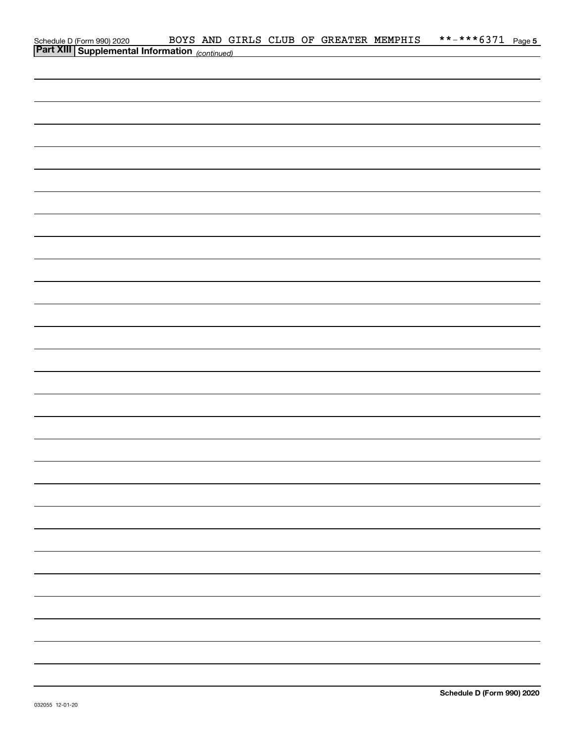| Schedule D (Form 990) 2020 BOYS AND G.<br>Part XIII Supplemental Information (continued) |  |  | BOYS AND GIRLS CLUB OF GREATER MEMPHIS | **-***6371 Page 5 |  |
|------------------------------------------------------------------------------------------|--|--|----------------------------------------|-------------------|--|
|                                                                                          |  |  |                                        |                   |  |
|                                                                                          |  |  |                                        |                   |  |
|                                                                                          |  |  |                                        |                   |  |
|                                                                                          |  |  |                                        |                   |  |
|                                                                                          |  |  |                                        |                   |  |
|                                                                                          |  |  |                                        |                   |  |
|                                                                                          |  |  |                                        |                   |  |
|                                                                                          |  |  |                                        |                   |  |
|                                                                                          |  |  |                                        |                   |  |
|                                                                                          |  |  |                                        |                   |  |
|                                                                                          |  |  |                                        |                   |  |
|                                                                                          |  |  |                                        |                   |  |
|                                                                                          |  |  |                                        |                   |  |
|                                                                                          |  |  |                                        |                   |  |
|                                                                                          |  |  |                                        |                   |  |
|                                                                                          |  |  |                                        |                   |  |
|                                                                                          |  |  |                                        |                   |  |
|                                                                                          |  |  |                                        |                   |  |
|                                                                                          |  |  |                                        |                   |  |
|                                                                                          |  |  |                                        |                   |  |
|                                                                                          |  |  |                                        |                   |  |
|                                                                                          |  |  |                                        |                   |  |
|                                                                                          |  |  |                                        |                   |  |
|                                                                                          |  |  |                                        |                   |  |
|                                                                                          |  |  |                                        |                   |  |
|                                                                                          |  |  |                                        |                   |  |
|                                                                                          |  |  |                                        |                   |  |
|                                                                                          |  |  |                                        |                   |  |
|                                                                                          |  |  |                                        |                   |  |
|                                                                                          |  |  |                                        |                   |  |
|                                                                                          |  |  |                                        |                   |  |
|                                                                                          |  |  |                                        |                   |  |
|                                                                                          |  |  |                                        |                   |  |
|                                                                                          |  |  |                                        |                   |  |
|                                                                                          |  |  |                                        |                   |  |
|                                                                                          |  |  |                                        |                   |  |
|                                                                                          |  |  |                                        |                   |  |
|                                                                                          |  |  |                                        |                   |  |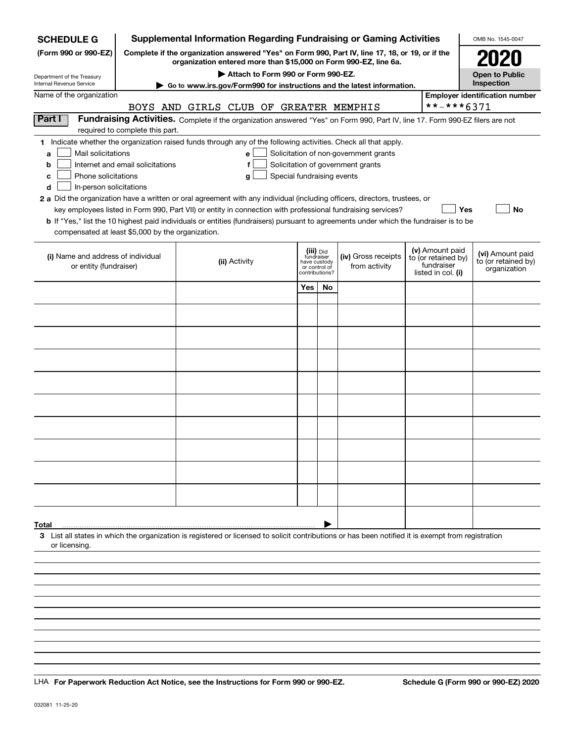| Complete if the organization answered "Yes" on Form 990, Part IV, line 17, 18, or 19, or if the<br>(Form 990 or 990-EZ)<br><b>2020</b><br>organization entered more than \$15,000 on Form 990-EZ, line 6a.<br>Attach to Form 990 or Form 990-EZ.<br><b>Open to Public</b><br>Department of the Treasury<br>Inspection<br><b>Internal Revenue Service</b><br>Go to www.irs.gov/Form990 for instructions and the latest information.<br>Name of the organization<br><b>Employer identification number</b><br>**-***6371<br>BOYS AND GIRLS CLUB OF GREATER MEMPHIS<br>Part I<br>Fundraising Activities. Complete if the organization answered "Yes" on Form 990, Part IV, line 17. Form 990-EZ filers are not<br>required to complete this part.<br>1 Indicate whether the organization raised funds through any of the following activities. Check all that apply.<br>Mail solicitations<br>Solicitation of non-government grants<br>e<br>a<br>Internet and email solicitations<br>Solicitation of government grants<br>f<br>b<br>Phone solicitations<br>Special fundraising events<br>c<br>g<br>In-person solicitations<br>d<br>2 a Did the organization have a written or oral agreement with any individual (including officers, directors, trustees, or<br><b>No</b><br>key employees listed in Form 990, Part VII) or entity in connection with professional fundraising services?<br>Yes<br><b>b</b> If "Yes," list the 10 highest paid individuals or entities (fundraisers) pursuant to agreements under which the fundraiser is to be<br>compensated at least \$5,000 by the organization.<br>(v) Amount paid<br>(iii) Did<br>(vi) Amount paid<br>(i) Name and address of individual<br>(iv) Gross receipts<br>fundraiser<br>to (or retained by)<br>(ii) Activity<br>to (or retained by)<br>have custody<br>fundraiser<br>or entity (fundraiser)<br>from activity<br>or control of<br>organization<br>listed in col. (i)<br>contributions?<br>Yes<br>No<br>Total<br>3 List all states in which the organization is registered or licensed to solicit contributions or has been notified it is exempt from registration<br>or licensing. | <b>SCHEDULE G</b> |  | <b>Supplemental Information Regarding Fundraising or Gaming Activities</b> |  |  |  |  |  | OMB No. 1545-0047 |  |  |  |  |
|------------------------------------------------------------------------------------------------------------------------------------------------------------------------------------------------------------------------------------------------------------------------------------------------------------------------------------------------------------------------------------------------------------------------------------------------------------------------------------------------------------------------------------------------------------------------------------------------------------------------------------------------------------------------------------------------------------------------------------------------------------------------------------------------------------------------------------------------------------------------------------------------------------------------------------------------------------------------------------------------------------------------------------------------------------------------------------------------------------------------------------------------------------------------------------------------------------------------------------------------------------------------------------------------------------------------------------------------------------------------------------------------------------------------------------------------------------------------------------------------------------------------------------------------------------------------------------------------------------------------------------------------------------------------------------------------------------------------------------------------------------------------------------------------------------------------------------------------------------------------------------------------------------------------------------------------------------------------------------------------------------------------------------------------------------------------------------------------------------------------------------------------|-------------------|--|----------------------------------------------------------------------------|--|--|--|--|--|-------------------|--|--|--|--|
|                                                                                                                                                                                                                                                                                                                                                                                                                                                                                                                                                                                                                                                                                                                                                                                                                                                                                                                                                                                                                                                                                                                                                                                                                                                                                                                                                                                                                                                                                                                                                                                                                                                                                                                                                                                                                                                                                                                                                                                                                                                                                                                                                |                   |  |                                                                            |  |  |  |  |  |                   |  |  |  |  |
|                                                                                                                                                                                                                                                                                                                                                                                                                                                                                                                                                                                                                                                                                                                                                                                                                                                                                                                                                                                                                                                                                                                                                                                                                                                                                                                                                                                                                                                                                                                                                                                                                                                                                                                                                                                                                                                                                                                                                                                                                                                                                                                                                |                   |  |                                                                            |  |  |  |  |  |                   |  |  |  |  |
|                                                                                                                                                                                                                                                                                                                                                                                                                                                                                                                                                                                                                                                                                                                                                                                                                                                                                                                                                                                                                                                                                                                                                                                                                                                                                                                                                                                                                                                                                                                                                                                                                                                                                                                                                                                                                                                                                                                                                                                                                                                                                                                                                |                   |  |                                                                            |  |  |  |  |  |                   |  |  |  |  |
|                                                                                                                                                                                                                                                                                                                                                                                                                                                                                                                                                                                                                                                                                                                                                                                                                                                                                                                                                                                                                                                                                                                                                                                                                                                                                                                                                                                                                                                                                                                                                                                                                                                                                                                                                                                                                                                                                                                                                                                                                                                                                                                                                |                   |  |                                                                            |  |  |  |  |  |                   |  |  |  |  |
|                                                                                                                                                                                                                                                                                                                                                                                                                                                                                                                                                                                                                                                                                                                                                                                                                                                                                                                                                                                                                                                                                                                                                                                                                                                                                                                                                                                                                                                                                                                                                                                                                                                                                                                                                                                                                                                                                                                                                                                                                                                                                                                                                |                   |  |                                                                            |  |  |  |  |  |                   |  |  |  |  |
|                                                                                                                                                                                                                                                                                                                                                                                                                                                                                                                                                                                                                                                                                                                                                                                                                                                                                                                                                                                                                                                                                                                                                                                                                                                                                                                                                                                                                                                                                                                                                                                                                                                                                                                                                                                                                                                                                                                                                                                                                                                                                                                                                |                   |  |                                                                            |  |  |  |  |  |                   |  |  |  |  |
|                                                                                                                                                                                                                                                                                                                                                                                                                                                                                                                                                                                                                                                                                                                                                                                                                                                                                                                                                                                                                                                                                                                                                                                                                                                                                                                                                                                                                                                                                                                                                                                                                                                                                                                                                                                                                                                                                                                                                                                                                                                                                                                                                |                   |  |                                                                            |  |  |  |  |  |                   |  |  |  |  |
|                                                                                                                                                                                                                                                                                                                                                                                                                                                                                                                                                                                                                                                                                                                                                                                                                                                                                                                                                                                                                                                                                                                                                                                                                                                                                                                                                                                                                                                                                                                                                                                                                                                                                                                                                                                                                                                                                                                                                                                                                                                                                                                                                |                   |  |                                                                            |  |  |  |  |  |                   |  |  |  |  |
|                                                                                                                                                                                                                                                                                                                                                                                                                                                                                                                                                                                                                                                                                                                                                                                                                                                                                                                                                                                                                                                                                                                                                                                                                                                                                                                                                                                                                                                                                                                                                                                                                                                                                                                                                                                                                                                                                                                                                                                                                                                                                                                                                |                   |  |                                                                            |  |  |  |  |  |                   |  |  |  |  |
|                                                                                                                                                                                                                                                                                                                                                                                                                                                                                                                                                                                                                                                                                                                                                                                                                                                                                                                                                                                                                                                                                                                                                                                                                                                                                                                                                                                                                                                                                                                                                                                                                                                                                                                                                                                                                                                                                                                                                                                                                                                                                                                                                |                   |  |                                                                            |  |  |  |  |  |                   |  |  |  |  |
|                                                                                                                                                                                                                                                                                                                                                                                                                                                                                                                                                                                                                                                                                                                                                                                                                                                                                                                                                                                                                                                                                                                                                                                                                                                                                                                                                                                                                                                                                                                                                                                                                                                                                                                                                                                                                                                                                                                                                                                                                                                                                                                                                |                   |  |                                                                            |  |  |  |  |  |                   |  |  |  |  |
|                                                                                                                                                                                                                                                                                                                                                                                                                                                                                                                                                                                                                                                                                                                                                                                                                                                                                                                                                                                                                                                                                                                                                                                                                                                                                                                                                                                                                                                                                                                                                                                                                                                                                                                                                                                                                                                                                                                                                                                                                                                                                                                                                |                   |  |                                                                            |  |  |  |  |  |                   |  |  |  |  |
|                                                                                                                                                                                                                                                                                                                                                                                                                                                                                                                                                                                                                                                                                                                                                                                                                                                                                                                                                                                                                                                                                                                                                                                                                                                                                                                                                                                                                                                                                                                                                                                                                                                                                                                                                                                                                                                                                                                                                                                                                                                                                                                                                |                   |  |                                                                            |  |  |  |  |  |                   |  |  |  |  |
|                                                                                                                                                                                                                                                                                                                                                                                                                                                                                                                                                                                                                                                                                                                                                                                                                                                                                                                                                                                                                                                                                                                                                                                                                                                                                                                                                                                                                                                                                                                                                                                                                                                                                                                                                                                                                                                                                                                                                                                                                                                                                                                                                |                   |  |                                                                            |  |  |  |  |  |                   |  |  |  |  |
|                                                                                                                                                                                                                                                                                                                                                                                                                                                                                                                                                                                                                                                                                                                                                                                                                                                                                                                                                                                                                                                                                                                                                                                                                                                                                                                                                                                                                                                                                                                                                                                                                                                                                                                                                                                                                                                                                                                                                                                                                                                                                                                                                |                   |  |                                                                            |  |  |  |  |  |                   |  |  |  |  |
|                                                                                                                                                                                                                                                                                                                                                                                                                                                                                                                                                                                                                                                                                                                                                                                                                                                                                                                                                                                                                                                                                                                                                                                                                                                                                                                                                                                                                                                                                                                                                                                                                                                                                                                                                                                                                                                                                                                                                                                                                                                                                                                                                |                   |  |                                                                            |  |  |  |  |  |                   |  |  |  |  |
|                                                                                                                                                                                                                                                                                                                                                                                                                                                                                                                                                                                                                                                                                                                                                                                                                                                                                                                                                                                                                                                                                                                                                                                                                                                                                                                                                                                                                                                                                                                                                                                                                                                                                                                                                                                                                                                                                                                                                                                                                                                                                                                                                |                   |  |                                                                            |  |  |  |  |  |                   |  |  |  |  |
|                                                                                                                                                                                                                                                                                                                                                                                                                                                                                                                                                                                                                                                                                                                                                                                                                                                                                                                                                                                                                                                                                                                                                                                                                                                                                                                                                                                                                                                                                                                                                                                                                                                                                                                                                                                                                                                                                                                                                                                                                                                                                                                                                |                   |  |                                                                            |  |  |  |  |  |                   |  |  |  |  |
|                                                                                                                                                                                                                                                                                                                                                                                                                                                                                                                                                                                                                                                                                                                                                                                                                                                                                                                                                                                                                                                                                                                                                                                                                                                                                                                                                                                                                                                                                                                                                                                                                                                                                                                                                                                                                                                                                                                                                                                                                                                                                                                                                |                   |  |                                                                            |  |  |  |  |  |                   |  |  |  |  |
|                                                                                                                                                                                                                                                                                                                                                                                                                                                                                                                                                                                                                                                                                                                                                                                                                                                                                                                                                                                                                                                                                                                                                                                                                                                                                                                                                                                                                                                                                                                                                                                                                                                                                                                                                                                                                                                                                                                                                                                                                                                                                                                                                |                   |  |                                                                            |  |  |  |  |  |                   |  |  |  |  |
|                                                                                                                                                                                                                                                                                                                                                                                                                                                                                                                                                                                                                                                                                                                                                                                                                                                                                                                                                                                                                                                                                                                                                                                                                                                                                                                                                                                                                                                                                                                                                                                                                                                                                                                                                                                                                                                                                                                                                                                                                                                                                                                                                |                   |  |                                                                            |  |  |  |  |  |                   |  |  |  |  |
|                                                                                                                                                                                                                                                                                                                                                                                                                                                                                                                                                                                                                                                                                                                                                                                                                                                                                                                                                                                                                                                                                                                                                                                                                                                                                                                                                                                                                                                                                                                                                                                                                                                                                                                                                                                                                                                                                                                                                                                                                                                                                                                                                |                   |  |                                                                            |  |  |  |  |  |                   |  |  |  |  |
|                                                                                                                                                                                                                                                                                                                                                                                                                                                                                                                                                                                                                                                                                                                                                                                                                                                                                                                                                                                                                                                                                                                                                                                                                                                                                                                                                                                                                                                                                                                                                                                                                                                                                                                                                                                                                                                                                                                                                                                                                                                                                                                                                |                   |  |                                                                            |  |  |  |  |  |                   |  |  |  |  |
|                                                                                                                                                                                                                                                                                                                                                                                                                                                                                                                                                                                                                                                                                                                                                                                                                                                                                                                                                                                                                                                                                                                                                                                                                                                                                                                                                                                                                                                                                                                                                                                                                                                                                                                                                                                                                                                                                                                                                                                                                                                                                                                                                |                   |  |                                                                            |  |  |  |  |  |                   |  |  |  |  |
|                                                                                                                                                                                                                                                                                                                                                                                                                                                                                                                                                                                                                                                                                                                                                                                                                                                                                                                                                                                                                                                                                                                                                                                                                                                                                                                                                                                                                                                                                                                                                                                                                                                                                                                                                                                                                                                                                                                                                                                                                                                                                                                                                |                   |  |                                                                            |  |  |  |  |  |                   |  |  |  |  |
|                                                                                                                                                                                                                                                                                                                                                                                                                                                                                                                                                                                                                                                                                                                                                                                                                                                                                                                                                                                                                                                                                                                                                                                                                                                                                                                                                                                                                                                                                                                                                                                                                                                                                                                                                                                                                                                                                                                                                                                                                                                                                                                                                |                   |  |                                                                            |  |  |  |  |  |                   |  |  |  |  |
|                                                                                                                                                                                                                                                                                                                                                                                                                                                                                                                                                                                                                                                                                                                                                                                                                                                                                                                                                                                                                                                                                                                                                                                                                                                                                                                                                                                                                                                                                                                                                                                                                                                                                                                                                                                                                                                                                                                                                                                                                                                                                                                                                |                   |  |                                                                            |  |  |  |  |  |                   |  |  |  |  |
|                                                                                                                                                                                                                                                                                                                                                                                                                                                                                                                                                                                                                                                                                                                                                                                                                                                                                                                                                                                                                                                                                                                                                                                                                                                                                                                                                                                                                                                                                                                                                                                                                                                                                                                                                                                                                                                                                                                                                                                                                                                                                                                                                |                   |  |                                                                            |  |  |  |  |  |                   |  |  |  |  |
|                                                                                                                                                                                                                                                                                                                                                                                                                                                                                                                                                                                                                                                                                                                                                                                                                                                                                                                                                                                                                                                                                                                                                                                                                                                                                                                                                                                                                                                                                                                                                                                                                                                                                                                                                                                                                                                                                                                                                                                                                                                                                                                                                |                   |  |                                                                            |  |  |  |  |  |                   |  |  |  |  |
|                                                                                                                                                                                                                                                                                                                                                                                                                                                                                                                                                                                                                                                                                                                                                                                                                                                                                                                                                                                                                                                                                                                                                                                                                                                                                                                                                                                                                                                                                                                                                                                                                                                                                                                                                                                                                                                                                                                                                                                                                                                                                                                                                |                   |  |                                                                            |  |  |  |  |  |                   |  |  |  |  |
|                                                                                                                                                                                                                                                                                                                                                                                                                                                                                                                                                                                                                                                                                                                                                                                                                                                                                                                                                                                                                                                                                                                                                                                                                                                                                                                                                                                                                                                                                                                                                                                                                                                                                                                                                                                                                                                                                                                                                                                                                                                                                                                                                |                   |  |                                                                            |  |  |  |  |  |                   |  |  |  |  |
|                                                                                                                                                                                                                                                                                                                                                                                                                                                                                                                                                                                                                                                                                                                                                                                                                                                                                                                                                                                                                                                                                                                                                                                                                                                                                                                                                                                                                                                                                                                                                                                                                                                                                                                                                                                                                                                                                                                                                                                                                                                                                                                                                |                   |  |                                                                            |  |  |  |  |  |                   |  |  |  |  |
|                                                                                                                                                                                                                                                                                                                                                                                                                                                                                                                                                                                                                                                                                                                                                                                                                                                                                                                                                                                                                                                                                                                                                                                                                                                                                                                                                                                                                                                                                                                                                                                                                                                                                                                                                                                                                                                                                                                                                                                                                                                                                                                                                |                   |  |                                                                            |  |  |  |  |  |                   |  |  |  |  |
|                                                                                                                                                                                                                                                                                                                                                                                                                                                                                                                                                                                                                                                                                                                                                                                                                                                                                                                                                                                                                                                                                                                                                                                                                                                                                                                                                                                                                                                                                                                                                                                                                                                                                                                                                                                                                                                                                                                                                                                                                                                                                                                                                |                   |  |                                                                            |  |  |  |  |  |                   |  |  |  |  |
|                                                                                                                                                                                                                                                                                                                                                                                                                                                                                                                                                                                                                                                                                                                                                                                                                                                                                                                                                                                                                                                                                                                                                                                                                                                                                                                                                                                                                                                                                                                                                                                                                                                                                                                                                                                                                                                                                                                                                                                                                                                                                                                                                |                   |  |                                                                            |  |  |  |  |  |                   |  |  |  |  |
|                                                                                                                                                                                                                                                                                                                                                                                                                                                                                                                                                                                                                                                                                                                                                                                                                                                                                                                                                                                                                                                                                                                                                                                                                                                                                                                                                                                                                                                                                                                                                                                                                                                                                                                                                                                                                                                                                                                                                                                                                                                                                                                                                |                   |  |                                                                            |  |  |  |  |  |                   |  |  |  |  |
|                                                                                                                                                                                                                                                                                                                                                                                                                                                                                                                                                                                                                                                                                                                                                                                                                                                                                                                                                                                                                                                                                                                                                                                                                                                                                                                                                                                                                                                                                                                                                                                                                                                                                                                                                                                                                                                                                                                                                                                                                                                                                                                                                |                   |  |                                                                            |  |  |  |  |  |                   |  |  |  |  |
|                                                                                                                                                                                                                                                                                                                                                                                                                                                                                                                                                                                                                                                                                                                                                                                                                                                                                                                                                                                                                                                                                                                                                                                                                                                                                                                                                                                                                                                                                                                                                                                                                                                                                                                                                                                                                                                                                                                                                                                                                                                                                                                                                |                   |  |                                                                            |  |  |  |  |  |                   |  |  |  |  |
|                                                                                                                                                                                                                                                                                                                                                                                                                                                                                                                                                                                                                                                                                                                                                                                                                                                                                                                                                                                                                                                                                                                                                                                                                                                                                                                                                                                                                                                                                                                                                                                                                                                                                                                                                                                                                                                                                                                                                                                                                                                                                                                                                |                   |  |                                                                            |  |  |  |  |  |                   |  |  |  |  |

LHA For Paperwork Reduction Act Notice, see the Instructions for Form 990 or 990-EZ. Schedule G (Form 990 or 990-EZ) 2020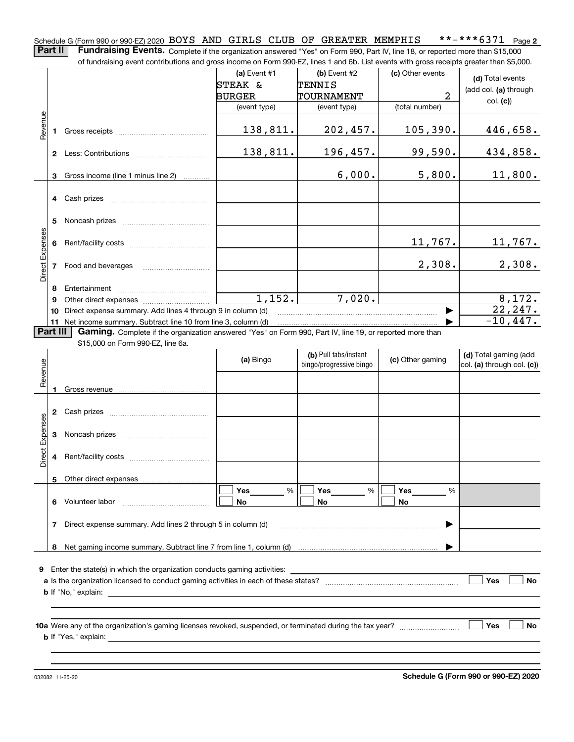**2** Schedule G (Form 990 or 990-EZ) 2020  $\rm BOYS$   $\rm AND$   $\rm GIRLS$   $\rm CLUB$   $\rm OF$   $\rm GRRTER$   $\rm MEMPHIS$   $\rm \ast*-***6371$   $\rm Page$ 

**Part II** | Fundraising Events. Complete if the organization answered "Yes" on Form 990, Part IV, line 18, or reported more than \$15,000 of fundraising event contributions and gross income on Form 990-EZ, lines 1 and 6b. List events with gross receipts greater than \$5,000.

|                 |    | 01 lunuraising event commodions and gross income on Form 990-EZ, illies T and OD. Eist events with gross receipts greater than \$0,000. |                                                                          |                         |                  |                            |  |  |  |  |
|-----------------|----|-----------------------------------------------------------------------------------------------------------------------------------------|--------------------------------------------------------------------------|-------------------------|------------------|----------------------------|--|--|--|--|
|                 |    |                                                                                                                                         | (a) Event $#1$                                                           | $(b)$ Event #2          | (c) Other events | (d) Total events           |  |  |  |  |
|                 |    |                                                                                                                                         | STEAK &                                                                  | TENNIS                  |                  | (add col. (a) through      |  |  |  |  |
|                 |    |                                                                                                                                         | <b>BURGER</b>                                                            | TOURNAMENT              | $\overline{a}$   | col. (c)                   |  |  |  |  |
|                 |    |                                                                                                                                         | (event type)                                                             | (event type)            | (total number)   |                            |  |  |  |  |
|                 |    |                                                                                                                                         |                                                                          |                         |                  |                            |  |  |  |  |
| Revenue         |    |                                                                                                                                         | 138,811.                                                                 | 202,457.                | 105,390.         | 446,658.                   |  |  |  |  |
|                 |    |                                                                                                                                         |                                                                          |                         |                  |                            |  |  |  |  |
|                 |    |                                                                                                                                         | 138,811.                                                                 | 196,457.                | 99,590.          | 434,858.                   |  |  |  |  |
|                 |    |                                                                                                                                         |                                                                          |                         |                  |                            |  |  |  |  |
|                 | 3  | Gross income (line 1 minus line 2)                                                                                                      |                                                                          | 6,000.                  | 5,800.           | 11,800.                    |  |  |  |  |
|                 |    |                                                                                                                                         |                                                                          |                         |                  |                            |  |  |  |  |
|                 |    |                                                                                                                                         |                                                                          |                         |                  |                            |  |  |  |  |
|                 |    |                                                                                                                                         |                                                                          |                         |                  |                            |  |  |  |  |
|                 | 5. |                                                                                                                                         |                                                                          |                         |                  |                            |  |  |  |  |
|                 |    |                                                                                                                                         |                                                                          |                         |                  |                            |  |  |  |  |
|                 |    |                                                                                                                                         |                                                                          |                         | 11,767.          | <u>11,767.</u>             |  |  |  |  |
| Direct Expenses |    |                                                                                                                                         |                                                                          |                         |                  |                            |  |  |  |  |
|                 |    | 7 Food and beverages                                                                                                                    |                                                                          |                         | 2,308.           | 2,308.                     |  |  |  |  |
|                 |    |                                                                                                                                         |                                                                          |                         |                  |                            |  |  |  |  |
|                 | 8  |                                                                                                                                         |                                                                          |                         |                  |                            |  |  |  |  |
|                 | 9  |                                                                                                                                         | 1,152.                                                                   | 7,020.                  |                  | 8,172.                     |  |  |  |  |
|                 |    | 10 Direct expense summary. Add lines 4 through 9 in column (d)                                                                          |                                                                          |                         |                  | $\overline{22,247}$ .      |  |  |  |  |
|                 |    | 11 Net income summary. Subtract line 10 from line 3, column (d)                                                                         |                                                                          |                         |                  | $-10,447.$                 |  |  |  |  |
| <b>Part III</b> |    | Gaming. Complete if the organization answered "Yes" on Form 990, Part IV, line 19, or reported more than                                |                                                                          |                         |                  |                            |  |  |  |  |
|                 |    | \$15,000 on Form 990-EZ, line 6a.                                                                                                       |                                                                          |                         |                  |                            |  |  |  |  |
|                 |    |                                                                                                                                         | (a) Bingo                                                                | (b) Pull tabs/instant   | (c) Other gaming | (d) Total gaming (add      |  |  |  |  |
|                 |    |                                                                                                                                         |                                                                          | bingo/progressive bingo |                  | col. (a) through col. (c)) |  |  |  |  |
| Revenue         |    |                                                                                                                                         |                                                                          |                         |                  |                            |  |  |  |  |
|                 | 1. |                                                                                                                                         |                                                                          |                         |                  |                            |  |  |  |  |
|                 |    |                                                                                                                                         |                                                                          |                         |                  |                            |  |  |  |  |
|                 |    |                                                                                                                                         |                                                                          |                         |                  |                            |  |  |  |  |
| Expenses        |    |                                                                                                                                         |                                                                          |                         |                  |                            |  |  |  |  |
|                 |    |                                                                                                                                         |                                                                          |                         |                  |                            |  |  |  |  |
|                 |    |                                                                                                                                         |                                                                          |                         |                  |                            |  |  |  |  |
| Direct I        | 4  |                                                                                                                                         |                                                                          |                         |                  |                            |  |  |  |  |
|                 |    |                                                                                                                                         |                                                                          |                         |                  |                            |  |  |  |  |
|                 |    | 5 Other direct expenses                                                                                                                 |                                                                          |                         |                  |                            |  |  |  |  |
|                 |    |                                                                                                                                         | Yes<br>%                                                                 | Yes<br>%                | Yes<br>%         |                            |  |  |  |  |
|                 |    | 6 Volunteer labor                                                                                                                       | No                                                                       | No                      | No               |                            |  |  |  |  |
|                 |    |                                                                                                                                         |                                                                          |                         |                  |                            |  |  |  |  |
|                 | 7  | Direct expense summary. Add lines 2 through 5 in column (d)                                                                             |                                                                          |                         |                  |                            |  |  |  |  |
|                 |    |                                                                                                                                         |                                                                          |                         |                  |                            |  |  |  |  |
|                 | 8  |                                                                                                                                         |                                                                          |                         |                  |                            |  |  |  |  |
|                 |    |                                                                                                                                         |                                                                          |                         |                  |                            |  |  |  |  |
|                 |    |                                                                                                                                         | Enter the state(s) in which the organization conducts gaming activities: |                         |                  |                            |  |  |  |  |
| 9               |    |                                                                                                                                         |                                                                          |                         |                  |                            |  |  |  |  |
|                 |    |                                                                                                                                         |                                                                          |                         |                  | Yes<br><b>No</b>           |  |  |  |  |
|                 |    |                                                                                                                                         |                                                                          |                         |                  |                            |  |  |  |  |
|                 |    |                                                                                                                                         |                                                                          |                         |                  |                            |  |  |  |  |
|                 |    |                                                                                                                                         |                                                                          |                         |                  |                            |  |  |  |  |
|                 |    |                                                                                                                                         |                                                                          |                         |                  | Yes<br>No                  |  |  |  |  |
|                 |    |                                                                                                                                         |                                                                          |                         |                  |                            |  |  |  |  |

032082 11-25-20

**Schedule G (Form 990 or 990-EZ) 2020**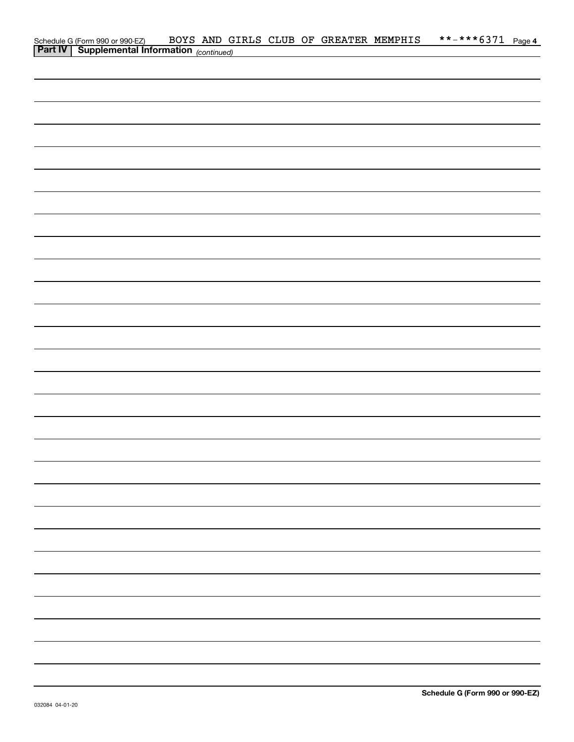| Schedule G (Form 990 or 990-EZ) BOYS AND G<br><b>Part IV</b> Supplemental Information (continued) |  |  | BOYS AND GIRLS CLUB OF GREATER MEMPHIS | **-***6371 Page 4 |  |
|---------------------------------------------------------------------------------------------------|--|--|----------------------------------------|-------------------|--|
|                                                                                                   |  |  |                                        |                   |  |
|                                                                                                   |  |  |                                        |                   |  |
|                                                                                                   |  |  |                                        |                   |  |
|                                                                                                   |  |  |                                        |                   |  |
|                                                                                                   |  |  |                                        |                   |  |
|                                                                                                   |  |  |                                        |                   |  |
|                                                                                                   |  |  |                                        |                   |  |
|                                                                                                   |  |  |                                        |                   |  |
|                                                                                                   |  |  |                                        |                   |  |
|                                                                                                   |  |  |                                        |                   |  |
|                                                                                                   |  |  |                                        |                   |  |
|                                                                                                   |  |  |                                        |                   |  |
|                                                                                                   |  |  |                                        |                   |  |
|                                                                                                   |  |  |                                        |                   |  |
|                                                                                                   |  |  |                                        |                   |  |
|                                                                                                   |  |  |                                        |                   |  |
|                                                                                                   |  |  |                                        |                   |  |
|                                                                                                   |  |  |                                        |                   |  |
|                                                                                                   |  |  |                                        |                   |  |
|                                                                                                   |  |  |                                        |                   |  |
|                                                                                                   |  |  |                                        |                   |  |
|                                                                                                   |  |  |                                        |                   |  |
|                                                                                                   |  |  |                                        |                   |  |
|                                                                                                   |  |  |                                        |                   |  |
|                                                                                                   |  |  |                                        |                   |  |
|                                                                                                   |  |  |                                        |                   |  |
|                                                                                                   |  |  |                                        |                   |  |
|                                                                                                   |  |  |                                        |                   |  |
|                                                                                                   |  |  |                                        |                   |  |
|                                                                                                   |  |  |                                        |                   |  |
|                                                                                                   |  |  |                                        |                   |  |
|                                                                                                   |  |  |                                        |                   |  |
|                                                                                                   |  |  |                                        |                   |  |
|                                                                                                   |  |  |                                        |                   |  |
|                                                                                                   |  |  |                                        |                   |  |
|                                                                                                   |  |  |                                        |                   |  |
|                                                                                                   |  |  |                                        |                   |  |
|                                                                                                   |  |  |                                        |                   |  |
|                                                                                                   |  |  |                                        |                   |  |
|                                                                                                   |  |  |                                        |                   |  |
|                                                                                                   |  |  |                                        |                   |  |
|                                                                                                   |  |  |                                        |                   |  |
|                                                                                                   |  |  |                                        |                   |  |
|                                                                                                   |  |  |                                        |                   |  |
|                                                                                                   |  |  |                                        |                   |  |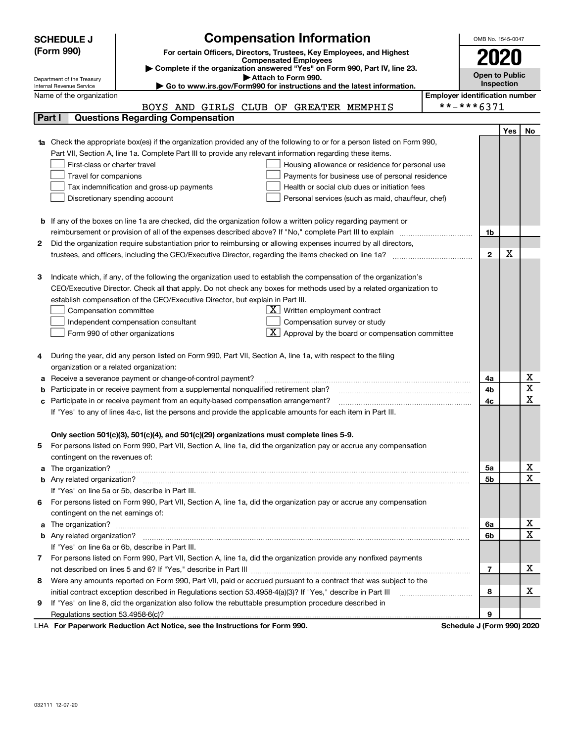| <b>SCHEDULE J</b>          |                                         | <b>Compensation Information</b>                                                                                                                                                                                                          | OMB No. 1545-0047     |                                       |     |              |  |  |
|----------------------------|-----------------------------------------|------------------------------------------------------------------------------------------------------------------------------------------------------------------------------------------------------------------------------------------|-----------------------|---------------------------------------|-----|--------------|--|--|
| (Form 990)                 |                                         | For certain Officers, Directors, Trustees, Key Employees, and Highest                                                                                                                                                                    |                       |                                       |     |              |  |  |
|                            |                                         | <b>Compensated Employees</b>                                                                                                                                                                                                             | 2020                  |                                       |     |              |  |  |
| Department of the Treasury |                                         | Complete if the organization answered "Yes" on Form 990, Part IV, line 23.<br>Attach to Form 990.                                                                                                                                        | <b>Open to Public</b> |                                       |     |              |  |  |
| Internal Revenue Service   |                                         | ► Go to www.irs.gov/Form990 for instructions and the latest information.                                                                                                                                                                 |                       | Inspection                            |     |              |  |  |
|                            | Name of the organization                |                                                                                                                                                                                                                                          |                       | <b>Employer identification number</b> |     |              |  |  |
|                            |                                         | BOYS AND GIRLS CLUB OF GREATER MEMPHIS                                                                                                                                                                                                   |                       | **-***6371                            |     |              |  |  |
|                            | Part I                                  | <b>Questions Regarding Compensation</b>                                                                                                                                                                                                  |                       |                                       |     |              |  |  |
|                            |                                         |                                                                                                                                                                                                                                          |                       |                                       | Yes | No           |  |  |
|                            |                                         | <b>1a</b> Check the appropriate box(es) if the organization provided any of the following to or for a person listed on Form 990,                                                                                                         |                       |                                       |     |              |  |  |
|                            |                                         | Part VII, Section A, line 1a. Complete Part III to provide any relevant information regarding these items.                                                                                                                               |                       |                                       |     |              |  |  |
|                            | First-class or charter travel           | Housing allowance or residence for personal use                                                                                                                                                                                          |                       |                                       |     |              |  |  |
|                            | Travel for companions                   | Payments for business use of personal residence                                                                                                                                                                                          |                       |                                       |     |              |  |  |
|                            |                                         | Health or social club dues or initiation fees<br>Tax indemnification and gross-up payments                                                                                                                                               |                       |                                       |     |              |  |  |
|                            |                                         | Discretionary spending account<br>Personal services (such as maid, chauffeur, chef)                                                                                                                                                      |                       |                                       |     |              |  |  |
|                            |                                         |                                                                                                                                                                                                                                          |                       |                                       |     |              |  |  |
|                            |                                         | <b>b</b> If any of the boxes on line 1a are checked, did the organization follow a written policy regarding payment or                                                                                                                   |                       |                                       |     |              |  |  |
|                            |                                         | reimbursement or provision of all of the expenses described above? If "No," complete Part III to explain                                                                                                                                 |                       | 1b                                    |     |              |  |  |
| 2                          |                                         | Did the organization require substantiation prior to reimbursing or allowing expenses incurred by all directors,                                                                                                                         |                       |                                       | X   |              |  |  |
|                            |                                         |                                                                                                                                                                                                                                          |                       | $\mathbf{2}$                          |     |              |  |  |
| 3                          |                                         |                                                                                                                                                                                                                                          |                       |                                       |     |              |  |  |
|                            |                                         | Indicate which, if any, of the following the organization used to establish the compensation of the organization's<br>CEO/Executive Director. Check all that apply. Do not check any boxes for methods used by a related organization to |                       |                                       |     |              |  |  |
|                            |                                         | establish compensation of the CEO/Executive Director, but explain in Part III.                                                                                                                                                           |                       |                                       |     |              |  |  |
|                            | Compensation committee                  | $X$ Written employment contract                                                                                                                                                                                                          |                       |                                       |     |              |  |  |
|                            |                                         | Compensation survey or study                                                                                                                                                                                                             |                       |                                       |     |              |  |  |
|                            |                                         | Independent compensation consultant<br>$ \mathbf{X} $ Approval by the board or compensation committee                                                                                                                                    |                       |                                       |     |              |  |  |
|                            |                                         | Form 990 of other organizations                                                                                                                                                                                                          |                       |                                       |     |              |  |  |
| 4                          |                                         | During the year, did any person listed on Form 990, Part VII, Section A, line 1a, with respect to the filing                                                                                                                             |                       |                                       |     |              |  |  |
|                            | organization or a related organization: |                                                                                                                                                                                                                                          |                       |                                       |     |              |  |  |
| а                          |                                         | Receive a severance payment or change-of-control payment?                                                                                                                                                                                |                       | 4a                                    |     | х            |  |  |
| b                          |                                         | Participate in or receive payment from a supplemental nonqualified retirement plan?                                                                                                                                                      |                       | 4b                                    |     | X            |  |  |
| c                          |                                         | Participate in or receive payment from an equity-based compensation arrangement?                                                                                                                                                         |                       | 4с                                    |     | $\mathbf x$  |  |  |
|                            |                                         | If "Yes" to any of lines 4a-c, list the persons and provide the applicable amounts for each item in Part III.                                                                                                                            |                       |                                       |     |              |  |  |
|                            |                                         |                                                                                                                                                                                                                                          |                       |                                       |     |              |  |  |
|                            |                                         | Only section 501(c)(3), 501(c)(4), and 501(c)(29) organizations must complete lines 5-9.                                                                                                                                                 |                       |                                       |     |              |  |  |
|                            |                                         | For persons listed on Form 990, Part VII, Section A, line 1a, did the organization pay or accrue any compensation                                                                                                                        |                       |                                       |     |              |  |  |
|                            | contingent on the revenues of:          |                                                                                                                                                                                                                                          |                       |                                       |     |              |  |  |
|                            |                                         | a The organization? <b>Constitution</b> and the organization?                                                                                                                                                                            |                       | 5a                                    |     | х            |  |  |
|                            |                                         |                                                                                                                                                                                                                                          |                       | 5b                                    |     | $\mathbf{x}$ |  |  |
|                            |                                         | If "Yes" on line 5a or 5b, describe in Part III.                                                                                                                                                                                         |                       |                                       |     |              |  |  |
| 6                          |                                         | For persons listed on Form 990, Part VII, Section A, line 1a, did the organization pay or accrue any compensation                                                                                                                        |                       |                                       |     |              |  |  |
|                            | contingent on the net earnings of:      |                                                                                                                                                                                                                                          |                       |                                       |     |              |  |  |
| a                          |                                         |                                                                                                                                                                                                                                          |                       | 6a                                    |     | х            |  |  |
|                            |                                         |                                                                                                                                                                                                                                          |                       | 6b                                    |     | $\mathbf X$  |  |  |
|                            |                                         | If "Yes" on line 6a or 6b, describe in Part III.                                                                                                                                                                                         |                       |                                       |     |              |  |  |
|                            |                                         | 7 For persons listed on Form 990, Part VII, Section A, line 1a, did the organization provide any nonfixed payments                                                                                                                       |                       |                                       |     |              |  |  |
|                            |                                         |                                                                                                                                                                                                                                          |                       | 7                                     |     | х            |  |  |
| 8                          |                                         | Were any amounts reported on Form 990, Part VII, paid or accrued pursuant to a contract that was subject to the                                                                                                                          |                       |                                       |     |              |  |  |
|                            |                                         | initial contract exception described in Regulations section 53.4958-4(a)(3)? If "Yes," describe in Part III                                                                                                                              |                       | 8                                     |     | х            |  |  |
| 9                          |                                         | If "Yes" on line 8, did the organization also follow the rebuttable presumption procedure described in                                                                                                                                   |                       |                                       |     |              |  |  |
|                            |                                         |                                                                                                                                                                                                                                          |                       | 9                                     |     |              |  |  |
|                            |                                         | ueuk Deduction Act Notice, ace the Instructions for Form 000                                                                                                                                                                             |                       | Calcodiale Linearn                    |     | 0.001000     |  |  |

LHA For Paperwork Reduction Act Notice, see the Instructions for Form 990. Schedule J (Form 990) 2020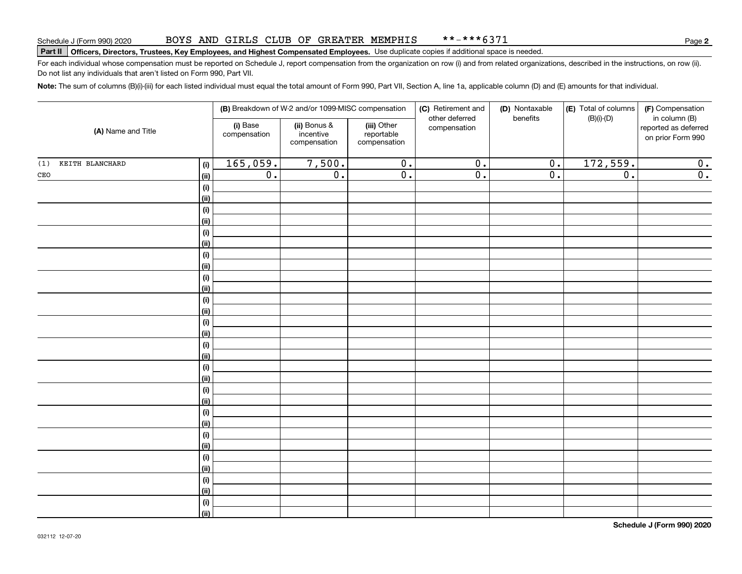#### BOYS AND GIRLS CLUB OF GREATER MEMPHIS \*\*-\*\*\*6371

# **Part II Officers, Directors, Trustees, Key Employees, and Highest Compensated Employees.**  Schedule J (Form 990) 2020 Page Use duplicate copies if additional space is needed.

For each individual whose compensation must be reported on Schedule J, report compensation from the organization on row (i) and from related organizations, described in the instructions, on row (ii). Do not list any individuals that aren't listed on Form 990, Part VII.

**Note:**  The sum of columns (B)(i)-(iii) for each listed individual must equal the total amount of Form 990, Part VII, Section A, line 1a, applicable column (D) and (E) amounts for that individual.

|                               |                          | (B) Breakdown of W-2 and/or 1099-MISC compensation |                                           | (C) Retirement and<br>other deferred | (D) Nontaxable<br>benefits | (E) Total of columns<br>$(B)(i)-(D)$ | (F) Compensation<br>in column (B)         |  |
|-------------------------------|--------------------------|----------------------------------------------------|-------------------------------------------|--------------------------------------|----------------------------|--------------------------------------|-------------------------------------------|--|
| (A) Name and Title            | (i) Base<br>compensation | (ii) Bonus &<br>incentive<br>compensation          | (iii) Other<br>reportable<br>compensation | compensation                         |                            |                                      | reported as deferred<br>on prior Form 990 |  |
| KEITH BLANCHARD<br>(1)<br>(i) | 165,059.                 | 7,500.                                             | $\overline{0}$ .                          | $\overline{0}$ .                     | $\overline{0}$ .           | 172,559.                             | 0.                                        |  |
| $\mathtt{CEO}$<br><u>(ii)</u> | $\overline{0}$ .         | $\overline{0}$ .                                   | $\overline{0}$ .                          | $\overline{0}$ .                     | $\overline{0}$ .           | $\overline{0}$ .                     | $\overline{0}$ .                          |  |
| (i)                           |                          |                                                    |                                           |                                      |                            |                                      |                                           |  |
| <u>(ii)</u>                   |                          |                                                    |                                           |                                      |                            |                                      |                                           |  |
| (i)                           |                          |                                                    |                                           |                                      |                            |                                      |                                           |  |
| <u>(ii)</u>                   |                          |                                                    |                                           |                                      |                            |                                      |                                           |  |
| (i)                           |                          |                                                    |                                           |                                      |                            |                                      |                                           |  |
| (ii)                          |                          |                                                    |                                           |                                      |                            |                                      |                                           |  |
| (i)                           |                          |                                                    |                                           |                                      |                            |                                      |                                           |  |
| (ii)                          |                          |                                                    |                                           |                                      |                            |                                      |                                           |  |
| (i)                           |                          |                                                    |                                           |                                      |                            |                                      |                                           |  |
| (ii)                          |                          |                                                    |                                           |                                      |                            |                                      |                                           |  |
| (i)                           |                          |                                                    |                                           |                                      |                            |                                      |                                           |  |
| <u>(ii)</u>                   |                          |                                                    |                                           |                                      |                            |                                      |                                           |  |
| (i)<br><u>(ii)</u>            |                          |                                                    |                                           |                                      |                            |                                      |                                           |  |
| (i)                           |                          |                                                    |                                           |                                      |                            |                                      |                                           |  |
| <u>(ii)</u>                   |                          |                                                    |                                           |                                      |                            |                                      |                                           |  |
| (i)                           |                          |                                                    |                                           |                                      |                            |                                      |                                           |  |
| (ii)                          |                          |                                                    |                                           |                                      |                            |                                      |                                           |  |
| (i)                           |                          |                                                    |                                           |                                      |                            |                                      |                                           |  |
| <u>(ii)</u>                   |                          |                                                    |                                           |                                      |                            |                                      |                                           |  |
| (i)                           |                          |                                                    |                                           |                                      |                            |                                      |                                           |  |
| <u>(ii)</u>                   |                          |                                                    |                                           |                                      |                            |                                      |                                           |  |
| (i)                           |                          |                                                    |                                           |                                      |                            |                                      |                                           |  |
| (ii)                          |                          |                                                    |                                           |                                      |                            |                                      |                                           |  |
| $(\sf{i})$                    |                          |                                                    |                                           |                                      |                            |                                      |                                           |  |
| (ii)                          |                          |                                                    |                                           |                                      |                            |                                      |                                           |  |
| (i)                           |                          |                                                    |                                           |                                      |                            |                                      |                                           |  |
| <u>(ii)</u>                   |                          |                                                    |                                           |                                      |                            |                                      |                                           |  |
| (i)                           |                          |                                                    |                                           |                                      |                            |                                      |                                           |  |
| $\overline{}}$                |                          |                                                    |                                           |                                      |                            |                                      |                                           |  |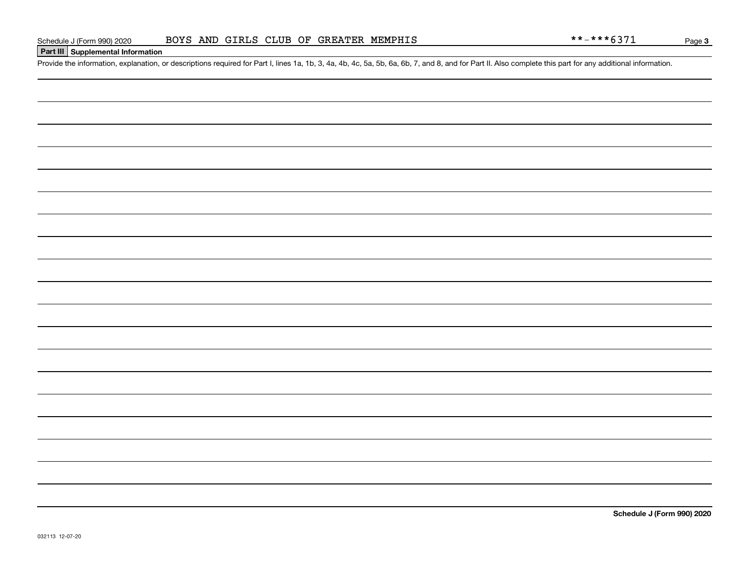### **Part III Supplemental Information**

Schedule J (Form 990) 2020 BOYS AND GIRLS CLUB OF GREATER MEMPHIS<br>Part III Supplemental Information<br>Provide the information, explanation, or descriptions required for Part I, lines 1a, 1b, 3, 4a, 4b, 4c, 5a, 5b, 6a, 6b, 7,

**Schedule J (Form 990) 2020**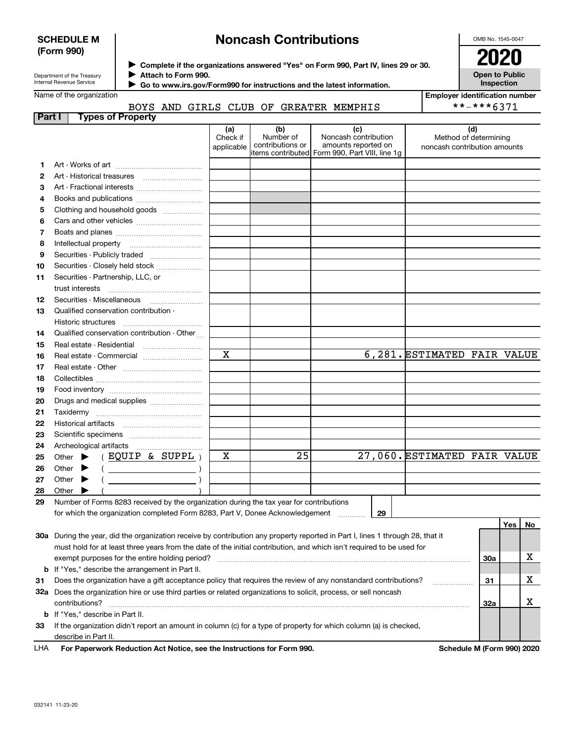#### **SCHEDULE M (Form 990)**

# **Noncash Contributions**

OMB No. 1545-0047

| Department of the Treasury |
|----------------------------|
| Internal Revenue Service   |

**Complete if the organizations answered "Yes" on Form 990, Part IV, lines 29 or 30.** <sup>J</sup>**2020**

 **Go to www.irs.gov/Form990 for instructions and the latest information.** J

**Attach to Form 990.** J

**Open to Public Inspection**

|  | Name of the organization |  |
|--|--------------------------|--|
|  |                          |  |

| <b>Employer identification number</b> |  |
|---------------------------------------|--|
| <b>むむむどつワイ</b>                        |  |

|               | BOYS AND GIRLS CLUB OF GREATER MEMPHIS                                                                                         |                               |                                      |                                                                                                      |                                                       | **-***6371 |     |    |
|---------------|--------------------------------------------------------------------------------------------------------------------------------|-------------------------------|--------------------------------------|------------------------------------------------------------------------------------------------------|-------------------------------------------------------|------------|-----|----|
| <b>Part I</b> | <b>Types of Property</b>                                                                                                       |                               |                                      |                                                                                                      |                                                       |            |     |    |
|               |                                                                                                                                | (a)<br>Check if<br>applicable | (b)<br>Number of<br>contributions or | (c)<br>Noncash contribution<br>amounts reported on<br>items contributed Form 990, Part VIII, line 1g | Method of determining<br>noncash contribution amounts | (d)        |     |    |
| 1.            |                                                                                                                                |                               |                                      |                                                                                                      |                                                       |            |     |    |
| 2             | Art - Historical treasures                                                                                                     |                               |                                      |                                                                                                      |                                                       |            |     |    |
| 3             | Art - Fractional interests                                                                                                     |                               |                                      |                                                                                                      |                                                       |            |     |    |
| 4             | Books and publications                                                                                                         |                               |                                      |                                                                                                      |                                                       |            |     |    |
| 5             | Clothing and household goods                                                                                                   |                               |                                      |                                                                                                      |                                                       |            |     |    |
| 6             |                                                                                                                                |                               |                                      |                                                                                                      |                                                       |            |     |    |
| 7             |                                                                                                                                |                               |                                      |                                                                                                      |                                                       |            |     |    |
| 8             | Intellectual property                                                                                                          |                               |                                      |                                                                                                      |                                                       |            |     |    |
| 9             |                                                                                                                                |                               |                                      |                                                                                                      |                                                       |            |     |    |
| 10            | Securities - Closely held stock                                                                                                |                               |                                      |                                                                                                      |                                                       |            |     |    |
| 11            | Securities - Partnership, LLC, or                                                                                              |                               |                                      |                                                                                                      |                                                       |            |     |    |
|               | trust interests                                                                                                                |                               |                                      |                                                                                                      |                                                       |            |     |    |
| 12            |                                                                                                                                |                               |                                      |                                                                                                      |                                                       |            |     |    |
| 13            | Qualified conservation contribution -                                                                                          |                               |                                      |                                                                                                      |                                                       |            |     |    |
|               | Historic structures                                                                                                            |                               |                                      |                                                                                                      |                                                       |            |     |    |
| 14            | Qualified conservation contribution - Other                                                                                    |                               |                                      |                                                                                                      |                                                       |            |     |    |
| 15            | Real estate - Residential                                                                                                      |                               |                                      |                                                                                                      |                                                       |            |     |    |
| 16            | Real estate - Commercial                                                                                                       | X                             |                                      |                                                                                                      | 6,281. ESTIMATED FAIR VALUE                           |            |     |    |
| 17            |                                                                                                                                |                               |                                      |                                                                                                      |                                                       |            |     |    |
| 18            |                                                                                                                                |                               |                                      |                                                                                                      |                                                       |            |     |    |
| 19            |                                                                                                                                |                               |                                      |                                                                                                      |                                                       |            |     |    |
| 20            |                                                                                                                                |                               |                                      |                                                                                                      |                                                       |            |     |    |
| 21            |                                                                                                                                |                               |                                      |                                                                                                      |                                                       |            |     |    |
| 22            |                                                                                                                                |                               |                                      |                                                                                                      |                                                       |            |     |    |
| 23            |                                                                                                                                |                               |                                      |                                                                                                      |                                                       |            |     |    |
| 24            |                                                                                                                                |                               |                                      |                                                                                                      |                                                       |            |     |    |
| 25            | (EQUIP & SUPPL)<br>Other $\blacktriangleright$                                                                                 | x                             | 25                                   |                                                                                                      | 27,060. ESTIMATED FAIR VALUE                          |            |     |    |
| 26            | $\left(\begin{array}{ccc}\n\end{array}\right)$<br>Other $\blacktriangleright$                                                  |                               |                                      |                                                                                                      |                                                       |            |     |    |
| 27            | Other $\blacktriangleright$                                                                                                    |                               |                                      |                                                                                                      |                                                       |            |     |    |
| 28            | Other $\blacktriangleright$                                                                                                    |                               |                                      |                                                                                                      |                                                       |            |     |    |
| 29            | Number of Forms 8283 received by the organization during the tax year for contributions                                        |                               |                                      |                                                                                                      |                                                       |            |     |    |
|               | for which the organization completed Form 8283, Part V, Donee Acknowledgement                                                  |                               |                                      | 29                                                                                                   |                                                       |            |     |    |
|               |                                                                                                                                |                               |                                      |                                                                                                      |                                                       |            | Yes | No |
|               | 30a During the year, did the organization receive by contribution any property reported in Part I, lines 1 through 28, that it |                               |                                      |                                                                                                      |                                                       |            |     |    |
|               | must hold for at least three years from the date of the initial contribution, and which isn't required to be used for          |                               |                                      |                                                                                                      |                                                       |            |     |    |
|               |                                                                                                                                |                               |                                      |                                                                                                      |                                                       | 30a        |     | х  |
|               | h If "Vee " describe the arrangement in Part II                                                                                |                               |                                      |                                                                                                      |                                                       |            |     |    |

**31**Does the organization have a gift acceptance policy that requires the review of any nonstandard contributions? ~~~~~~**b**s," describe the arrangement in Part II.

**32a** Does the organization hire or use third parties or related organizations to solicit, process, or sell noncash **33**If the organization didn't report an amount in column (c) for a type of property for which column (a) is checked, **32a b** If "Yes," describe in Part II. contributions? ~~~~~~~~~~~~~~~~~~~~~~~~~~~~~~~~~~~~~~~~~~~~~~~~~~~~~~ describe in Part II.

**For Paperwork Reduction Act Notice, see the Instructions for Form 990. Schedule M (Form 990) 2020** LHA

**31**

X

X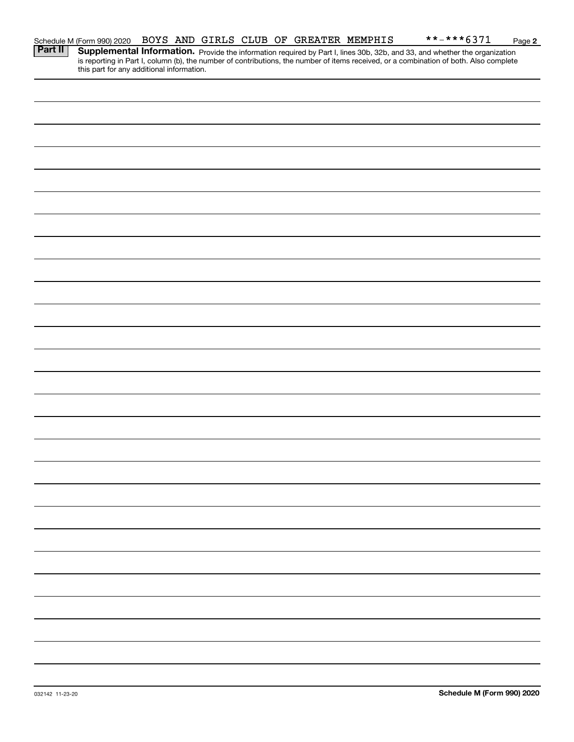|         | Schedule M (Form 990) 2020                |  |  |  | BOYS AND GIRLS CLUB OF GREATER MEMPHIS | **-***6371                                                                                                                                                                                                                          | Page 2 |
|---------|-------------------------------------------|--|--|--|----------------------------------------|-------------------------------------------------------------------------------------------------------------------------------------------------------------------------------------------------------------------------------------|--------|
| Part II | this part for any additional information. |  |  |  |                                        | <b>Supplemental Information.</b> Provide the information required by Part I, lines 30b, 32b, and 33, and whether the organization is reporting in Part I, column (b), the number of contributions, the number of items received, or |        |
|         |                                           |  |  |  |                                        |                                                                                                                                                                                                                                     |        |
|         |                                           |  |  |  |                                        |                                                                                                                                                                                                                                     |        |
|         |                                           |  |  |  |                                        |                                                                                                                                                                                                                                     |        |
|         |                                           |  |  |  |                                        |                                                                                                                                                                                                                                     |        |
|         |                                           |  |  |  |                                        |                                                                                                                                                                                                                                     |        |
|         |                                           |  |  |  |                                        |                                                                                                                                                                                                                                     |        |
|         |                                           |  |  |  |                                        |                                                                                                                                                                                                                                     |        |
|         |                                           |  |  |  |                                        |                                                                                                                                                                                                                                     |        |
|         |                                           |  |  |  |                                        |                                                                                                                                                                                                                                     |        |
|         |                                           |  |  |  |                                        |                                                                                                                                                                                                                                     |        |
|         |                                           |  |  |  |                                        |                                                                                                                                                                                                                                     |        |
|         |                                           |  |  |  |                                        |                                                                                                                                                                                                                                     |        |
|         |                                           |  |  |  |                                        |                                                                                                                                                                                                                                     |        |
|         |                                           |  |  |  |                                        |                                                                                                                                                                                                                                     |        |
|         |                                           |  |  |  |                                        |                                                                                                                                                                                                                                     |        |
|         |                                           |  |  |  |                                        |                                                                                                                                                                                                                                     |        |
|         |                                           |  |  |  |                                        |                                                                                                                                                                                                                                     |        |
|         |                                           |  |  |  |                                        |                                                                                                                                                                                                                                     |        |
|         |                                           |  |  |  |                                        |                                                                                                                                                                                                                                     |        |
|         |                                           |  |  |  |                                        |                                                                                                                                                                                                                                     |        |
|         |                                           |  |  |  |                                        |                                                                                                                                                                                                                                     |        |
|         |                                           |  |  |  |                                        |                                                                                                                                                                                                                                     |        |
|         |                                           |  |  |  |                                        |                                                                                                                                                                                                                                     |        |
|         |                                           |  |  |  |                                        |                                                                                                                                                                                                                                     |        |
|         |                                           |  |  |  |                                        |                                                                                                                                                                                                                                     |        |
|         |                                           |  |  |  |                                        |                                                                                                                                                                                                                                     |        |
|         |                                           |  |  |  |                                        |                                                                                                                                                                                                                                     |        |